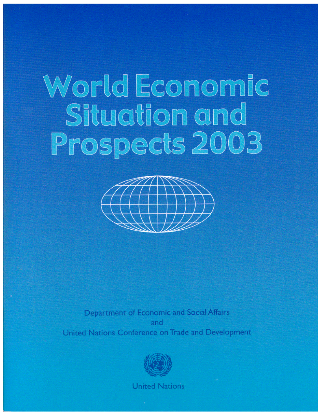# World Economic Situation and Prospects 2003



Department of Economic and Social Affairs and United Nations Conference on Trade and Development



**United Nations**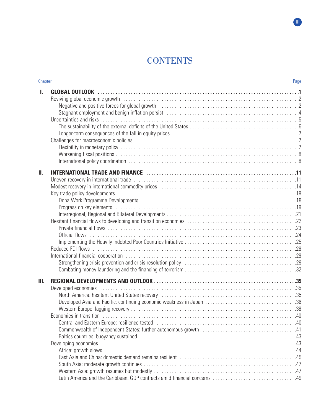# **CONTENTS**

| Chapter |                                                                                                                | Page |
|---------|----------------------------------------------------------------------------------------------------------------|------|
| L.      | Stagnant employment and benign inflation persist (and all contacts) and all contacts and all contacts and Al a |      |
| Ш.      | Official flows                                                                                                 |      |
| Ш.      | Developed economies                                                                                            |      |

**III**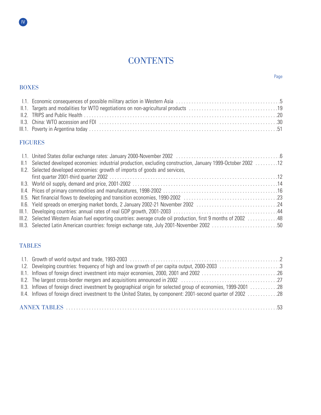# **CONTENTS**

# BOXES

**IV** 

# FIGURES

| 12. 12. Selected developed economies: industrial production, excluding construction, January 1999-October 2002 12 |  |
|-------------------------------------------------------------------------------------------------------------------|--|
| II.2. Selected developed economies: growth of imports of goods and services,                                      |  |
|                                                                                                                   |  |
|                                                                                                                   |  |
|                                                                                                                   |  |
|                                                                                                                   |  |
|                                                                                                                   |  |
|                                                                                                                   |  |
| III.2. Selected Western Asian fuel exporting countries: average crude oil production, first 9 months of 2002 48   |  |
| III.3. Selected Latin American countries: foreign exchange rate, July 2001-November 2002 50                       |  |

# TABLES

| 1.2. Developing countries: frequency of high and low growth of per capita output, 2000-2003 3                      |  |
|--------------------------------------------------------------------------------------------------------------------|--|
|                                                                                                                    |  |
|                                                                                                                    |  |
| 1.28 Inflows of foreign direct investment by geographical origin for selected group of economies, 1999-2001 28     |  |
| 1.28 28 II.4. Inflows of foreign direct investment to the United States, by component: 2001-second quarter of 2002 |  |
|                                                                                                                    |  |
|                                                                                                                    |  |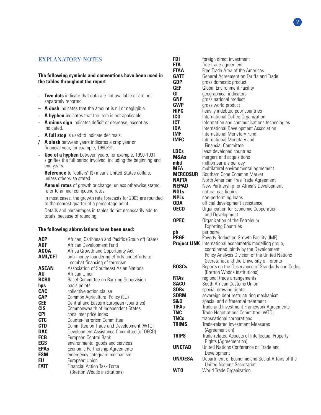# EXPLANATORY NOTES

# **The following symbols and conventions have been used in the tables throughout the report**

- **.. Two dots** indicate that data are not available or are not separately reported.
- **A dash** indicates that the amount is nil or negligible.
- **A hyphen** indicates that the item is not applicable.
- **A minus sign** indicates deficit or decrease, except as indicated.
- **. A full stop** is used to indicate decimals.
- **/ A slash** between years indicates a crop year or financial year, for example, 1990/91.
- **Use of a hyphen** between years, for example, 1990-1991, signifies the full period involved, including the beginning and end years.

**Reference** to "dollars" (\$) means United States dollars, unless otherwise stated.

**Annual rates** of growth or change, unless otherwise stated, refer to annual compound rates.

In most cases, the growth rate forecasts for 2003 are rounded to the nearest quarter of a percentage point.

Details and percentages in tables do not necessarily add to totals, because of rounding.

#### **The following abbreviations have been used:**

| <b>ACP</b>     | African, Caribbean and Pacific (Group of) States                              |
|----------------|-------------------------------------------------------------------------------|
| <b>ADF</b>     | African Development Fund                                                      |
| <b>AGOA</b>    | Africa Growth and Opportunity Act                                             |
| <b>AML/CFT</b> | anti-money-laundering efforts and efforts to<br>combat financing of terrorism |
| <b>ASEAN</b>   | Association of Southeast Asian Nations                                        |
| AU             | African Union                                                                 |
| <b>BCBS</b>    | <b>Basel Committee on Banking Supervision</b>                                 |
| bps            | basis points                                                                  |
| <b>CAC</b>     | collective action clause                                                      |
| <b>CAP</b>     | Common Agricultural Policy (EU)                                               |
| <b>CEE</b>     | Central and Eastern European (countries)                                      |
| <b>CIS</b>     | Commonwealth of Independent States                                            |
| <b>CPI</b>     | consumer price index                                                          |
| <b>CTC</b>     | Counter-Terrorism Committee                                                   |
| <b>CTD</b>     | Committee on Trade and Development (WTO)                                      |
| <b>DAC</b>     | Development Assistance Committee (of OECD)                                    |
| <b>ECB</b>     | European Central Bank                                                         |
| EGS            | environmental goods and services                                              |
| <b>EPAs</b>    | Economic Partnership Agreements                                               |
| <b>ESM</b>     | emergency safeguard mechanism                                                 |
| EU             | European Union                                                                |
| <b>FATF</b>    | <b>Financial Action Task Force</b>                                            |
|                | (Bretton Woods institutions)                                                  |

| FDI<br>FTA                     | foreign direct investment<br>free trade agreement                                        |
|--------------------------------|------------------------------------------------------------------------------------------|
| <b>FTAA</b>                    | Free Trade Area of the Americas                                                          |
| <b>GATT</b>                    | General Agreement on Tariffs and Trade                                                   |
| <b>GDP</b>                     | gross domestic product                                                                   |
| <b>GEF</b>                     | <b>Global Environment Facility</b>                                                       |
| GI                             | geographical indicators                                                                  |
| <b>GNP</b>                     | gross national product                                                                   |
| <b>GWP</b>                     | gross world product                                                                      |
| <b>HIPC</b><br>IC <sub>0</sub> | heavily indebted poor countries                                                          |
| <b>ICT</b>                     | International Coffee Organization<br>information and communications technologies         |
| <b>IDA</b>                     | International Development Association                                                    |
| <b>IMF</b>                     | International Monetary Fund                                                              |
| <b>IMFC</b>                    | International Monetary and                                                               |
|                                | <b>Financial Committee</b>                                                               |
| <b>LDCs</b>                    | least developed countries                                                                |
| M&As                           | mergers and acquisitions                                                                 |
| mbd                            | million barrels per day                                                                  |
| <b>MEA</b>                     | multilateral environmental agreement                                                     |
| <b>MERCOSUR</b>                | Southern Cone Common Market                                                              |
| <b>NAFTA</b><br><b>NEPAD</b>   | North American Free Trade Agreement<br>New Partnership for Africa's Development          |
| <b>NGLs</b>                    | natural gas liquids                                                                      |
| <b>NPLs</b>                    | non-performing loans                                                                     |
| <b>ODA</b>                     | official development assistance                                                          |
| <b>OECD</b>                    | Organisation for Economic Cooperation                                                    |
|                                | and Development                                                                          |
| <b>OPEC</b>                    | Organization of the Petroleum                                                            |
|                                | <b>Exporting Countries</b>                                                               |
| pb                             | per barrel                                                                               |
| <b>PRGF</b>                    | Poverty Reduction Growth Facility (IMF)                                                  |
|                                | Project LINK international econometric modelling group,                                  |
|                                | coordinated jointly by the Development<br>Policy Analysis Division of the United Nations |
|                                | Secretariat and the University of Toronto                                                |
| <b>ROSCs</b>                   | Reports on the Observance of Standards and Codes                                         |
|                                | (Bretton Woods institutions)                                                             |
| <b>RTAs</b>                    | regional trade arrangements                                                              |
| SACU                           | South African Customs Union                                                              |
| <b>SDRs</b>                    | special drawing rights                                                                   |
| <b>SDRM</b>                    | sovereign debt restructuring mechanism                                                   |
| S&D                            | special and differential treatment                                                       |
| <b>TIFAs</b><br><b>TNC</b>     | Trade and Investment Framework Agreements                                                |
| <b>TNCs</b>                    | Trade Negotiations Committee (WTO)<br>transnational corporations                         |
| <b>TRIMS</b>                   | <b>Trade-related Investment Measures</b>                                                 |
|                                | (Agreement on)                                                                           |
| <b>TRIPS</b>                   | Trade-related Aspects of Intellectual Property                                           |
|                                | Rights (Agreement on)                                                                    |
| <b>UNCTAD</b>                  | United Nations Conference on Trade and                                                   |
|                                | Development                                                                              |
| <b>UN/DESA</b>                 | Department of Economic and Social Affairs of the                                         |
|                                | <b>United Nations Secretariat</b>                                                        |
| <b>WTO</b>                     | World Trade Organization                                                                 |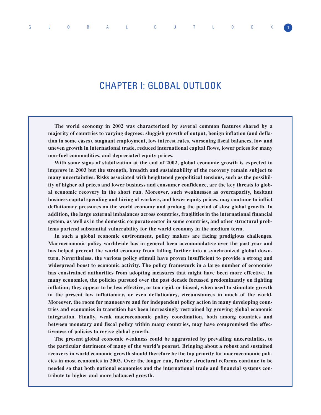# CHAPTER I: GLOBAL OUTLOOK

**The world economy in 2002 was characterized by several common features shared by a majority of countries to varying degrees: sluggish growth of output, benign inflation (and deflation in some cases), stagnant employment, low interest rates, worsening fiscal balances, low and uneven growth in international trade, reduced international capital flows, lower prices for many non-fuel commodities, and depreciated equity prices.** 

**With some signs of stabilization at the end of 2002, global economic growth is expected to improve in 2003 but the strength, breadth and sustainability of the recovery remain subject to many uncertainties. Risks associated with heightened geopolitical tensions, such as the possibility of higher oil prices and lower business and consumer confidence, are the key threats to global economic recovery in the short run. Moreover, such weaknesses as overcapacity, hesitant business capital spending and hiring of workers, and lower equity prices, may continue to inflict deflationary pressures on the world economy and prolong the period of slow global growth. In addition, the large external imbalances across countries, fragilities in the international financial system, as well as in the domestic corporate sector in some countries, and other structural problems portend substantial vulnerability for the world economy in the medium term.**

**In such a global economic environment, policy makers are facing prodigious challenges. Macroeconomic policy worldwide has in general been accommodative over the past year and has helped prevent the world economy from falling further into a synchronized global downturn. Nevertheless, the various policy stimuli have proven insufficient to provide a strong and widespread boost to economic activity. The policy framework in a large number of economies has constrained authorities from adopting measures that might have been more effective. In many economies, the policies pursued over the past decade focussed predominantly on fighting inflation; they appear to be less effective, or too rigid, or biased, when used to stimulate growth in the present low inflationary, or even deflationary, circumstances in much of the world. Moreover, the room for manoeuvre and for independent policy action in many developing countries and economies in transition has been increasingly restrained by growing global economic integration. Finally, weak macroeconomic policy coordination, both among countries and between monetary and fiscal policy within many countries, may have compromised the effectiveness of policies to revive global growth.**

**The present global economic weakness could be aggravated by prevailing uncertainties, to the particular detriment of many of the world's poorest. Bringing about a robust and sustained recovery in world economic growth should therefore be the top priority for macroeconomic policies in most economies in 2003. Over the longer run, further structural reforms continue to be needed so that both national economies and the international trade and financial systems contribute to higher and more balanced growth.**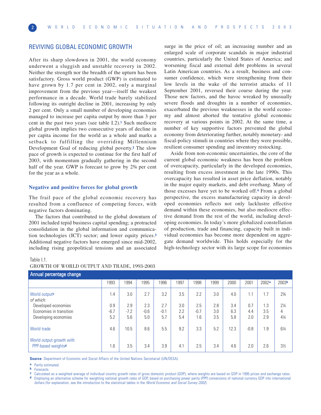# REVIVING GLOBAL ECONOMIC GROWTH

After its sharp slowdown in 2001, the world economy underwent a sluggish and unstable recovery in 2002. Neither the strength nor the breadth of the upturn has been satisfactory. Gross world product (GWP) is estimated to have grown by 1.7 per cent in 2002, only a marginal improvement from the previous year—itself the weakest performance in a decade. World trade barely stabilized following its outright decline in 2001, increasing by only 2 per cent. Only a small number of developing economies managed to increase per capita output by more than 3 per cent in the past two years (see table I.2).**<sup>1</sup>** Such mediocre global growth implies two consecutive years of decline in per capita income for the world as a whole and marks a setback to fulfilling the overriding Millennium Development Goal of reducing global poverty.**<sup>2</sup>** The slow pace of growth is expected to continue for the first half of 2003, with momentum gradually gathering in the second half of the year. GWP is forecast to grow by 2<sup>3</sup>/4 per cent for the year as a whole.

#### **Negative and positive forces for global growth**

The frail pace of the global economic recovery has resulted from a confluence of competing forces, with negative factors dominating.

The factors that contributed to the global downturn of 2001 included tepid business capital spending; a protracted consolidation in the global information and communication technologies (ICT) sector; and lower equity prices.**<sup>3</sup>** Additional negative factors have emerged since mid-2002, including rising geopolitical tensions and an associated

surge in the price of oil; an increasing number and an enlarged scale of corporate scandals in major industrial countries, particularly the United States of America; and worsening fiscal and external debt problems in several Latin American countries. As a result, business and consumer confidence, which were strengthening from their low levels in the wake of the terrorist attacks of 11 September 2001, reversed their course during the year. Those new factors, and the havoc wreaked by unusually severe floods and droughts in a number of economies, exacerbated the previous weaknesses in the world economy and almost aborted the tentative global economic recovery at various points in 2002. At the same time, a number of key supportive factors prevented the global economy from deteriorating further, notably monetary- and fiscal-policy stimuli in countries where they were possible, resilient consumer spending and inventory restocking.

Aside from non-economic uncertainties, the core of the current global economic weakness has been the problem of overcapacity, particularly in the developed economies, resulting from excess investment in the late 1990s. This overcapacity has resulted in asset price deflation, notably in the major equity markets, and debt overhang. Many of those excesses have yet to be worked off.**<sup>4</sup>** From a global perspective, the excess manufacturing capacity in developed economies reflects not only lacklustre effective demand within these economies, but also mediocre effective demand from the rest of the world, including developing economies. In today's more globalized constellation of production, trade and financing, capacity built in individual economies has become more dependent on aggregate demand worldwide. This holds especially for the high-technology sector with its large scope for economies

| Annual percentage change                                   |               |               |               |               |            |               |            |            |            |                   |                     |
|------------------------------------------------------------|---------------|---------------|---------------|---------------|------------|---------------|------------|------------|------------|-------------------|---------------------|
|                                                            | 1993          | 1994          | 1995          | 1996          | 1997       | 1998          | 1999       | 2000       | 2001       | 2002 <sup>a</sup> | 2003 <sub>b</sub>   |
| World output <sup>c</sup><br>of which:                     | 4.،           | 3.0           | 2.7           | 3.2           | 3.5        | 2.2           | 3.0        | 4.0        | 1.1        | 1.7               | $2\frac{3}{4}$      |
| Developed economies                                        | 0.9           | 2.9           | 2.3           | 2.7           | 3.0        | 2.5           | 2.8        | 3.4        | 0.7        | 1.3               | $2\frac{1}{4}$      |
| Economies in transition<br>Developing economies            | $-6.7$<br>5.2 | $-7.2$<br>5.6 | $-0.6$<br>5.0 | $-0.1$<br>5.7 | 2.2<br>5.4 | $-0.7$<br>1.6 | 3.0<br>3.5 | 6.3<br>5.8 | 4.4<br>2.0 | 3.5<br>2.9        | 4<br>$4\frac{1}{4}$ |
| World trade                                                | 4.6           | 10.5          | 8.6           | 5.5           | 9.2        | 3.3           | 5.2        | 12.3       | $-0.8$     | 1.9               | 61⁄4                |
| World output growth with<br>PPP-based weights <sup>d</sup> | 6.1           | 3.5           | 3.4           | 3.9           | 4.1        | 2.5           | 3.4        | 4.6        | 2.0        | 2.6               | $3\frac{1}{2}$      |

GROWTH OF WORLD OUTPUT AND TRADE, 1993-2003

**Source**: Department of Economic and Social Affairs of the United Nations Secretariat (UN/DESA).

**a** Partly estimated.

**b** Forecasts.

Table I.1.

**c** Calculated as a weighted average of individual country growth rates of gross domestic product (GDP), where weights are based on GDP in 1995 prices and exchange rates. **d** Employing an alternative scheme for weighting national growth rates of GDP, based on purchasing power parity (PPP) conversions of national currency GDP into international dollars (for explanation, see the introduction to the statistical tables in the World Economic and Social Survey 2002).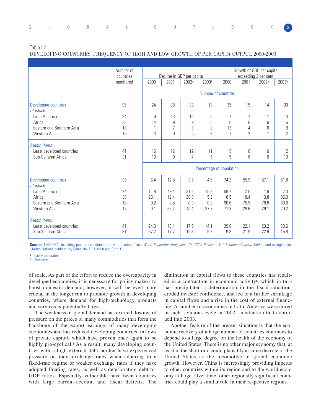|  |  | G L O B A L O U T L O O K 3 |  |  |  |  |
|--|--|-----------------------------|--|--|--|--|
|  |  |                             |  |  |  |  |

Table I.2.

DEVELOPING COUNTRIES: FREQUENCY OF HIGH AND LOW GROWTH OF PER CAPITA OUTPUT, 2000-2003

|                                                                | Number of |                     | Growth of GDP per capita  |                      |             |                |                |                      |                   |  |  |  |
|----------------------------------------------------------------|-----------|---------------------|---------------------------|----------------------|-------------|----------------|----------------|----------------------|-------------------|--|--|--|
|                                                                | countries |                     | Decline in GDP per capita |                      |             |                |                | exceeding 3 per cent |                   |  |  |  |
|                                                                | monitored | 2000                | 2001                      | 2002 <sup>a</sup>    | 2003b       | 2000           | 2001           | 2002 <sup>a</sup>    | 2003 <sup>b</sup> |  |  |  |
|                                                                |           | Number of countries |                           |                      |             |                |                |                      |                   |  |  |  |
| Developing countries<br>of which:                              | 95        | 24                  | 38                        | 33                   | 18          | 35             | 15             | 14                   | 30                |  |  |  |
| Latin America                                                  | 24        | 6                   | 13                        | 12                   | 5           | 7              | 1              |                      | 3                 |  |  |  |
| Africa                                                         | 38        | 14                  | 9                         | $\overline{9}$       | 5           | 8              | 8              | 6                    | 16                |  |  |  |
| Eastern and Southern Asia                                      | 18        | 1                   | $\overline{7}$            | 3                    | 2           | 13             | 4              | 6                    | $\boldsymbol{9}$  |  |  |  |
| Western Asia                                                   | 15        | 3                   | 9                         | 9                    | 6           | $\overline{7}$ | $\overline{2}$ |                      | $\overline{2}$    |  |  |  |
| Memo items:<br>Least developed countries<br>Sub-Saharan Africa | 41<br>31  | 16<br>13            | 12<br>9                   | 12<br>$\overline{7}$ | 11<br>5     | 9<br>5         | 6<br>6         | 6<br>6               | 12<br>13          |  |  |  |
|                                                                |           |                     | Percentage of population  |                      |             |                |                |                      |                   |  |  |  |
| Developing countries<br>of which:                              | 95        | 6.4                 | 12.5                      | 9.5                  | 4.6         | 74.2           | 55.9           | 57.1                 | 61.8              |  |  |  |
| Latin America                                                  | 24        | 11.8                | 49.4                      | 31.2                 | 15.3        | 59.7           | 2.5            | 1.6                  | 2.0               |  |  |  |
| Africa                                                         | 38        | 28.1                | 12.4                      | 20.8                 | 5.2         | 16.5           | 18.4           | 13.8                 | 35.3              |  |  |  |
| Eastern and Southern Asia                                      | 18        | 0.2                 | 2.5                       | 0.9                  | 0.2         | 90.6           | 75.5           | 78.8                 | 80.6              |  |  |  |
| Western Asia                                                   | 15        | 9.1                 | 66.7                      | 40.4                 | 37.7        | 71.3           | 29.6           | 29.1                 | 29.2              |  |  |  |
| Memo items:<br>Least developed countries<br>Sub-Saharan Africa | 41<br>31  | 24.3<br>37.2        | 13.1<br>17.7              | 17.9<br>15.8         | 14.1<br>5.8 | 39.0<br>9.3    | 22.1<br>21.9   | 23.2<br>22.6         | 38.6<br>45.8      |  |  |  |
|                                                                |           |                     |                           |                      |             |                |                |                      |                   |  |  |  |

Source: UN/DESA, including population estimates and projections from World Population Prospects: The 2000 Revision, Vol. I, Comprehensive Tables, and corrigendum (United Nations publication, Sales No. E.01.XIII.8 and Corr. 1).

**a** Partly estimates.

**b** Forecasts.

of scale. As part of the effort to reduce the overcapacity in developed economies, it is necessary for policy makers to boost domestic demand; however, it will be even more crucial in the longer run to promote growth in developing countries, where demand for high-technology products and services is potentially large.

The weakness of global demand has exerted downward pressure on the prices of many commodities that form the backbone of the export earnings of many developing economies and has reduced developing countries' inflows of private capital, which have proven once again to be highly pro-cyclical.<sup>5</sup> As a result, many developing countries with a high external debt burden have experienced pressure on their exchange rates when adhering to a fixed-rate regime or weaker exchange rates if they have adopted floating rates, as well as deteriorating debt-to-GDP ratios. Especially vulnerable have been countries with large current-account and fiscal deficits. The

diminution in capital flows to these countries has resulted in a contraction in economic activity**6**, which in turn has precipitated a deterioration in the fiscal situation, eroded investor confidence, and led to a further shrinkage in capital flows and a rise in the cost of external financing. A number of economies in Latin America were mired in such a vicious cycle in 2002—a situation that continued into 2003.

Another feature of the present situation is that the economic recovery of a large number of countries continues to depend to a large degree on the health of the economy of the United States. There is no other major economy that, at least in the short run, could plausibly assume the role of the United States as the locomotive of global economic growth. However, China is increasingly providing impetus to other countries within its region and to the world economy at large. Over time, other regionally significant countries could play a similar role in their respective regions.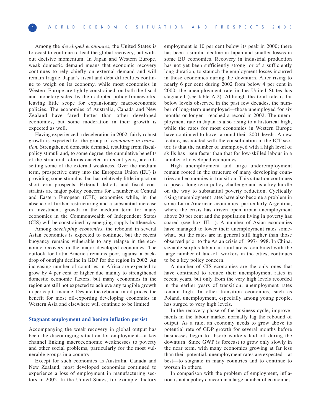Among the *developed economies*, the United States is forecast to continue to lead the global recovery, but without decisive momentum. In Japan and Western Europe, weak domestic demand means that economic recovery continues to rely chiefly on external demand and will remain fragile. Japan's fiscal and debt difficulties continue to weigh on its economy, while most economies in Western Europe are tightly constrained, on both the fiscal and monetary sides, by their adopted policy frameworks, leaving little scope for expansionary macroeconomic policies. The economies of Australia, Canada and New Zealand have fared better than other developed economies, but some moderation in their growth is expected as well.

Having experienced a deceleration in 2002, fairly robust growth is expected for the group of *economies in transition.* Strengthened domestic demand, resulting from fiscalpolicy stimuli and, to some degree, the cumulative benefits of the structural reforms enacted in recent years, are offsetting some of the external weakness. Over the medium term, prospective entry into the European Union (EU) is providing some stimulus, but has relatively little impact on short-term prospects. External deficits and fiscal constraints are major policy concerns for a number of Central and Eastern European (CEE) economies while, in the absence of further restructuring and a substantial increase in investment, growth in the medium term for many economies in the Commonwealth of Independent States (CIS) will be constrained by emerging supply bottlenecks.

Among *developing economies*, the rebound in several Asian economies is expected to continue, but the recent buoyancy remains vulnerable to any relapse in the economic recovery in the major developed economies. The outlook for Latin America remains poor, against a backdrop of outright decline in GDP for the region in 2002. An increasing number of countries in Africa are expected to grow by 4 per cent or higher due mainly to strengthened domestic economic factors, but many economies in the region are still not expected to achieve any tangible growth in per capita income. Despite the rebound in oil prices, the benefit for most oil-exporting developing economies in Western Asia and elsewhere will continue to be limited.

#### **Stagnant employment and benign inflation persist**

Accompanying the weak recovery in global output has been the discouraging situation for employment—a key channel linking macroeconomic weaknesses to poverty and other social problems, particularly for the most vulnerable groups in a country.

Except for such economies as Australia, Canada and New Zealand, most developed economies continued to experience a loss of employment in manufacturing sectors in 2002. In the United States, for example, factory employment is 10 per cent below its peak in 2000; there has been a similar decline in Japan and smaller losses in some EU economies. Recovery in industrial production has not yet been sufficiently strong, or of a sufficiently long duration, to staunch the employment losses incurred in those economies during the downturn. After rising to nearly 6 per cent during 2002 from below 4 per cent in 2000, the unemployment rate in the United States has stagnated (see table A.2). Although the total rate is far below levels observed in the past few decades, the number of long-term unemployed—those unemployed for six months or longer—reached a record in 2002. The unemployment rate in Japan is also rising to a historical high, while the rates for most economies in Western Europe have continued to hover around their 2001 levels. A new feature, associated with the consolidation in the ICT sector, is that the number of unemployed with a high level of skills has risen faster than that for low-skilled labour in a number of developed economies.

High unemployment and large underemployment remain rooted in the structure of many developing countries and economies in transition. This situation continues to pose a long-term policy challenge and is a key hurdle on the way to substantial poverty reduction. Cyclically rising unemployment rates have also become a problem in some Latin American economies, particularly Argentina, where the crisis has driven open urban unemployment above 20 per cent and the population living in poverty has soared (see box III.1.). A number of Asian economies have managed to lower their unemployment rates somewhat, but the rates are in general still higher than those observed prior to the Asian crisis of 1997-1998. In China, sizeable surplus labour in rural areas, combined with the large number of laid-off workers in the cities, continues to be a key policy concern.

A number of CIS economies are the only ones that have continued to reduce their unemployment rates in recent years, but only from the very high levels recorded in the earlier years of transition; unemployment rates remain high. In other transition economies, such as Poland, unemployment, especially among young people, has surged to very high levels.

In the recovery phase of the business cycle, improvements in the labour market normally lag the rebound of output. As a rule, an economy needs to grow above its potential rate of GDP growth for several months before businesses begin to absorb workers laid off during the downturn. Since GWP is forecast to grow only slowly in the near term, with many economies growing at far less than their potential, unemployment rates are expected—at best—to stagnate in many countries and to continue to worsen in others.

In comparison with the problem of employment, inflation is not a policy concern in a large number of economies.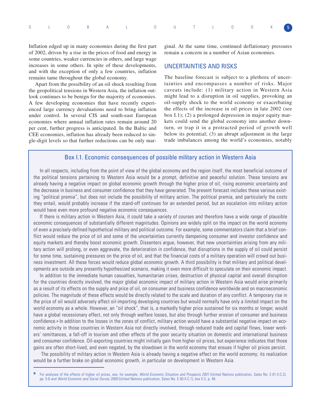|  |  |  | G L 0 B A L 0 U T L 0 0 K 5 |  |  |  |  |
|--|--|--|-----------------------------|--|--|--|--|
|  |  |  |                             |  |  |  |  |

Inflation edged up in many economies during the first part of 2002, driven by a rise in the prices of food and energy in some countries, weaker currencies in others, and large wage increases in some others. In spite of these developments, and with the exception of only a few countries, inflation remains tame throughout the global economy.

Apart from the possibility of an oil shock resulting from the geopolitical tensions in Western Asia, the inflation outlook continues to be benign for the majority of economies. A few developing economies that have recently experienced large currency devaluations need to bring inflation under control. In several CIS and south-east European economies where annual inflation rates remain around 20 per cent, further progress is anticipated. In the Baltic and CEE economies, inflation has already been reduced to single-digit levels so that further reductions can be only mar-

ginal. At the same time, continued deflationary pressures remain a concern in a number of Asian economies.

# UNCERTAINTIES AND RISKS

The baseline forecast is subject to a plethora of uncertainties and encompasses a number of risks. Major caveats include: (1) military action in Western Asia might lead to a disruption in oil supplies, provoking an oil-supply shock to the world economy or exacerbating the effects of the increase in oil prices in late 2002 (see box I.1); (2) a prolonged depression in major equity markets could send the global economy into another downturn, or trap it in a protracted period of growth well below its potential; (3) an abrupt adjustment in the large trade imbalances among the world's economies, notably

# Box I.1. Economic consequences of possible military action in Western Asia

In all respects, including from the point of view of the global economy and the region itself, the most beneficial outcome of the political tensions pertaining to Western Asia would be a prompt, definitive and peaceful solution. These tensions are already having a negative impact on global economic growth through the higher price of oil, rising economic uncertainty and the decrease in business and consumer confidence that they have generated. The present forecast includes these various existing "political premia", but does not include the possibility of military action. The political premia, and particularly the costs they entail, would probably increase if the stand-off continues for an extended period, but an escalation into military action would have even more profound negative economic consequences.

If there is military action in Western Asia, it could take a variety of courses and therefore have a wide range of plausible economic consequences of substantially different magnitudes. Opinions are widely split on the impact on the world economy of even a precisely-defined hypothetical military and political outcome. For example, some commentators claim that a brief conflict would reduce the price of oil and some of the uncertainties currently dampening consumer and investor confidence and equity markets and thereby boost economic growth. Dissenters argue, however, that new uncertainties arising from any military action will prolong, or even aggravate, the deterioration in confidence, that disruptions in the supply of oil could persist for some time, sustaining pressures on the price of oil, and that the financial costs of a military operation will crowd out business investment. All these forces would reduce global economic growth. A third possibility is that military and political developments are outside any presently hypothesized scenario, making it even more difficult to speculate on their economic impact.

In addition to the immediate human casualties, humanitarian crises, destruction of physical capital and overall disruption for the countries directly involved, the major global economic impact of military action in Western Asia would arise primarily as a result of its effects on the supply and price of oil, on consumer and business confidence worldwide and on macroeconomic policies. The magnitude of these effects would be directly related to the scale and duration of any conflict. A temporary rise in the price of oil would adversely affect oil-importing developing countries but would normally have only a limited impact on the world economy as a whole. However, an "oil shock", that is, a markedly higher price sustained for six months or longer, would have a global recessionary effect, not only through welfare losses, but also through further erosion of consumer and business confidence.**<sup>a</sup>** In addition to the losses in the zones of conflict, military action would have a substantial negative impact on economic activity in those countries in Western Asia not directly involved, through reduced trade and capital flows, lower workers' remittances, a fall-off in tourism and other effects of the poor security situation on domestic and international business and consumer confidence. Oil-exporting countries might initially gain from higher oil prices, but experience indicates that those gains are often short-lived, and even negated, by the slowdown in the world economy that ensues if higher oil prices persist.

The possibility of military action in Western Asia is already having a negative effect on the world economy; its realization would be a further brake on global economic growth, in particular on development in Western Asia.

For analyses of the effects of higher oil prices, see, for example, World Economic Situation and Prospects 2001 (United Nations publication, Sales No. E.01.II.C.2), pp. 5-6 and World Economic and Social Survey 2000 (United Nations publication, Sales No. E.00.II.C.1), box II.2, p. 48.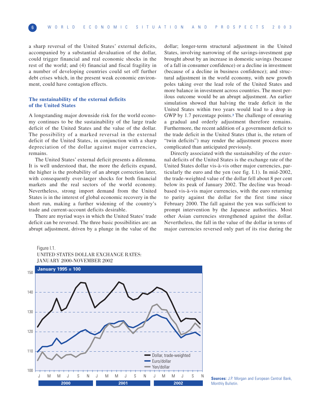a sharp reversal of the United States' external deficits, accompanied by a substantial devaluation of the dollar, could trigger financial and real economic shocks in the rest of the world; and (4) financial and fiscal fragility in a number of developing countries could set off further debt crises which, in the present weak economic environment, could have contagion effects.

#### **The sustainability of the external deficits of the United States**

A longstanding major downside risk for the world economy continues to be the sustainability of the large trade deficit of the United States and the value of the dollar. The possibility of a marked reversal in the external deficit of the United States, in conjunction with a sharp depreciation of the dollar against major currencies, remains.

The United States' external deficit presents a dilemma. It is well understood that, the more the deficits expand, the higher is the probability of an abrupt correction later, with consequently ever-larger shocks for both financial markets and the real sectors of the world economy. Nevertheless, strong import demand from the United States is in the interest of global economic recovery in the short run, making a further widening of the country's trade and current-account deficits desirable.

There are myriad ways in which the United States' trade deficit can be reversed. The three basic possibilities are: an abrupt adjustment, driven by a plunge in the value of the

dollar; longer-term structural adjustment in the United States, involving narrowing of the savings-investment gap brought about by an increase in domestic savings (because of a fall in consumer confidence) or a decline in investment (because of a decline in business confidence); and structural adjustment in the world economy, with new growth poles taking over the lead role of the United States and more balance in investment across countries. The most perilous outcome would be an abrupt adjustment. An earlier simulation showed that halving the trade deficit in the United States within two years would lead to a drop in GWP by 1.7 percentage points.**<sup>7</sup>** The challenge of ensuring a gradual and orderly adjustment therefore remains. Furthermore, the recent addition of a government deficit to the trade deficit in the United States (that is, the return of "twin deficits") may render the adjustment process more complicated than anticipated previously.

Directly associated with the sustainability of the external deficits of the United States is the exchange rate of the United States dollar vis-à-vis other major currencies, particularly the euro and the yen (see fig. I.1). In mid-2002, the trade-weighted value of the dollar fell about 8 per cent below its peak of January 2002. The decline was broadbased vis-à-vis major currencies, with the euro returning to parity against the dollar for the first time since February 2000. The fall against the yen was sufficient to prompt intervention by the Japanese authorities. Most other Asian currencies strengthened against the dollar. Nevertheless, the fall in the value of the dollar in terms of major currencies reversed only part of its rise during the

#### Figure I.1.

UNITED STATES DOLLAR EXCHANGE RATES: JANUARY 2000-NOVEMBER 2002



**Sources:** J.P. Morgan and European Central Bank, Monthly Bulletin.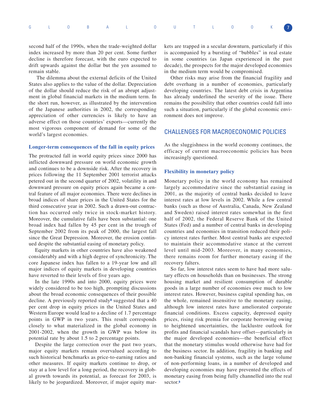|  |  |  | G L 0 B A L 0 U T L 0 0 K 7 |  |  |  |  |
|--|--|--|-----------------------------|--|--|--|--|
|  |  |  |                             |  |  |  |  |
|  |  |  |                             |  |  |  |  |

second half of the 1990s, when the trade-weighted dollar index increased by more than 20 per cent. Some further decline is therefore forecast, with the euro expected to drift upwards against the dollar but the yen assumed to remain stable.

The dilemma about the external deficits of the United States also applies to the value of the dollar. Depreciation of the dollar should reduce the risk of an abrupt adjustment in global financial markets in the medium term. In the short run, however, as illustrated by the intervention of the Japanese authorities in 2002, the corresponding appreciation of other currencies is likely to have an adverse effect on those countries' exports—currently the most vigorous component of demand for some of the world's largest economies.

#### **Longer-term consequences of the fall in equity prices**

The protracted fall in world equity prices since 2000 has inflicted downward pressure on world economic growth and continues to be a downside risk. After the recovery in prices following the 11 September 2001 terrorist attacks petered out in the second quarter of 2002, volatility in and downward pressure on equity prices again became a central feature of all major economies. There were declines in broad indices of share prices in the United States for the third consecutive year in 2002. Such a drawn-out contraction has occurred only twice in stock-market history. Moreover, the cumulative falls have been substantial: one broad index had fallen by 45 per cent in the trough of September 2002 from its peak of 2000, the largest fall since the Great Depression. Moreover, the erosion continued despite the substantial easing of monetary policy.

Equity markets in other countries have also weakened considerably and with a high degree of synchronicity. The core Japanese index has fallen to a 19-year low and all major indices of equity markets in developing countries have reverted to their levels of five years ago.

In the late 1990s and into 2000, equity prices were widely considered to be too high, prompting discussions about the broad economic consequences of their possible decline. A previously reported study**<sup>8</sup>** suggested that a 40 per cent drop in equity prices in the United States and Western Europe would lead to a decline of 1.7 percentage points in GWP in two years. This result corresponds closely to what materialized in the global economy in 2001-2002, when the growth in GWP was below its potential rate by about 1.5 to 2 percentage points.

Despite the large correction over the past two years, major equity markets remain overvalued according to such historical benchmarks as price-to-earning ratios and other measures. If equity markets continue to drop, or stay at a low level for a long period, the recovery in global growth towards its potential, as forecast for 2003, is likely to be jeopardized. Moreover, if major equity markets are trapped in a secular downturn, particularly if this is accompanied by a bursting of "bubbles" in real estate in some countries (as Japan experienced in the past decade), the prospects for the major developed economies in the medium term would be compromised.

Other risks may arise from the financial fragility and debt overhang in a number of economies, particularly developing countries. The latest debt crisis in Argentina has already underlined the severity of the issue. There remains the possibility that other countries could fall into such a situation, particularly if the global economic environment does not improve.

# CHALLENGES FOR MACROECONOMIC POLICIES

As the sluggishness in the world economy continues, the efficacy of current macroeconomic policies has been increasingly questioned.

#### **Flexibility in monetary policy**

Monetary policy in the world economy has remained largely accommodative since the substantial easing in 2001, as the majority of central banks decided to leave interest rates at low levels in 2002. While a few central banks (such as those of Australia, Canada, New Zealand and Sweden) raised interest rates somewhat in the first half of 2002, the Federal Reserve Bank of the United States (Fed) and a number of central banks in developing countries and economies in transition reduced their policy interest rates further. Most central banks are expected to maintain their accommodative stance at the current level until mid-2003. Moreover, in many economies, there remains room for further monetary easing if the recovery falters.

So far, low interest rates seem to have had more salutary effects on households than on businesses. The strong housing market and resilient consumption of durable goods in a large number of economies owe much to low interest rates. However, business capital spending has, on the whole, remained insensitive to the monetary easing, although low interest rates have ameliorated corporate financial conditions. Excess capacity, depressed equity prices, rising risk premia for corporate borrowing owing to heightened uncertainties, the lacklustre outlook for profits and financial scandals have offset—particularly in the major developed economies—the beneficial effect that the monetary stimulus would otherwise have had for the business sector. In addition, fragility in banking and non-banking financial systems, such as the large volume of non-performing loans, in a number of developed and developing economies may have prevented the effects of monetary easing from being fully channelled into the real sector.**<sup>9</sup>**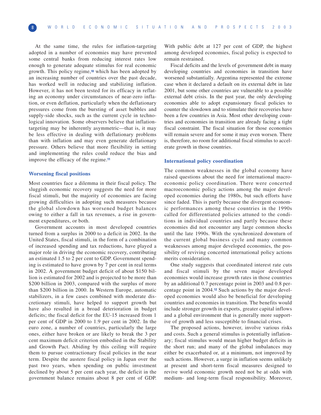At the same time, the rules for inflation-targeting adopted in a number of economies may have prevented some central banks from reducing interest rates low enough to generate adequate stimulus for real economic growth. This policy regime,**<sup>10</sup>** which has been adopted by an increasing number of countries over the past decade, has worked well in reducing and stabilizing inflation. However, it has not been tested for its efficacy in reflating an economy under circumstances of near-zero inflation, or even deflation, particularly when the deflationary pressures come from the bursting of asset bubbles and supply-side shocks, such as the current cycle in technological innovation. Some observers believe that inflationtargeting may be inherently asymmetric—that is, it may be less effective in dealing with deflationary problems than with inflation and may even generate deflationary pressure. Others believe that more flexibility in setting and implementing the rules could reduce the bias and improve the efficacy of the regime.**<sup>11</sup>**

#### **Worsening fiscal positions**

Most countries face a dilemma in their fiscal policy. The sluggish economic recovery suggests the need for more fiscal stimuli, but the majority of economies are facing growing difficulties in adopting such measures because the global slowdown has worsened budget balances owing to either a fall in tax revenues, a rise in government expenditures, or both.

Government accounts in most developed countries turned from a surplus in 2000 to a deficit in 2002. In the United States, fiscal stimuli, in the form of a combination of increased spending and tax reductions, have played a major role in driving the economic recovery, contributing an estimated 1.5 to 2 per cent to GDP. Government spending is estimated to have grown by 7 per cent in real terms in 2002. A government budget deficit of about \$150 billion is estimated for 2002 and is projected to be more than \$200 billion in 2003, compared with the surplus of more than \$200 billion in 2000. In Western Europe, automatic stabilizers, in a few cases combined with moderate discretionary stimuli, have helped to support growth but have also resulted in a broad deterioration in budget deficits; the fiscal deficit for the EU-15 increased from 1 per cent of GDP in 2000 to 1.9 per cent in 2002. In the euro zone, a number of countries, particularly the large ones, either have broken or are likely to break the 3 per cent maximum deficit criterion embodied in the Stability and Growth Pact. Abiding by this ceiling will require them to pursue contractionary fiscal policies in the near term. Despite the austere fiscal policy in Japan over the past two years, when spending on public investment declined by about 5 per cent each year, the deficit in the government balance remains about 8 per cent of GDP.

With public debt at 127 per cent of GDP, the highest among developed economies, fiscal policy is expected to remain restrained.

Fiscal deficits and the levels of government debt in many developing countries and economies in transition have worsened substantially. Argentina represented the extreme case when it declared a default on its external debt in late 2001, but some other countries are vulnerable to a possible external debt crisis. In the past year, the only developing economies able to adopt expansionary fiscal policies to counter the slowdown and to stimulate their recoveries have been a few countries in Asia. Most other developing countries and economies in transition are already facing a tight fiscal constraint. The fiscal situation for those economies will remain severe and for some it may even worsen. There is, therefore, no room for additional fiscal stimulus to accelerate growth in those countries.

#### **International policy coordination**

The common weaknesses in the global economy have raised questions about the need for international macroeconomic policy coordination. There were concerted macroeconomic policy actions among the major developed economies during the 1980s, but such efforts have since faded. This is partly because the divergent economic performances among these countries in the 1990s called for differentiated policies attuned to the conditions in individual countries and partly because these economies did not encounter any large common shocks until the late 1990s. With the synchronized downturn of the current global business cycle and many common weaknesses among major developed economies, the possibility of reviving concerted international policy actions merits consideration.

One study suggests that coordinated interest rate cuts and fiscal stimuli by the seven major developed economies would increase growth rates in those countries by an additional 0.7 percentage point in 2003 and 0.8 percentage point in 2004.**<sup>12</sup>** Such actions by the major developed economies would also be beneficial for developing countries and economies in transition. The benefits would include stronger growth in exports, greater capital inflows and a global environment that is generally more supportive of growth and less susceptible to financial crises.

The proposed actions, however, involve various risks and costs. Such a general stimulus is potentially inflationary; fiscal stimulus would mean higher budget deficits in the short run; and many of the global imbalances may either be exacerbated or, at a minimum, not improved by such actions. However, a surge in inflation seems unlikely at present and short-term fiscal measures designed to revive world economic growth need not be at odds with medium- and long-term fiscal responsibility. Moreover,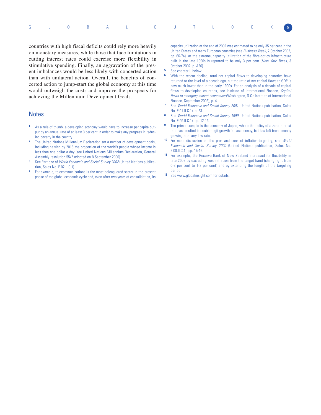|  |  |  | G L O B A L O U T L O O K 9 |  |  |  |  |
|--|--|--|-----------------------------|--|--|--|--|
|  |  |  |                             |  |  |  |  |

countries with high fiscal deficits could rely more heavily on monetary measures, while those that face limitations in cutting interest rates could exercise more flexibility in stimulative spending. Finally, an aggravation of the present imbalances would be less likely with concerted action than with unilateral action. Overall, the benefits of concerted action to jump-start the global economy at this time would outweigh the costs and improve the prospects for achieving the Millennium Development Goals.

# **Notes**

- **1** As a rule of thumb, a developing economy would have to increase per capita output by an annual rate of at least 3 per cent in order to make any progress in reducing poverty in the country.
- **2** The United Nations Millennium Declaration set a number of development goals, including halving by 2015 the proportion of the world's people whose income is less than one dollar a day (see United Nations Millennium Declaration, General Assembly resolution 55/2 adopted on 8 September 2000).
- **3** See Part one of World Economic and Social Survey 2002 (United Nations publication, Sales No. E.02.II.C.1).
- **4** For example, telecommunications is the most beleaguered sector in the present phase of the global economic cycle and, even after two years of consolidation, its

capacity utilization at the end of 2002 was estimated to be only 35 per cent in the United States and many European countries (see Business Week, 7 October 2002, pp. 66-74). At the extreme, capacity utilization of the fibre-optics infrastructure built in the late 1990s is reported to be only 3 per cent (New York Times, 3 October 2002, p. A26).

- **5** See chapter II below.<br>**6** With the recent decl
- With the recent decline, total net capital flows to developing countries have returned to the level of a decade ago, but the ratio of net capital flows to GDP is now much lower than in the early 1990s. For an analysis of a decade of capital flows to developing countries, see Institute of International Finance, Capital flows to emerging market economies (Washington, D.C.: Institute of International Finance, September 2002), p. 4.
- **7** See World Economic and Social Survey 2001 (United Nations publication, Sales No. E.01.II.C.1), p. 23.
- **8** See World Economic and Social Survey 1999 (United Nations publication, Sales No. E.99.II.C.1), pp. 12-13.
- **9** The prime example is the economy of Japan, where the policy of a zero interest rate has resulted in double-digit growth in base money, but has left broad money growing at a very low rate.
- **10** For more discussion on the pros and cons of inflation-targeting, see World Economic and Social Survey 2000 (United Nations publication, Sales No. E.00.II.C.1), pp. 15-16.
- **11** For example, the Reserve Bank of New Zealand increased its flexibility in late 2002 by excluding zero inflation from the target band (changing it from 0-3 per cent to 1-3 per cent) and by extending the length of the targeting period.
- 12 See www.globalinsight.com for details.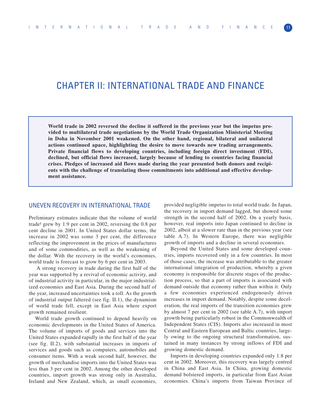# CHAPTER II: INTERNATIONAL TRADE AND FINANCE

**World trade in 2002 reversed the decline it suffered in the previous year but the impetus provided to multilateral trade negotiations by the World Trade Organization Ministerial Meeting in Doha in November 2001 weakened. On the other hand, regional, bilateral and unilateral actions continued apace, highlighting the desire to move towards new trading arrangements. Private financial flows to developing countries, including foreign direct investment (FDI), declined, but official flows increased, largely because of lending to countries facing financial crises. Pledges of increased aid flows made during the year presented both donors and recipients with the challenge of translating those commitments into additional and effective development assistance.**

# UNEVEN RECOVERY IN INTERNATIONAL TRADE

Preliminary estimates indicate that the volume of world trade**<sup>1</sup>** grew by 1.9 per cent in 2002, reversing the 0.8 per cent decline in 2001. In United States dollar terms, the increase in 2002 was some 3 per cent, the difference reflecting the improvement in the prices of manufactures and of some commodities, as well as the weakening of the dollar. With the recovery in the world's economies, world trade is forecast to grow by 6 per cent in 2003.

A strong recovery in trade during the first half of the year was supported by a revival of economic activity, and of industrial activity in particular, in the major industrialized economies and East Asia. During the second half of the year, increased uncertainties took a toll. As the growth of industrial output faltered (see fig. II.1), the dynamism of world trade fell, except in East Asia where export growth remained resilient.

World trade growth continued to depend heavily on economic developments in the United States of America. The volume of imports of goods and services into the United States expanded rapidly in the first half of the year (see fig. II.2), with substantial increases in imports of services and goods such as computers, automobiles and consumer items. With a weak second half, however, the growth of merchandise imports into the United States was less than 3 per cent in 2002. Among the other developed countries, import growth was strong only in Australia, Ireland and New Zealand, which, as small economies,

provided negligible impetus to total world trade. In Japan, the recovery in import demand lagged, but showed some strength in the second half of 2002. On a yearly basis, however, real imports into Japan continued to decline in 2002, albeit at a slower rate than in the previous year (see table A.7). In Western Europe, there was negligible growth of imports and a decline in several economies.

Beyond the United States and some developed countries, imports recovered only in a few countries. In most of those cases, the increase was attributable to the greater international integration of production, whereby a given economy is responsible for discrete stages of the production process, so that a part of imports is associated with demand outside that economy rather than within it. Only a few economies experienced endogenously driven increases in import demand. Notably, despite some deceleration, the real imports of the transition economies grew by almost 7 per cent in 2002 (see table A.7), with import growth being particularly robust in the Commonwealth of Independent States (CIS). Imports also increased in most Central and Eastern European and Baltic countries, largely owing to the ongoing structural transformation, sustained in many instances by strong inflows of FDI and growing domestic demand.

Imports in developing countries expanded only 1.8 per cent in 2002. Moreover, this recovery was largely centred in China and East Asia. In China, growing domestic demand bolstered imports, in particular from East Asian economies. China's imports from Taiwan Province of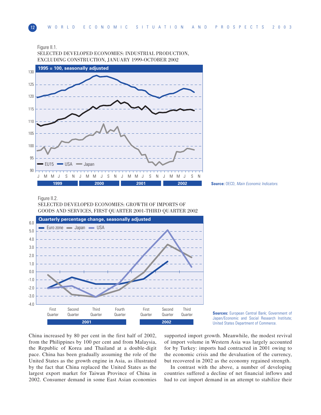



SELECTED DEVELOPED ECONOMIES: INDUSTRIAL PRODUCTION, EXCLUDING CONSTRUCTION, JANUARY 1999-OCTOBER 2002



#### Figure II.2.

SELECTED DEVELOPED ECONOMIES: GROWTH OF IMPORTS OF GOODS AND SERVICES, FIRST QUARTER 2001-THIRD QUARTER 2002



**Sources:** European Central Bank; Government of Japan/Economic and Social Research Institute; United States Department of Commerce.

China increased by 80 per cent in the first half of 2002, from the Philippines by 100 per cent and from Malaysia, the Republic of Korea and Thailand at a double-digit pace. China has been gradually assuming the role of the United States as the growth engine in Asia, as illustrated by the fact that China replaced the United States as the largest export market for Taiwan Province of China in 2002. Consumer demand in some East Asian economies

supported import growth. Meanwhile, the modest revival of import volume in Western Asia was largely accounted for by Turkey: imports had contracted in 2001 owing to the economic crisis and the devaluation of the currency, but recovered in 2002 as the economy regained strength.

In contrast with the above, a number of developing countries suffered a decline of net financial inflows and had to cut import demand in an attempt to stabilize their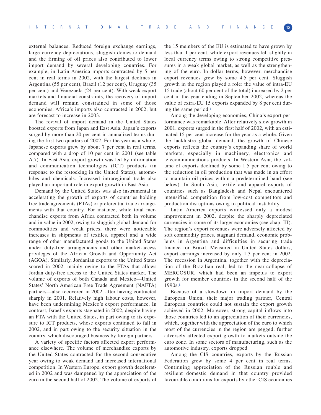external balances. Reduced foreign exchange earnings, large currency depreciations, sluggish domestic demand and the firming of oil prices also contributed to lower import demand by several developing countries. For example, in Latin America imports contracted by 5 per cent in real terms in 2002, with the largest declines in Argentina (55 per cent), Brazil (12 per cent), Uruguay (35 per cent) and Venezuela (24 per cent). With weak export markets and financial constraints, the recovery of import demand will remain constrained in some of those economies. Africa's imports also contracted in 2002, but are forecast to increase in 2003.

The revival of import demand in the United States boosted exports from Japan and East Asia. Japan's exports surged by more than 20 per cent in annualized terms during the first two quarters of 2002. For the year as a whole, Japanese exports grew by about 7 per cent in real terms, compared with a drop of 10 per cent in 2001 (see table A.7). In East Asia, export growth was led by information and communication technologies (ICT) products (in response to the restocking in the United States), automobiles and chemicals. Increased intraregional trade also played an important role in export growth in East Asia.

Demand by the United States was also instrumental in accelerating the growth of exports of countries holding free trade agreements (FTAs) or preferential trade arrangements with that country. For instance, while total merchandise exports from Africa contracted both in volume and in value in 2002, owing to sluggish global demand for commodities and weak prices, there were noticeable increases in shipments of textiles, apparel and a wide range of other manufactured goods to the United States under duty-free arrangements and other market-access privileges of the African Growth and Opportunity Act (AGOA). Similarly, Jordanian exports to the United States soared in 2002, mainly owing to the FTAs that allows Jordan duty-free access to the United States market. The volume of exports of both Canada and Mexico—United States' North American Free Trade Agreement (NAFTA) partners—also recovered in 2002, after having contracted sharply in 2001. Relatively high labour costs, however, have been undermining Mexico's export performance. In contrast, Israel's exports stagnated in 2002, despite having an FTA with the United States, in part owing to its exposure to ICT products, whose exports continued to fall in 2002, and in part owing to the security situation in the country, which discouraged business by foreign partners.

A variety of specific factors affected export performance elsewhere. The volume of merchandise exports by the United States contracted for the second consecutive year owing to weak demand and increased international competition. In Western Europe, export growth decelerated in 2002 and was dampened by the appreciation of the euro in the second half of 2002. The volume of exports of the 15 members of the EU is estimated to have grown by less than 1 per cent, while export revenues fell slightly in local currency terms owing to strong competitive pressures in a weak global market, as well as the strengthening of the euro. In dollar terms, however, merchandise export revenues grew by some 4.5 per cent. Sluggish growth in the region played a role: the value of intra-EU 15 trade (about 60 per cent of the total) increased by 2 per cent in the year ending in September 2002, whereas the value of extra-EU 15 exports expanded by 8 per cent during the same period.**<sup>2</sup>**

Among the developing economies, China's export performance was remarkable. After relatively slow growth in 2001, exports surged in the first half of 2002, with an estimated 15 per cent increase for the year as a whole. Given the lacklustre global demand, the growth of Chinese exports reflects the country's expanding share of world markets, especially in machinery, electronics and telecommunications products. In Western Asia, the volume of exports declined by some 1.5 per cent owing to the reduction in oil production that was made in an effort to maintain oil prices within a predetermined band (see below). In South Asia, textile and apparel exports of countries such as Bangladesh and Nepal encountered intensified competition from low-cost competitors and production disruptions owing to political instability.

Latin America exports witnessed only a modest improvement in 2002, despite the sharply depreciated currencies in some of its larger economies (see chap. III). The region's export revenues were adversely affected by soft commodity prices, stagnant demand, economic problems in Argentina and difficulties in securing trade finance for Brazil. Measured in United States dollars, export earnings increased by only 1.3 per cent in 2002. The recession in Argentina, together with the depreciation of the Brazilian real, led to the near-collapse of MERCOSUR, which had been an impetus to export growth for member countries in the second half of the 1990s.**<sup>3</sup>**

Because of a slowdown in import demand by the European Union, their major trading partner, Central European countries could not sustain the export growth achieved in 2002. Moreover, strong capital inflows into those countries led to an appreciation of their currencies, which, together with the appreciation of the euro to which most of the currencies in the region are pegged, further adversely affected export growth to markets outside the euro zone. In some sectors of manufacturing, such as the automotive industry, exports dropped.

Among the CIS countries, exports by the Russian Federation grew by some 4 per cent in real terms. Continuing appreciation of the Russian rouble and resilient domestic demand in that country provided favourable conditions for exports by other CIS economies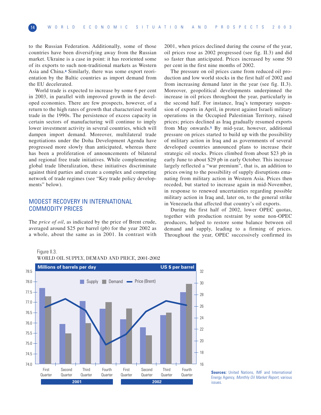to the Russian Federation. Additionally, some of those countries have been diversifying away from the Russian market. Ukraine is a case in point: it has reoriented some of its exports to such non-traditional markets as Western Asia and China.**<sup>4</sup>** Similarly, there was some export reorientation by the Baltic countries as import demand from the EU decelerated.

World trade is expected to increase by some 6 per cent in 2003, in parallel with improved growth in the developed economies. There are few prospects, however, of a return to the high rates of growth that characterized world trade in the 1990s. The persistence of excess capacity in certain sectors of manufacturing will continue to imply lower investment activity in several countries, which will dampen import demand. Moreover, multilateral trade negotiations under the Doha Development Agenda have progressed more slowly than anticipated, whereas there has been a proliferation of announcements of bilateral and regional free trade initiatives. While complementing global trade liberalization, these initiatives discriminate against third parties and create a complex and competing network of trade regimes (see "Key trade policy developments" below).

# MODEST RECOVERY IN INTERNATIONAL COMMODITY PRICES

The *price of oil*, as indicated by the price of Brent crude, averaged around \$25 per barrel (pb) for the year 2002 as a whole, about the same as in 2001. In contrast with 2001, when prices declined during the course of the year, oil prices rose as 2002 progressed (see fig. II.3) and did so faster than anticipated. Prices increased by some 50 per cent in the first nine months of 2002.

The pressure on oil prices came from reduced oil production and low world stocks in the first half of 2002 and from increasing demand later in the year (see fig. II.3). Moreover, geopolitical developments underpinned the increase in oil prices throughout the year, particularly in the second half. For instance, Iraq's temporary suspension of exports in April, in protest against Israeli military operations in the Occupied Palestinian Territory, raised prices; prices declined as Iraq gradually resumed exports from May onwards.**<sup>5</sup>** By mid-year, however, additional pressure on prices started to build up with the possibility of military action in Iraq and as governments of several developed countries announced plans to increase their strategic oil stocks. Prices climbed from about \$23 pb in early June to about \$29 pb in early October. This increase largely reflected a "war premium", that is, an addition to prices owing to the possibility of supply disruptions emanating from military action in Western Asia. Prices then receded, but started to increase again in mid-November, in response to renewed uncertainties regarding possible military action in Iraq and, later on, to the general strike in Venezuela that affected that country's oil exports.

During the first half of 2002, lower OPEC quotas, together with production restraint by some non-OPEC producers, helped to restore some balance between oil demand and supply, leading to a firming of prices. Throughout the year, OPEC successively confirmed its

Figure II.3. WORLD OIL SUPPLY, DEMAND AND PRICE, 2001-2002



**Sources:** United Nations, IMF and International Energy Agency, Monthly Oil Market Report, various issues.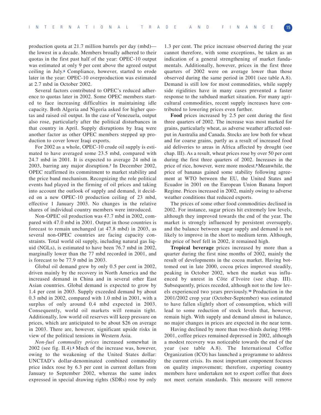production quota at 21.7 million barrels per day (mbd) the lowest in a decade. Members broadly adhered to their quotas in the first past half of the year: OPEC-10 output was estimated at only 9 per cent above the agreed output ceiling in July.**<sup>6</sup>** Compliance, however, started to erode later in the year: OPEC-10 overproduction was estimated at 2.7 mbd in October 2002.

Several factors contributed to OPEC's reduced adherence to quotas later in 2002. Some OPEC members started to face increasing difficulties in maintaining idle capacity. Both Algeria and Nigeria asked for higher quotas and raised oil output. In the case of Venezuela, output also rose, particularly after the political disturbances in that country in April. Supply disruptions by Iraq were another factor as other OPEC members stepped up production to cover lower Iraqi exports.

For 2002 as a whole, OPEC-10 crude oil supply is estimated to have averaged some 23.5 mbd, compared with 24.7 mbd in 2001. It is expected to average 24 mbd in 2003, barring any major disruption.**<sup>7</sup>** In December 2002, OPEC reaffirmed its commitment to market stability and the price band mechanism. Recognizing the role political events had played in the firming of oil prices and taking into account the outlook of supply and demand, it decided on a new OPEC-10 production ceiling of 23 mbd, effective 1 January 2003. No changes in the relative shares of individual country members were introduced.

Non-OPEC oil production was 47.7 mbd in 2002, compared with 47.0 mbd in 2001. Output in those countries is forecast to remain unchanged (at 47.8 mbd) in 2003, as several non-OPEC countries are facing capacity constraints. Total world oil supply, including natural gas liquid (NGLs), is estimated to have been 76.7 mbd in 2002, marginally lower than the 77 mbd recorded in 2001, and is forecast to be 77.9 mbd in 2003.

Global oil demand grew by only 0.5 per cent in 2002, driven mainly by the recovery in North America and the increased demand in China and in several other East Asian countries. Global demand is expected to grow by 1.4 per cent in 2003. Supply exceeded demand by about 0.3 mbd in 2002, compared with 1.0 mbd in 2001, with a surplus of only around 0.4 mbd expected in 2003. Consequently, world oil markets will remain tight. Additionally, low world oil reserves will keep pressure on prices, which are anticipated to be about \$26 on average in 2003. There are, however, significant upside risks in view of the political tensions in Western Asia.

*Non-fuel commodity prices* increased somewhat in 2002 (see fig. II.4).**<sup>8</sup>** Much of the increase was, however, owing to the weakening of the United States dollar: UNCTAD's dollar-denominated combined commodity price index rose by 6.3 per cent in current dollars from January to September 2002, whereas the same index expressed in special drawing rights (SDRs) rose by only

1.3 per cent. The price increase observed during the year cannot therefore, with some exceptions, be taken as an indication of a general strengthening of market fundamentals. Additionally, however, prices in the first three quarters of 2002 were on average lower than those observed during the same period in 2001 (see table A.8). Demand is still low for most commodities, while supply side rigidities have in many cases prevented a faster response to the subdued market situation. For many agricultural commodities, recent supply increases have contributed to lowering prices even further.

**Food** prices increased by 2.5 per cent during the first three quarters of 2002. The increase was most marked for grains, particularly wheat, as adverse weather affected output in Australia and Canada. Stocks are low both for wheat and for coarse grains, partly as a result of increased food aid deliveries to areas in Africa affected by drought (see chap. III). As a result, wheat prices rose by over 50 per cent during the first three quarters of 2002. Increases in the price of rice, however, were more modest.**9** Meanwhile, the price of bananas gained some stability following agreement at WTO between the EU, the United States and Ecuador in 2001 on the European Union Banana Import Regime. Prices increased in 2002, mainly owing to adverse weather conditions that reduced exports.

The prices of some other food commodities declined in 2002. For instance, sugar prices hit extremely low levels, although they improved towards the end of the year. The market is strongly influenced by persistent oversupply, and the balance between sugar supply and demand is not likely to improve in the short to medium term. Although, the price of beef fell in 2002, it remained high.

**Tropical beverage** prices increased by more than a quarter during the first nine months of 2002, mainly the result of developments in the cocoa market. Having bottomed out in late 2000, cocoa prices improved steadily, peaking in October 2002, when the market was influenced by unrest in Côte d'Ivoire (see chap. III). Subsequently, prices receded, although not to the low levels experienced two years previously.**<sup>10</sup>** Production in the 2001/2002 crop year (October-September) was estimated to have fallen slightly short of consumption, which will lead to some reduction of stock levels that, however, remain high. With supply and demand almost in balance, no major changes in prices are expected in the near term.

Having declined by more than two-thirds during 1998- 2001, coffee prices remained depressed in 2002, although a modest recovery was noticeable towards the end of the year (see table A.8). The International Coffee Organization (ICO) has launched a programme to address the current crisis. Its most important component focuses on quality improvement; therefore, exporting country members have undertaken not to export coffee that does not meet certain standards. This measure will remove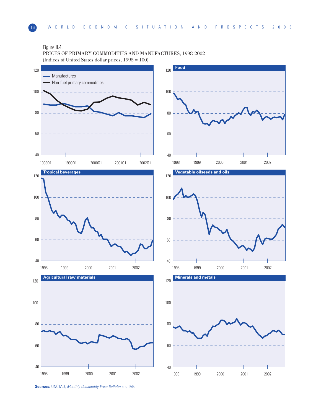# Figure II.4.

PRICES OF PRIMARY COMMODITIES AND MANUFACTURES, 1998-2002 (Indices of United States dollar prices, 1995 = 100)



**Sources:** UNCTAD, Monthly Commodity Price Bulletin and IMF.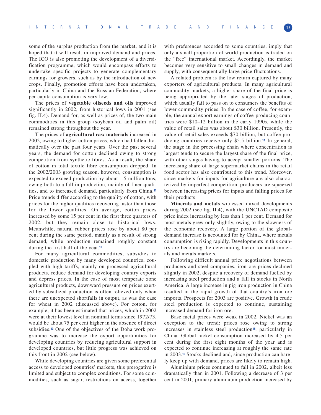some of the surplus production from the market, and it is hoped that it will result in improved demand and prices. The ICO is also promoting the development of a diversification programme, which would encompass efforts to undertake specific projects to generate complementary earnings for growers, such as by the introduction of new crops. Finally, promotion efforts have been undertaken, particularly in China and the Russian Federation, where per capita consumption is very low.

The prices of **vegetable oilseeds and oils** improved significantly in 2002, from historical lows in 2001 (see fig. II.4). Demand for, as well as prices of, the two main commodities in this group (soybean oil and palm oil) remained strong throughout the year.

The prices of **agricultural raw materials** increased in 2002, owing to higher cotton prices, which had fallen dramatically over the past four years. Over the past several years, the demand for cotton declined owing to strong competition from synthetic fibres. As a result, the share of cotton in total textile fibre consumption dropped. In the 2002/2003 growing season, however, consumption is expected to exceed production by about 1.5 million tons, owing both to a fall in production, mainly of finer qualities, and to increased demand, particularly from China.**<sup>11</sup>** Price trends differ according to the quality of cotton, with prices for the higher qualities recovering faster than those for the lower qualities. On average, cotton prices increased by some 15 per cent in the first three quarters of 2002, but they remain close to historical lows. Meanwhile, natural rubber prices rose by about 80 per cent during the same period, mainly as a result of strong demand, while production remained roughly constant during the first half of the year.**<sup>12</sup>**

For many agricultural commodities, subsidies to domestic production by many developed countries, coupled with high tariffs, mainly on processed agricultural products, reduce demand for developing country exports and depress prices. In the case of most temperate zone agricultural products, downward pressure on prices exerted by subsidized production is often relieved only when there are unexpected shortfalls in output, as was the case for wheat in 2002 (discussed above). For cotton, for example, it has been estimated that prices, which in 2002 were at their lowest level in nominal terms since 1972/73, would be about 75 per cent higher in the absence of direct subsidies.**<sup>13</sup>** One of the objectives of the Doha work programme was to increase the export opportunities for developing countries by reducing agricultural support in developed countries, but little progress was achieved on this front in 2002 (see below).

While developing countries are given some preferential access to developed countries' markets, this prerogative is limited and subject to complex conditions. For some commodities, such as sugar, restrictions on access, together with preferences accorded to some countries, imply that only a small proportion of world production is traded on the "free" international market. Accordingly, the market becomes very sensitive to small changes in demand and supply, with consequentially large price fluctuations.

A related problem is the low return captured by many exporters of agricultural products. In many agricultural commodity markets, a higher share of the final price is being appropriated by the later stages of production, which usually fail to pass on to consumers the benefits of lower commodity prices. In the case of coffee, for example, the annual export earnings of coffee-producing countries were \$10–12 billion in the early 1990s, while the value of retail sales was about \$30 billion. Presently, the value of retail sales exceeds \$70 billion, but coffee-producing countries receive only \$5.5 billion.**<sup>14</sup>** In general, the stage in the processing chain where concentration is largest tends to secure the largest share of the final price, with other stages having to accept smaller portions. The increasing share of large supermarket chains in the retail food sector has also contributed to this trend. Moreover, since markets for inputs for agriculture are also characterized by imperfect competition, producers are squeezed between increasing prices for inputs and falling prices for their products.

**Minerals and metals** witnessed mixed developments during 2002 (see fig. II.4), with the UNCTAD composite price index increasing by less than 1 per cent. Demand for most metals grew only slightly, owing to the slowness of the economic recovery. A large portion of the globaldemand increase is accounted for by China, where metals consumption is rising rapidly. Developments in this country are becoming the determining factor for most minerals and metals markets.

Following difficult annual price negotiations between producers and steel companies, iron ore prices declined slightly in 2002, despite a recovery of demand fuelled by increasing steel production and a fall in stocks in North America. A large increase in pig iron production in China resulted in the rapid growth of that country's iron ore imports. Prospects for 2003 are positive. Growth in crude steel production is expected to continue, sustaining increased demand for iron ore.

Base metal prices were weak in 2002. Nickel was an exception to the trend: prices rose owing to strong increases in stainless steel production**15**, particularly in China. Global nickel consumption increased by 4.5 per cent during the first eight months of the year and is expected to continue increasing at roughly the same rate in 2003.**<sup>16</sup>** Stocks declined and, since production can barely keep up with demand, prices are likely to remain high.

Aluminium prices continued to fall in 2002, albeit less dramatically than in 2001. Following a decrease of 3 per cent in 2001, primary aluminium production increased by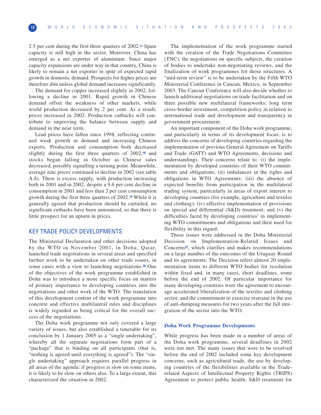2.5 per cent during the first three quarters of 2002.**<sup>17</sup>** Spare capacity is still high in the sector. Moreover, China has emerged as a net exporter of aluminium. Since major capacity expansions are under way in that country, China is likely to remain a net exporter in spite of expected rapid growth in domestic demand. Prospects for higher prices are therefore dim unless global demand increases significantly.

The demand for copper increased slightly in 2002, following a decline in 2001. Rapid growth in Chinese demand offset the weakness of other markets, while world production decreased by 2 per cent. As a result, prices increased in 2002. Production cutbacks will contribute to improving the balance between supply and demand in the near term.

Lead prices have fallen since 1998, reflecting continued weak growth in demand and increasing Chinese exports. Production and consumption both decreased slightly during the first three quarters of 2002,**<sup>18</sup>** and stocks began falling in October as Chinese sales decreased, possibly signalling a turning point. Meanwhile, average zinc prices continued to decline in 2002 (see table A.8). There is excess supply, with production increasing both in 2001 and in 2002, despite a 9.6 per cent decline in consumption in 2001 and less than 2 per cent consumption growth during the first three quarters of 2002.**<sup>19</sup>** While it is generally agreed that production should be curtailed, no significant cutbacks have been announced, so that there is little prospect for an upturn in prices.

# KEY TRADE POLICY DEVELOPMENTS

The Ministerial Declaration and other decisions adopted by the WTO in November 2001, in Doha, Qatar, launched trade negotiations in several areas and specified further work to be undertaken on other trade issues, in some cases with a view to launching negotiations.**<sup>20</sup>** One of the objectives of the work programme established in Doha was to introduce a more specific focus on matters of primary importance to developing countries into the negotiations and other work of the WTO. The translation of this development content of the work programme into concrete and effective multilateral rules and disciplines is widely regarded as being critical for the overall success of the negotiations.

The Doha work programme not only covered a large variety of issues, but also established a timetable for its conclusion by 1 January 2005 as a "single undertaking", whereby all the separate negotiations form part of a "package" that is binding on all participants (that is, "nothing is agreed until everything is agreed"). The "single undertaking" approach requires parallel progress in all areas of the agenda: if progress is slow on some items, it is likely to be slow on others also. To a large extent, this characterized the situation in 2002.

The implementation of the work programme started with the creation of the Trade Negotiations Committee (TNC), the negotiations on specific subjects, the creation of bodies to undertake non-negotiating reviews, and the finalization of work programmes for those structures. A "mid-term review" is to be undertaken by the Fifth WTO Ministerial Conference in Cancun, Mexico, in September 2003. The Cancun Conference will also decide whether to launch additional negotiations on trade facilitation and on three possible new multilateral frameworks: long term cross-border investment, competition policy in relation to international trade and development and transparency in government procurement.

An important component of the Doha work programme, and particularly in terms of its development focus, is to address the concerns of developing countries regarding the implementation of previous General Agreement on Tariffs and Trade (GATT) and WTO Agreements, decisions and understandings. Their concerns relate to: (i) the implementation by developed countries of their WTO commitments and obligations; (ii) imbalances in the rights and obligations in WTO Agreements; (iii) the absence of expected benefits from participation in the multilateral trading system, particularly in areas of export interest to developing countries (for example, agriculture and textiles and clothing); (iv) effective implementation of provisions on special and differential (S&D) treatment; and (v) the difficulties faced by developing countries' in implementing WTO commitments and obligations and their need for flexibility in this regard.

Those issues were addressed in the Doha Ministerial Decision on Implementation-Related Issues and Concerns**21**, which clarifies and makes recommendations on a large number of the outcomes of the Uruguay Round and its agreements. The Decision refers almost 20 implementation items to different WTO bodies for resolution within fixed and, in many cases, short deadlines, some before the end of 2002. Of particular importance for many developing countries were the agreement to encourage accelerated liberalization of the textiles and clothing sector, and the commitment to exercise restraint in the use of anti-dumping measures for two years after the full integration of the sector into the WTO.

#### **Doha Work Programme Developments**

While progress has been made in a number of areas of the Doha work programme, several deadlines in 2002 were not met. The many issues that were to be resolved before the end of 2002 included some key development concerns, such as agricultural trade, the use by developing countries of the flexibilities available in the Traderelated Aspects of Intellectual Property Rights (TRIPS) Agreement to protect public health, S&D treatment for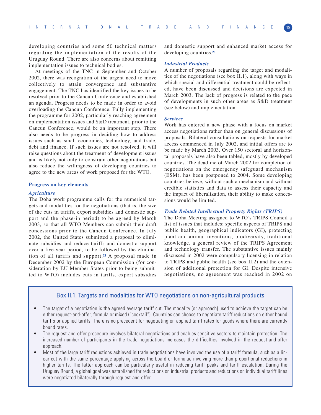developing countries and some 50 technical matters regarding the implementation of the results of the Uruguay Round. There are also concerns about remitting implementation issues to technical bodies.

At meetings of the TNC in September and October 2002, there was recognition of the urgent need to move collectively to attain convergence and substantive engagement. The TNC has identified the key issues to be resolved prior to the Cancun Conference and established an agenda. Progress needs to be made in order to avoid overloading the Cancun Conference. Fully implementing the programme for 2002, particularly reaching agreement on implementation issues and S&D treatment, prior to the Cancun Conference, would be an important step. There also needs to be progress in deciding how to address issues such as small economies, technology, and trade, debt and finance. If such issues are not resolved, it will raise questions about the treatment of development issues and is likely not only to constrain other negotiations but also reduce the willingness of developing countries to agree to the new areas of work proposed for the WTO.

#### **Progress on key elements**

#### *Agriculture*

The Doha work programme calls for the numerical targets and modalities for the negotiations (that is, the size of the cuts in tariffs, export subsidies and domestic support and the phase-in period) to be agreed by March 2003, so that all WTO Members can submit their draft concessions prior to the Cancun Conference. In July 2002, the United States submitted a proposal to eliminate subsidies and reduce tariffs and domestic support over a five-year period, to be followed by the elimination of all tariffs and support.**<sup>22</sup>** A proposal made in December 2002 by the European Commission (for consideration by EU Member States prior to being submitted to WTO) includes cuts in tariffs, export subsidies

and domestic support and enhanced market access for developing countries.**<sup>23</sup>**

#### *Industrial Products*

A number of proposals regarding the target and modalities of the negotiations (see box II.1), along with ways in which special and differential treatment could be reflected, have been discussed and decisions are expected in March 2003. The lack of progress is related to the pace of developments in such other areas as S&D treatment (see below) and implementation.

#### *Services*

Work has entered a new phase with a focus on market access negotiations rather than on general discussions of proposals. Bilateral consultations on requests for market access commenced in July 2002, and initial offers are to be made by March 2003. Over 150 sectoral and horizontal proposals have also been tabled, mostly by developed countries. The deadline of March 2002 for completion of negotiations on the emergency safeguard mechanism (ESM), has been postponed to 2004. Some developing countries believe, without such a mechanism and without credible statistics and data to assess their capacity and the impact of liberalization, their ability to make concessions would be limited.

#### *Trade Related Intellectual Property Rights (TRIPS)*

The Doha Meeting assigned to WTO's TRIPS Council a list of issues that includes: specific aspects of TRIPS and public health, geographical indicators (GI), protecting plant and animal inventions, biodiversity, traditional knowledge, a general review of the TRIPS Agreement and technology transfer. The substantive issues mainly discussed in 2002 were compulsory licensing in relation to TRIPS and public health (see box II.2) and the extension of additional protection for GI. Despite intensive negotiations, no agreement was reached in 2002 on

# Box II.1. Targets and modalities for WTO negotiations on non-agricultural products

- The target of a negotiation is the agreed average tariff cut. The modality (or approach) used to achieve the target can be either request-and-offer, formula or mixed ("cocktail"). Countries can choose to negotiate tariff reductions on either bound tariffs or applied tariffs. There is no precedent for negotiating on applied tariff rates for goods where there are currently bound rates.
- The request-and-offer procedure involves bilateral negotiations and enables sensitive sectors to maintain protection. The increased number of participants in the trade negotiations increases the difficulties involved in the request-and-offer approach.
- Most of the large tariff reductions achieved in trade negotiations have involved the use of a tariff formula, such as a linear cut with the same percentage applying across the board or formulae involving more than proportional reductions in higher tariffs. The latter approach can be particularly useful in reducing tariff peaks and tariff escalation. During the Uruguay Round, a global goal was established for reductions on industrial products and reductions on individual tariff lines were negotiated bilaterally through request-and-offer.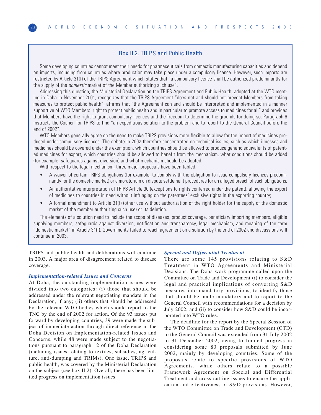# Box II.2. TRIPS and Public Health

Some developing countries cannot meet their needs for pharmaceuticals from domestic manufacturing capacities and depend on imports, including from countries where production may take place under a compulsory licence. However, such imports are restricted by Article 31(f) of the TRIPS Agreement which states that "a compulsory licence shall be authorized predominantly for the supply of the *domestic* market of the Member authorizing such use".

Addressing this question, the Ministerial Declaration on the TRIPS Agreement and Public Health, adopted at the WTO meeting in Doha in November 2001, recognizes that the TRIPS Agreement "does not and should not prevent Members from taking measures to protect public health", affirms that "the Agreement can and should be interpreted and implemented in a manner supportive of WTO Members' right to protect public health and in particular to promote access to medicines for all" and provides that Members have the right to grant compulsory licences and the freedom to determine the grounds for doing so. Paragraph 6 instructs the Council for TRIPS to find "an expeditious solution to the problem and to report to the General Council before the end of 2002".

WTO Members generally agree on the need to make TRIPS provisions more flexible to allow for the import of medicines produced under compulsory licences. The debate in 2002 therefore concentrated on technical issues, such as which illnesses and medicines should be covered under the exemption, which countries should be allowed to produce generic equivalents of patented medicines for export, which countries should be allowed to benefit from the mechanism, what conditions should be added (for example, safeguards against diversion) and what mechanism should be adopted.

With respect to the legal mechanism, three major proposals have been tabled:

- A waiver of certain TRIPS obligations (for example, to comply with the obligation to issue compulsory licences predominantly for the domestic market) or a moratorium on dispute settlement procedures for an alleged breach of such obligations;
- An authoritative interpretation of TRIPS Article 30 (exceptions to rights conferred under the patent), allowing the export of medicines to countries in need without infringing on the patentees' exclusive rights in the exporting country;
- A formal amendment to Article 31(f) (other use without authorization of the right holder for the supply of the domestic market of the member authorizing such use) or its deletion.

The elements of a solution need to include the scope of diseases, product coverage, beneficiary importing members, eligible supplying members, safeguards against diversion, notification and transparency, legal mechanism, and meaning of the term "domestic market" in Article 31(f). Governments failed to reach agreement on a solution by the end of 2002 and discussions will continue in 2003.

TRIPS and public health and deliberations will continue in 2003. A major area of disagreement related to disease coverage.

## *Implementation-related Issues and Concerns*

At Doha, the outstanding implementation issues were divided into two categories: (i) those that should be addressed under the relevant negotiating mandate in the Declaration, if any; (ii) others that should be addressed by the relevant WTO bodies which should report to the TNC by the end of 2002 for action. Of the 93 issues put forward by developing countries, 39 were made the subject of immediate action through direct reference in the Doha Decision on Implementation-related Issues and Concerns, while 48 were made subject to the negotiations pursuant to paragraph 12 of the Doha Declaration (including issues relating to textiles, subsidies, agriculture, anti-dumping and TRIMs). One issue, TRIPS and public health, was covered by the Ministerial Declaration on the subject (see box II.2). Overall, there has been limited progress on implementation issues.

#### *Special and Differential Treatment*

There are some 145 provisions relating to S&D Treatment in WTO Agreements and Ministerial Decisions. The Doha work programme called upon the Committee on Trade and Development (i) to consider the legal and practical implications of converting S&D measures into mandatory provisions, to identify those that should be made mandatory and to report to the General Council with recommendations for a decision by July 2002; and (ii) to consider how S&D could be incorporated into WTO rules.

The deadline for the report by the Special Session of the WTO Committee on Trade and Development (CTD) to the General Council was extended from 31 July 2002 to 31 December 2002, owing to limited progress in considering some 80 proposals submitted by June 2002, mainly by developing countries. Some of the proposals relate to specific provisions of WTO Agreements, while others relate to a possible Framework Agreement on Special and Differential Treatment and cross-cutting issues to ensure the application and effectiveness of S&D provisions. However,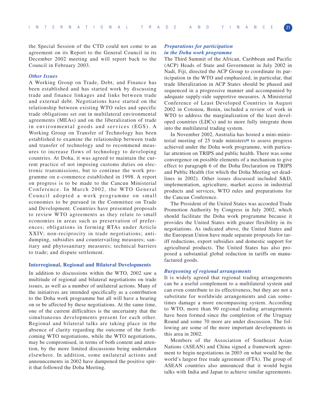the Special Session of the CTD could not come to an agreement on its Report to the General Council in its December 2002 meeting and will report back to the Council in February 2003.

#### *Other Issues*

A Working Group on Trade, Debt, and Finance has been established and has started work by discussing trade and finance linkages and links between trade and external debt. Negotiations have started on the relationship between existing WTO rules and specific trade obligations set out in multilateral environmental agreements (MEAs) and on the liberalization of trade in environmental goods and services (EGS). A Working Group on Transfer of Technology has been established to examine the relationship between trade and transfer of technology and to recommend measures to increase flows of technology to developing countries. At Doha, it was agreed to maintain the current practice of not imposing customs duties on electronic transmissions, but to continue the work programme on e-commerce established in 1998. A report on progress is to be made to the Cancun Ministerial Conference. In March 2002, the WTO General Council adopted a work programme on small economies to be pursued in the Committee on Trade and Development. Countries have presented proposals to review WTO agreements as they relate to small economies in areas such as preservation of preferences; obligations in forming RTAs under Article XXIV; non-reciprocity in trade negotiations; antidumping, subsidies and countervailing measures; sanitary and phytosanitary measures; technical barriers to trade; and dispute settlement.

#### **Interregional, Regional and Bilateral Developments**

In addition to discussions within the WTO, 2002 saw a multitude of regional and bilateral negotiations on trade issues, as well as a number of unilateral actions. Many of the initiatives are intended specifically as a contribution to the Doha work programme but all will have a bearing on or be affected by these negotiations. At the same time, one of the current difficulties is the uncertainty that the simultaneous developments present for each other. Regional and bilateral talks are taking place in the absence of clarity regarding the outcome of the forthcoming WTO negotiations, while the WTO negotiations, may be compromised, in terms of both content and attention, by the more limited discussions being undertaken elsewhere. In addition, some unilateral actions and announcements in 2002 have dampened the positive spirit that followed the Doha Meeting.

#### *Preparations for participation in the Doha work programme*

The Third Summit of the African, Caribbean and Pacific (ACP) Heads of State and Government in July 2002 in Nadi, Fiji, directed the ACP Group to coordinate its participation in the WTO and emphasized, in particular, that trade liberalization in ACP States should be phased and sequenced in a progressive manner and accompanied by adequate supply-side supportive measures. A Ministerial Conference of Least Developed Countries in August 2002 in Cotonou, Benin, included a review of work in WTO to address the marginalization of the least developed countries (LDCs) and to more fully integrate them into the multilateral trading system.

In November 2002, Australia has hosted a mini-ministerial meeting of 25 trade ministers**<sup>24</sup>** to assess progress achieved under the Doha work programme, with particular attention on TRIPS and public health. There was some convergence on possible elements of a mechanism to give effect to paragraph 6 of the Doha Declaration on TRIPS and Public Health (for which the Doha Meeting set deadlines in 2002). Other issues discussed included S&D, implementation, agriculture, market access in industrial products and services, WTO rules and preparations for the Cancun Conference.

The President of the United States was accorded Trade Promotion Authority by Congress in July 2002, which should facilitate the Doha work programme because it provides the United States with greater flexibility in its negotiations. As indicated above, the United States and the European Union have made separate proposals for tariff reductions, export subsidies and domestic support for agricultural products. The United States has also proposed a substantial global reduction in tariffs on manufactured goods.

#### *Burgeoning of regional arrangements*

It is widely agreed that regional trading arrangements can be a useful complement to a multilateral system and can even contribute to its effectiveness, but they are not a substitute for worldwide arrangements and can sometimes damage a more encompassing system. According to WTO, more than 90 regional trading arrangements have been formed since the completion of the Uruguay Round and some 70 more are under discussion. The following are some of the more important developments in this area in 2002.

Members of the Association of Southeast Asian Nations (ASEAN) and China signed a framework agreement to begin negotiations in 2003 on what would be the world's largest free trade agreement (FTA). The group of ASEAN countries also announced that it would begin talks with India and Japan to achieve similar agreements.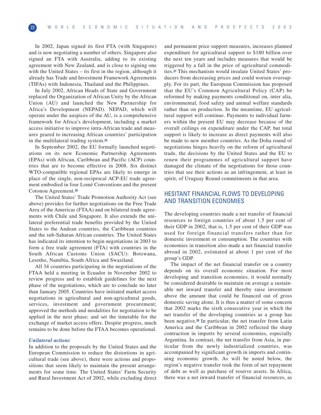In 2002, Japan signed its first FTA (with Singapore) and is now negotiating a number of others. Singapore also signed an FTA with Australia, adding to its existing agreement with New Zealand, and is close to signing one with the United States – its first in the region, although it already has Trade and Investment Framework Agreements (TIFAs) with Indonesia, Thailand and the Philippines.

In July 2002, African Heads of State and Government replaced the Organization of African Unity by the African Union (AU) and launched the New Partnership for Africa's Development (NEPAD). NEPAD, which will operate under the auspices of the AU, is a comprehensive framework for Africa's development, including a market access initiative to improve intra-African trade and measures geared to increasing African countries' participation in the multilateral trading system.**<sup>25</sup>**

In September 2002, the EU formally launched negotiations on its new Economic Partnership Agreements (EPAs) with African, Caribbean and Pacific (ACP) countries that are to become effective in 2008. Six distinct WTO-compatible regional EPAs are likely to emerge in place of the single, non-reciprocal ACP-EU trade agreement embodied in four Lomé Conventions and the present Cotonou Agreement.**<sup>26</sup>**

The United States' Trade Promotion Authority Act (see above) provides for further negotiations on the Free Trade Area of the Americas (FTAA) and on bilateral trade agreements with Chile and Singapore. It also extends the unilateral preferential trade benefits provided by the United States to the Andean countries, the Caribbean countries and the sub-Saharan African countries. The United States has indicated its intention to begin negotiations in 2003 to form a free trade agreement (FTA) with countries in the South African Customs Union (SACU): Botswana, Lesotho, Namibia, South Africa and Swaziland.

All 34 countries participating in the negotiations of the FTAA held a meeting in Ecuador in November 2002 to review progress and to establish guidelines for the next phase of the negotiations, which are to conclude no later than January 2005. Countries have initiated market access negotiations in agricultural and non-agricultural goods, services, investment and government procurement; approved the methods and modalities for negotiation to be applied in the next phase; and set the timetable for the exchange of market access offers. Despite progress, much remains to be done before the FTAA becomes operational.

#### *Unilateral actions*

In addition to the proposals by the United States and the European Commission to reduce the distortions in agricultural trade (see above), there were actions and propositions that seem likely to maintain the present arrangements for some time. The United States' Farm Security and Rural Investment Act of 2002, while excluding direct and permanent price support measures, increases planned expenditure for agricultural support to \$180 billion over the next ten years and includes measures that would be triggered by a fall in the price of agricultural commodities.**<sup>27</sup>** This mechanism would insulate United States' producers from decreasing prices and could worsen oversupply. For its part, the European Commission has proposed that the EU's Common Agricultural Policy (CAP) be reformed by making payments conditional on, inter alia, environmental, food safety and animal welfare standards rather than on production. In the meantime, EU agricultural support will continue. Payments to individual farmers within the present EU may decrease because of the overall ceilings on expenditure under the CAP, but total support is likely to increase as direct payments will also be made to new member countries. As the Doha round of negotiations hinges heavily on the reform of agricultural trade, the decisions by the United States and the EU to renew their programmes of agricultural support have damaged the climate of the negotiations for those countries that see their actions as an infringement, at least in spirit, of Uruguay Round commitments in that area.

# HESITANT FINANCIAL FLOWS TO DEVELOPING AND TRANSITION ECONOMIES

The developing countries made a net transfer of financial resources to foreign countries of about 1.5 per cent of their GDP in 2002, that is, 1.5 per cent of their GDP was used for foreign financial transfers rather than for domestic investment or consumption. The countries with economies in transition also made a net financial transfer abroad in 2002, estimated at about 1 per cent of the group's GDP.

The impact of the net financial transfer on a country depends on its overall economic situation. For most developing and transition economies, it would normally be considered desirable to maintain on average a sustainable net inward transfer and thereby raise investment above the amount that could be financed out of gross domestic saving alone. It is thus a matter of some concern that 2002 marks the sixth consecutive year in which the net transfer of the developing countries as a group has been negative.**<sup>28</sup>** In particular, the net transfer from Latin America and the Caribbean in 2002 reflected the sharp contraction in imports by several economies, especially Argentina. In contrast, the net transfer from Asia, in particular from the newly industrialized countries, was accompanied by significant growth in imports and continuing economic growth. As will be noted below, the region's negative transfer took the form of net repayment of debt as well as purchase of reserve assets. In Africa, there was a net inward transfer of financial resources, as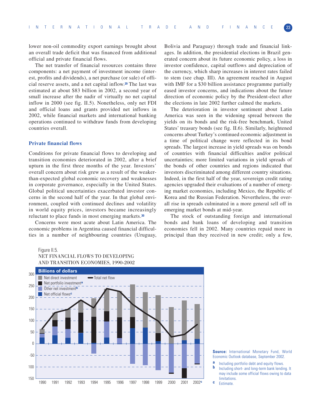lower non-oil commodity export earnings brought about an overall trade deficit that was financed from additional official and private financial flows.

The net transfer of financial resources contains three components: a net payment of investment income (interest, profits and dividends), a net purchase (or sale) of official reserve assets, and a net capital inflow.**<sup>29</sup>** The last was estimated at about \$83 billion in 2002, a second year of small increase after the nadir of virtually no net capital inflow in 2000 (see fig. II.5). Nonetheless, only net FDI and official loans and grants provided net inflows in 2002, while financial markets and international banking operations continued to withdraw funds from developing countries overall.

#### **Private financial flows**

Conditions for private financial flows to developing and transition economies deteriorated in 2002, after a brief upturn in the first three months of the year. Investors' overall concern about risk grew as a result of the weakerthan-expected global economic recovery and weaknesses in corporate governance, especially in the United States. Global political uncertainties exacerbated investor concerns in the second half of the year. In that global environment, coupled with continued declines and volatility in world equity prices, investors became increasingly reluctant to place funds in most emerging markets.**<sup>30</sup>**

Concerns were most acute about Latin America. The economic problems in Argentina caused financial difficulties in a number of neighbouring countries (Uruguay,

Bolivia and Paraguay) through trade and financial linkages. In addition, the presidential elections in Brazil generated concern about its future economic policy, a loss in investor confidence, capital outflows and depreciation of the currency, which sharp increases in interest rates failed to stem (see chap. III). An agreement reached in August with IMF for a \$30 billion assistance programme partially eased investor concerns, and indications about the future direction of economic policy by the President-elect after the elections in late 2002 further calmed the markets.

The deterioration in investor sentiment about Latin America was seen in the widening spread between the yields on its bonds and the risk-free benchmark, United States' treasury bonds (see fig. II.6). Similarly, heightened concerns about Turkey's continued economic adjustment in a time of political change were reflected in its bond spreads. The largest increase in yield spreads was on bonds of countries with financial difficulties and/or political uncertainties; more limited variations in yield spreads of the bonds of other countries and regions indicated that investors discriminated among different country situations. Indeed, in the first half of the year, sovereign credit rating agencies upgraded their evaluations of a number of emerging market economies, including Mexico, the Republic of Korea and the Russian Federation. Nevertheless, the overall rise in spreads culminated in a more general sell off in emerging market bonds at mid-year.

The stock of outstanding foreign and international bonds and bank loans of developing and transition economies fell in 2002. Many countries repaid more in principal than they received in new credit; only a few,

#### Figure II.5.

# NET FINANCIAL FLOWS TO DEVELOPING AND TRANSITION ECONOMIES, 1990-2002



**Source:** International Monetary Fund, World Economic Outlook database, September 2002.

- **a** Including portfolio debt and equity flows.<br>**b** Including short- and long-term bank lending. It
- may include some official flows owing to data **c** Estimate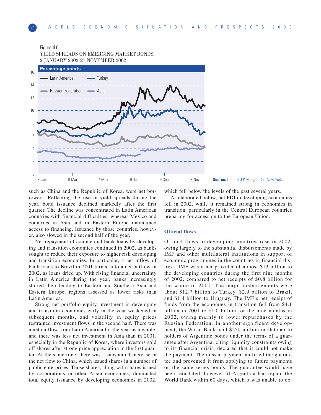#### Figure II.6.

YIELD SPREADS ON EMERGING MARKET BONDS, 2 JANUARY 2002-21 NOVEMBER 2002



**Source:** Data of J.P. Mprgan Co., New York.

such as China and the Republic of Korea, were net borrowers. Reflecting the rise in yield spreads during the year, bond issuance declined markedly after the first quarter. The decline was concentrated in Latin American countries with financial difficulties, whereas Mexico and countries in Asia and in Eastern Europe maintained access to financing. Issuance by those countries, however, also slowed in the second half of the year.

Net repayment of commercial bank loans by developing and transition economies continued in 2002, as banks sought to reduce their exposure to higher risk developing and transition economies. In particular, a net inflow of bank loans to Brazil in 2001 turned into a net outflow in 2002, as loans dried up. With rising financial uncertainty in Latin America during the year, banks increasingly shifted their lending to Eastern and Southern Asia and Eastern Europe, regions assessed as lower risks than Latin America.

Strong net portfolio equity investment in developing and transition economies early in the year weakened in subsequent months, and volatility in equity prices restrained investment flows in the second half. There was a net outflow from Latin America for the year as a whole, and there was less net investment in Asia than in 2001, especially in the Republic of Korea, where investors sold off shares after strong price appreciation in the first quarter. At the same time, there was a substantial increase in the net flow to China, which issued shares in a number of public enterprises. Those shares, along with shares issued by corporations in other Asian economies, dominated total equity issuance by developing economies in 2002,

which fell below the levels of the past several years.

As elaborated below, net FDI in developing economies fell in 2002, while it remained strong in economies in transition, particularly in the Central European countries preparing for accession to the European Union.

#### **Official flows**

Official flows to developing countries rose in 2002, owing largely to the substantial disbursements made by IMF and other multilateral institutions in support of economic programmes in the countries in financial distress. IMF was a net provider of almost \$13 billion to the developing countries during the first nine months of 2002, compared to net receipts of \$0.8 billion for the whole of 2001. The major disbursements were about \$12.7 billion to Turkey, \$2.9 billion to Brazil, and \$1.4 billion to Uruguay. The IMF's net receipt of funds from the economies in transition fell from \$4.1 billion in 2001 to \$1.0 billion for the nine months in 2002, owing mainly to lower repurchases by the Russian Federation. In another significant development, the World Bank paid \$250 million in October to holders of Argentine bonds under the terms of a guarantee after Argentina, citing liquidity constraints owing to its financial crisis, declared that it could not make the payment. The missed payment nullified the guarantee and prevented it from applying to future payments on the same series bonds. The guarantee would have been reinstated, however, if Argentina had repaid the World Bank within 60 days, which it was unable to do.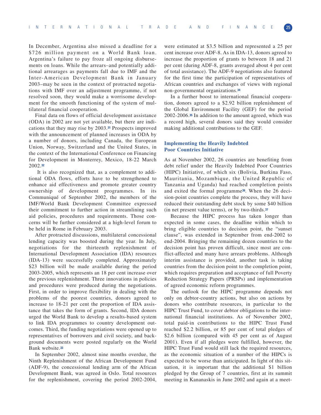In December, Argentina also missed a deadline for a \$726 million payment on a World Bank loan. Argentina's failure to pay froze all ongoing disbursements on loans. While the arrears–and potentially additional arrearages as payments fall due to IMF and the Inter-American Development Bank in January 2003–may be seen in the context of protracted negotiations with IMF over an adjustment programme, if not resolved soon, they would make a worrisome development for the smooth functioning of the system of multilateral financial cooperation.

Final data on flows of official development assistance (ODA) in 2002 are not yet available, but there are indications that they may rise by 2003.**<sup>31</sup>** Prospects improved with the announcement of planned increases in ODA by a number of donors, including Canada, the European Union, Norway, Switzerland and the United States, in the context of the International Conference on Financing for Development in Monterrey, Mexico, 18-22 March 2002.**<sup>32</sup>**

It is also recognized that, as a complement to additional ODA flows, efforts have to be strengthened to enhance aid effectiveness and promote greater country ownership of development programmes. In its Communiqué of September 2002, the members of the IMF/World Bank Development Committee expressed their commitment to further action in streamlining such aid policies, procedures and requirements. Those concerns will be further considered at a high-level forum to be held in Rome in February 2003.

After protracted discussions, multilateral concessional lending capacity was boosted during the year. In July, negotiations for the thirteenth replenishment of International Development Association (IDA) resources (IDA-13) were successfully completed. Approximately \$23 billion will be made available during the period 2003-2005, which represents an 18 per cent increase over the previous replenishment. Three innovations in policies and procedures were produced during the negotiations. First, in order to improve flexibility in dealing with the problems of the poorest countries, donors agreed to increase to 18-21 per cent the proportion of IDA assistance that takes the form of grants. Second, IDA donors urged the World Bank to develop a results-based system to link IDA programmes to country development outcomes. Third, the funding negotiations were opened up to representatives of borrowers and civil society, and background documents were posted regularly on the World Bank website.**<sup>33</sup>**

In September 2002, almost nine months overdue, the Ninth Replenishment of the African Development Fund (ADF-9), the concessional lending arm of the African Development Bank, was agreed in Oslo. Total resources for the replenishment, covering the period 2002-2004,

were estimated at \$3.5 billion and represented a 25 per cent increase over ADF-8. As in IDA-13, donors agreed to increase the proportion of grants to between 18 and 21 per cent (during ADF-8, grants averaged about 4 per cent of total assistance). The ADF-9 negotiations also featured for the first time the participation of representatives of African countries and exchanges of views with regional non-governmental organizations.**<sup>34</sup>**

In a further boost to international financial cooperation, donors agreed to a \$2.92 billion replenishment of the Global Environment Facility (GEF) for the period 2002-2006.**<sup>35</sup>** In addition to the amount agreed, which was a record high, several donors said they would consider making additional contributions to the GEF.

#### **Implementing the Heavily Indebted Poor Countries Initiative**

As at November 2002, 26 countries are benefiting from debt relief under the Heavily Indebted Poor Countries (HIPC) Initiative, of which six (Bolivia, Burkina Faso, Mauritania, Mozambique, the United Republic of Tanzania and Uganda) had reached completion points and exited the formal programme**36**. When the 26 decision-point countries complete the process, they will have reduced their outstanding debt stock by some \$40 billion (in net present value terms), or by two-thirds.**<sup>37</sup>**

Because the HIPC process has taken longer than expected in some cases, the deadline within which to bring eligible countries to decision point, the "sunset clause", was extended in September from end-2002 to end-2004. Bringing the remaining dozen countries to the decision point has proven difficult, since most are conflict-affected and many have arrears problems. Although interim assistance is provided, another task is taking countries from the decision point to the completion point, which requires preparation and acceptance of full Poverty Reduction Strategy Papers (PRSPs) and implementation of agreed economic reform programmes.

The outlook for the HIPC programme depends not only on debtor-country actions, but also on actions by donors who contribute resources, in particular to the HIPC Trust Fund, to cover debtor obligations to the international financial institutions. As of November 2002, total paid-in contributions to the HIPC Trust Fund reached \$2.2 billion, or 85 per cent of total pledges of \$2.6 billion (compared with 45 per cent as of August 2001). Even if all pledges were fulfilled, however, the HIPC Trust Fund would still lack the required resources, as the economic situation of a number of the HIPCs is expected to be worse than anticipated. In light of this situation, it is important that the additional \$1 billion pledged by the Group of 7 countries, first at its summit meeting in Kananaskis in June 2002 and again at a meet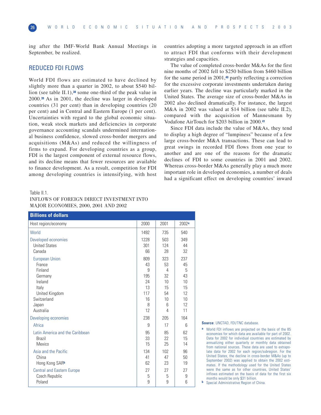ing after the IMF-World Bank Annual Meetings in September, be realized.

# REDUCED FDI FLOWS

World FDI flows are estimated to have declined by slightly more than a quarter in 2002, to about \$540 billion (see table II.1),**<sup>38</sup>** some one-third of the peak value in 2000.**<sup>39</sup>** As in 2001, the decline was larger in developed countries (31 per cent) than in developing countries (20 per cent) and in Central and Eastern Europe (1 per cent). Uncertainties with regard to the global economic situation, weak stock markets and deficiencies in corporate governance accounting scandals undermined international business confidence, slowed cross-border mergers and acquisitions (M&As) and reduced the willingness of firms to expand. For developing countries as a group, FDI is the largest component of external resource flows, and its decline means that fewer resources are available to finance development. As a result, competition for FDI among developing countries is intensifying, with host

Table II.1.

| <b>INFLOWS OF FOREIGN DIRECT INVESTMENT INTO</b> |  |
|--------------------------------------------------|--|
| MAJOR ECONOMIES, 2000, 2001 AND 2002             |  |

Host region/economy 2000 2001 2002**<sup>a</sup>** World 1492 735 540 Developed economies 1228 503 349 United States 201 24 24 Canada 66 28 32 European Union 237 237 France 1990 - 1991 - 1991 - 1991 - 1992 - 1993 - 1994 - 1995 - 1996 - 1997 - 1998 - 1999 - 1999 - 1999 - 1999 -Finland 9 4 5 Germany 195 32 43 Ireland 24 10 10 Italy 13 | 13 | 15 | 15 United Kingdom 12 Switzerland 16 10 10 Japan 8 6 12 Australia 12 4 11 Developing economies 238 205 164 Africa 9 17 6 Latin America and the Caribbean 195 85 85 62 Brazil 33 22 15 Mexico 15 25 14 Asia and the Pacific 134 102 134 102 136 China 41 47 50 Hong Kong SARb 62 23 19 Central and Eastern Europe 27 27 27 27 Czech Republic 3 3 9 Poland 9 9 6 **Billions of dollars**

countries adopting a more targeted approach in an effort to attract FDI that conforms with their development strategies and capacities.

The value of completed cross-border M&As for the first nine months of 2002 fell to \$250 billion from \$460 billion for the same period in 2001,**<sup>40</sup>** partly reflecting a correction for the excessive corporate investments undertaken during earlier years. The decline was particularly marked in the United States. The average size of cross-border M&As in 2002 also declined dramatically. For instance, the largest M&A in 2002 was valued at \$14 billion (see table II.2), compared with the acquisition of Mannesmann by Vodafone AirTouch for \$203 billion in 2000.**<sup>41</sup>**

Since FDI data include the value of M&As, they tend to display a high degree of "lumpiness" because of a few large cross-border M&A transactions. These can lead to great swings in recorded FDI flows from one year to another and are one of the reasons for the dramatic declines of FDI to some countries in 2001 and 2002. Whereas cross-border M&As generally play a much more important role in developed economies, a number of deals had a significant effect on developing countries' inward

#### **Source**: UNCTAD, FDI/TNC database.

**a** World FDI inflows are projected on the basis of the 85 economies for which data are available for part of 2002. Data for 2002 for individual countries are estimated by annualizing either quarterly or monthly data obtained from national sources. These data are used to extrapolate data for 2002 for each region/subregion. For the United States, the decline in cross-border M&As (up to September 2002) was applied to obtain the 2002 estimates. If the methodology used for the United States were the same as for other countries, United States' inflows estimated on the basis of data for the first six months would be only \$31 billion.

**b** Special Administrative Region of China.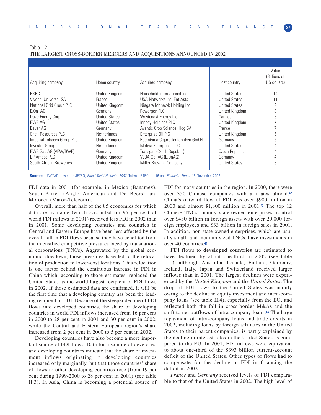Table II.2. THE LARGEST CROSS-BORDER MERGERS AND ACQUISITIONS ANNOUNCED IN 2002

| Acquiring company          | Home country         | Acquired company                 | Host country         | Value<br>(Billions of<br>US dollars) |
|----------------------------|----------------------|----------------------------------|----------------------|--------------------------------------|
| <b>HSBC</b>                | United Kingdom       | Household International Inc.     | <b>United States</b> | 14                                   |
| Vivendi Universal SA       | France               | USA Networks Inc. Ent Asts       | <b>United States</b> |                                      |
| National Grid Group PLC    | United Kingdom       | Niagara Mohawk Holding Inc       | <b>United States</b> | 9                                    |
| $E.On$ AG                  | Germany              | Powergen PLC                     | United Kingdom       | 8                                    |
| Duke Energy Corp           | United States        | Westcoast Energy Inc             | Canada               | 8                                    |
| RWE AG                     | <b>United States</b> | Innogy Holdings PLC              | United Kingdom       |                                      |
| Bayer AG                   | Germany              | Aventis Crop Science HIdg SA     | France               |                                      |
| Shell Resources PLC        | <b>Netherlands</b>   | Enterprise Oil PIC               | United Kingdom       | 6                                    |
| Imperial Tobacco Group PLC | United Kingdom       | Reemtsma Cigarettenfabriken GmbH | Germany              | 5                                    |
| Investor Group             | <b>Netherlands</b>   | Motiva Enterprises LLC           | <b>United States</b> |                                      |
| RWE Gas AG (VEW/RWE)       | Germany              | Transgas (Czech Republic)        | Czech Republic       |                                      |
| BP Amoco PLC               | United Kingdom       | VEBA Oel AG (E.OnAG)             | Germany              | 4                                    |
| South African Breweries    | United Kingdom       | Miller Brewing Company           | <b>United States</b> | 3                                    |
|                            |                      |                                  |                      |                                      |

**Sources**: UNCTAD, based on JETRO, Boeki Toshi Hakusho 2002 (Tokyo: JETRO), p. 16 and Financial Times, 15 November 2002.

FDI data in 2001 (for example, in Mexico (Banamex), South Africa (Anglo American and De Beers) and Morocco (Maroc-Telecom)).

Overall, more than half of the 85 economies for which data are available (which accounted for 95 per cent of world FDI inflows in 2001) received less FDI in 2002 than in 2001. Some developing countries and countries in Central and Eastern Europe have been less affected by the overall fall in FDI flows because they have benefited from the intensified competitive pressures faced by transnational corporations (TNCs). Aggravated by the global economic slowdown, those pressures have led to the relocation of production to lower-cost locations. This relocation is one factor behind the continuous increase in FDI in China which, according to those estimates, replaced the United States as the world largest recipient of FDI flows in 2002. If those estimated data are confirmed, it will be the first time that a developing country has been the leading recipient of FDI. Because of the steeper decline of FDI flows into developed countries, the share of developing countries in world FDI inflows increased from 16 per cent in 2000 to 28 per cent in 2001 and 30 per cent in 2002, while the Central and Eastern European region's share increased from 2 per cent in 2000 to 5 per cent in 2002.

Developing countries have also become a more important source of FDI flows. Data for a sample of developed and developing countries indicate that the share of investment inflows originating in developing countries increased only marginally, but that those countries' share of flows to other developing countries rose (from 19 per cent during 1999-2000 to 28 per cent in 2001) (see table II.3). In Asia, China is becoming a potential source of FDI for many countries in the region. In 2000, there were over 350 Chinese companies with affiliates abroad.**<sup>42</sup>** China's outward flow of FDI was over \$900 million in 2000 and almost \$1,800 million in 2001.**<sup>43</sup>** The top 12 Chinese TNCs, mainly state-owned enterprises, control over \$430 billion in foreign assets with over 20,000 foreign employees and \$33 billion in foreign sales in 2001. In addition, non-state-owned enterprises, which are usually small- and medium-sized TNCs, have investments in over 40 countries.**<sup>44</sup>**

FDI flows to **developed countries** are estimated to have declined by about one-third in 2002 (see table II.1), although Australia, Canada, Finland, Germany, Ireland, Italy, Japan and Switzerland received larger inflows than in 2001. The largest declines were experienced by the *United Kingdom* and the *United States*. The drop of FDI flows to the United States was mainly owing to the decline in equity investment and intra-company loans (see table II.4), especially from the EU, and reflected both the fall in cross-border M&As and the shift to net outflows of intra-company loans.**<sup>45</sup>** The large repayment of intra-company loans and trade credits in 2002, including loans by foreign affiliates in the United States to their parent companies, is partly explained by the decline in interest rates in the United States as compared to the EU. In 2001, FDI inflows were equivalent to about one-third of the \$393 billion current-account deficit of the United States. Other types of flows had to compensate for the decline in FDI in financing the deficit in 2002.

*France* and *Germany* received levels of FDI comparable to that of the United States in 2002. The high level of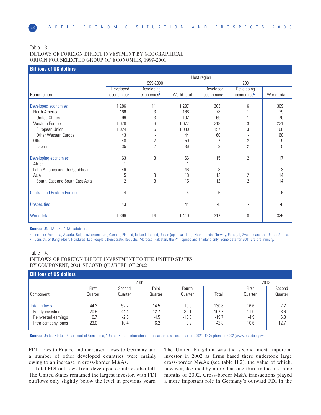#### Table II.3. INFLOWS OF FOREIGN DIRECT INVESTMENT BY GEOGRAPHICAL ORIGIN FOR SELECTED GROUP OF ECONOMIES, 1999-2001

# **Billions of US dollars** Host region 1999-2000 2001 Developed Developing Developed Developing Home region economies**<sup>a</sup>** economies**<sup>b</sup>** World total economies**<sup>a</sup>** economies**<sup>b</sup>** World total Developed economies 1 286 11 1 297 303 6 309 North America 166 3 168 78 1 79 United States | 99 | 3 | 102 | 69 | 1 | 70 Western Europe 1 070 6 1 077 218 3 221 European Union 1 024 6 1 030 1 157 Other Western Europe **43** 43 - 44 60 - 60 Other 48 2 50 7 2 9 Japan 35 2 36 3 2 5 Developing economies 63 3 66 15 2 17 Africa 1 - 1 - - - Latin America and the Caribbean 46 - 46 3 - 3 Asia 15 3 18 12 2 14 South, East and South-East Asia | 12 | 3 | 15 | 12 | 2 | 14 Central and Eastern Europe 4 - 4 6- 6 Unspecified 43 1 44 -8 - -8 World total 1 396 14 1 410 317 8 325

**Source**: UNCTAD, FDI/TNC database.

**a** Includes Australia, Austria, Belgium/Luxembourg, Canada, Finland, Iceland, Ireland, Japan (approval data), Netherlands, Norway, Portugal, Sweden and the United States.

**b** Consists of Bangladesh, Honduras, Lao People's Democratic Republic, Morocco, Pakistan, the Philippines and Thailand only. Some data for 2001 are preliminary.

# Table II.4. INFLOWS OF FOREIGN DIRECT INVESTMENT TO THE UNITED STATES, BY COMPONENT, 2001-SECOND QUARTER OF 2002

| <b>Billions of US dollars</b>                                                           |                             |                                |                               |                                |                                   |                                |                              |
|-----------------------------------------------------------------------------------------|-----------------------------|--------------------------------|-------------------------------|--------------------------------|-----------------------------------|--------------------------------|------------------------------|
|                                                                                         |                             | 2001                           |                               |                                |                                   | 2002                           |                              |
|                                                                                         | First                       | Second                         | Third                         | Fourth                         |                                   | First                          | Second                       |
| Component                                                                               | Quarter                     | Quarter                        | Quarter                       | Quarter                        | Total                             | Quarter                        | Quarter                      |
| <b>Total inflows</b><br>Equity investment<br>Reinvested earnings<br>Intra-company loans | 44.2<br>20.5<br>0.7<br>23.0 | 52.2<br>44.4<br>$-2.6$<br>10.4 | 14.5<br>12.7<br>$-4.5$<br>6.2 | 19.9<br>30.1<br>$-13.3$<br>3.2 | 130.8<br>107.7<br>$-19.7$<br>42.8 | 16.6<br>11.0<br>$-4.9$<br>10.6 | 2.2<br>8.6<br>6.3<br>$-12.7$ |

**Source**: United States Department of Commerce, "United States international transactions: second quarter 2002", 12 September 2002 (www.bea.doc.gov).

FDI flows to France and increased flows to Germany and a number of other developed countries were mainly owing to an increase in cross-border M&As.

Total FDI outflows from developed countries also fell. The United States remained the largest investor, with FDI outflows only slightly below the level in previous years.

The United Kingdom was the second most important investor in 2002 as firms based there undertook large cross-border M&As (see table II.2), the value of which, however, declined by more than one-third in the first nine months of 2002. Cross-border M&A transactions played a more important role in Germany's outward FDI in the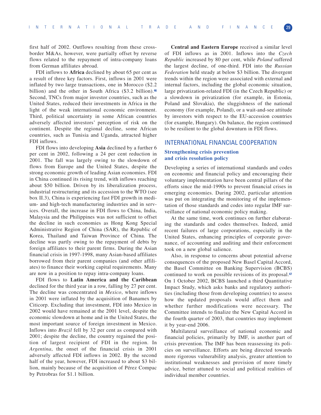first half of 2002. Outflows resulting from these crossborder M&As, however, were partially offset by reverse flows related to the repayment of intra-company loans from German affiliates abroad.

FDI inflows to **Africa** declined by about 65 per cent as a result of three key factors. First, inflows in 2001 were inflated by two large transactions, one in Morocco (\$2.2 billion) and the other in South Africa (\$3.2 billion).**<sup>46</sup>** Second, TNCs from major investor countries, such as the United States, reduced their investments in Africa in the light of the weak international economic environment. Third, political uncertainty in some African countries adversely affected investors' perception of risk on the continent. Despite the regional decline, some African countries, such as Tunisia and Uganda, attracted higher FDI inflows.

FDI flows into developing **Asia** declined by a further 6 per cent in 2002, following a 24 per cent reduction in 2001. The fall was largely owing to the slowdown of flows from Europe and the United States, despite the strong economic growth of leading Asian economies. FDI in China continued its rising trend, with inflows reaching about \$50 billion. Driven by its liberalization process, industrial restructuring and its accession to the WTO (see box II.3), China is experiencing fast FDI growth in medium- and high-tech manufacturing industries and in services. Overall, the increase in FDI flows to China, India, Malaysia and the Philippines was not sufficient to offset the decline in such economies as Hong Kong Special Administrative Region of China (SAR), the Republic of Korea, Thailand and Taiwan Province of China. The decline was partly owing to the repayment of debts by foreign affiliates to their parent firms. During the Asian financial crisis in 1997-1998, many Asian-based affiliates borrowed from their parent companies (and other affiliates) to finance their working capital requirements. Many are now in a position to repay intra-company loans.

FDI flows to **Latin America and the Caribbean** declined for the third year in a row, falling by 27 per cent. The decline was concentrated in *Mexico*, where inflows in 2001 were inflated by the acquisition of Banamex by Citicorp. Excluding that investment, FDI into Mexico in 2002 would have remained at the 2001 level, despite the economic slowdown at home and in the United States, the most important source of foreign investment in Mexico. Inflows into *Brazil* fell by 32 per cent as compared with 2001; despite the decline, the country regained the position of largest recipient of FDI in the region. In *Argentina*, the onset of the financial crisis in 2001 adversely affected FDI inflows in 2002. By the second half of the year, however, FDI increased to about \$3 billion, mainly because of the acquisition of Pérez Compac by Petrobras for \$1.1 billion.

**Central and Eastern Europe** received a similar level of FDI inflows as in 2001. Inflows into the *Czech Republic* increased by 80 per cent, while *Poland* suffered the largest decline, of one-third. FDI into the *Russian Federation* held steady at below \$3 billion. The divergent trends within the region were associated with external and internal factors, including the global economic situation, large privatization-related FDI (in the Czech Republic) or a slowdown in privatization (for example, in Estonia, Poland and Slovakia), the sluggishness of the national economy (for example, Poland), or a wait-and-see attitude by investors with respect to the EU-accession countries (for example, Hungary). On balance, the region continued to be resilient to the global downturn in FDI flows.

#### INTERNATIONAL FINANCIAL COOPERATION

#### **Strengthening crisis prevention and crisis resolution policy**

Developing a series of international standards and codes on economic and financial policy and encouraging their voluntary implementation have been central pillars of the efforts since the mid-1990s to prevent financial crises in emerging economies. During 2002, particular attention was put on integrating the monitoring of the implementation of those standards and codes into regular IMF surveillance of national economic policy making.

At the same time, work continues on further elaborating the standards and codes themselves. Indeed, amid recent failures of large corporations, especially in the United States, enhancing principles of corporate governance, of accounting and auditing and their enforcement took on a new global salience.

Also, in response to concerns about potential adverse consequences of the proposed New Basel Capital Accord, the Basel Committee on Banking Supervision (BCBS) continued to work on possible revisions of its proposal.**<sup>47</sup>** On 1 October 2002, BCBS launched a third Quantitative Impact Study, which asks banks and regulatory authorities (including those from developing countries) to assess how the updated proposals would affect them and whether further modifications were necessary. The Committee intends to finalize the New Capital Accord in the fourth quarter of 2003, that countries may implement it by year-end 2006.

Multilateral surveillance of national economic and financial policies, primarily by IMF, is another part of crisis prevention. The IMF has been reassessing its policies on surveillance. Efforts are being directed towards more rigorous vulnerability analysis, greater attention to institutional weaknesses and provision of more timely advice, better attuned to social and political realities of individual member countries.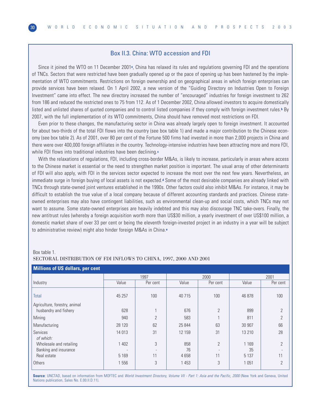# Box II.3. China: WTO accession and FDI

Since it joined the WTO on 11 December 2001<sup>a</sup>, China has relaxed its rules and regulations governing FDI and the operations of TNCs. Sectors that were restricted have been gradually opened up or the pace of opening up has been hastened by the implementation of WTO commitments. Restrictions on foreign ownership and on geographical areas in which foreign enterprises can provide services have been relaxed. On 1 April 2002, a new version of the "Guiding Directory on Industries Open to Foreign Investment" came into effect. The new directory increased the number of "encouraged" industries for foreign investment to 262 from 186 and reduced the restricted ones to 75 from 112. As of 1 December 2002, China allowed investors to acquire domestically listed and unlisted shares of quoted companies and to control listed companies if they comply with foreign investment rules.**<sup>b</sup>** By 2007, with the full implementation of its WTO commitments, China should have removed most restrictions on FDI.

Even prior to these changes, the manufacturing sector in China was already largely open to foreign investment. It accounted for about two-thirds of the total FDI flows into the country (see box table 1) and made a major contribution to the Chinese economy (see box table 2). As of 2001, over 80 per cent of the Fortune 500 firms had invested in more than 2,000 projects in China and there were over 400,000 foreign affiliates in the country. Technology-intensive industries have been attracting more and more FDI, while FDI flows into traditional industries have been declining.**<sup>c</sup>**

With the relaxations of regulations, FDI, including cross-border M&As, is likely to increase, particularly in areas where access to the Chinese market is essential or the need to strengthen market position is important. The usual array of other determinants of FDI will also apply, with FDI in the services sector expected to increase the most over the next few years. Nevertheless, an immediate surge in foreign buying of local assets is not expected.<sup>d</sup> Some of the most desirable companies are already linked with TNCs through state-owned joint ventures established in the 1990s. Other factors could also inhibit M&As. For instance, it may be difficult to establish the true value of a local company because of different accounting standards and practices. Chinese stateowned enterprises may also have contingent liabilities, such as environmental clean-up and social costs, which TNCs may not want to assume. Some state-owned enterprises are heavily indebted and this may also discourage TNC take-overs. Finally, the new antitrust rules (whereby a foreign acquisition worth more than US\$30 million, a yearly investment of over US\$100 million, a domestic market share of over 33 per cent or being the eleventh foreign-invested project in an industry in a year will be subject to administrative review) might also hinder foreign M&As in China.**<sup>e</sup>**

| Box table 1. |  |
|--------------|--|
|              |  |

#### SECTORAL DISTRIBUTION OF FDI INFLOWS TO CHINA, 1997, 2000 AND 2001

| <b>Millions of US dollars, per cent</b> |         |                |         |                |         |                |
|-----------------------------------------|---------|----------------|---------|----------------|---------|----------------|
|                                         |         | 1997           |         | 2000           |         | 2001           |
| Industry                                | Value   | Per cent       | Value   | Per cent       | Value   | Per cent       |
| Total                                   | 45 257  | 100            | 40 715  | 100            | 46 878  | 100            |
| Agriculture, forestry, animal           |         |                |         |                |         |                |
| husbandry and fishery                   | 628     |                | 676     | $\overline{2}$ | 899     | $\overline{2}$ |
| Mining                                  | 940     | $\overline{2}$ | 583     |                | 811     | $\overline{2}$ |
| Manufacturing                           | 28 1 20 | 62             | 25 844  | 63             | 30 907  | 66             |
| Services<br>of which:                   | 14 013  | 31             | 12 159  | 31             | 13 210  | 28             |
| Wholesale and retailing                 | 1 402   | 3              | 858     | $\overline{2}$ | 1 1 6 9 | $\overline{2}$ |
| Banking and insurance                   |         |                | 76      |                | 35      |                |
| Real estate                             | 5 1 6 9 | 11             | 4658    | 11             | 5 1 3 7 | 11             |
| Others                                  | 1 556   | 3              | 1 4 5 3 | 3              | 1 0 5 1 | 2              |

**Source**: UNCTAD, based on information from MOFTEC and World Investment Directory, Volume VII - Part 1: Asia and the Pacific, 2000 (New York and Geneva, United Nations publication, Sales No. E.00.II.D.11).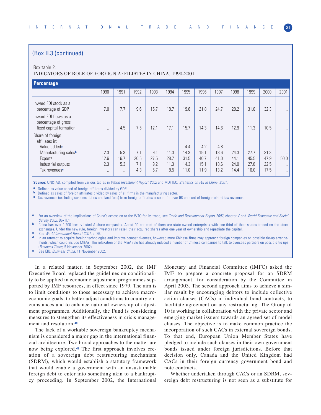# (Box II.3 (continued)

#### Box table 2.

#### INDICATORS OF ROLE OF FOREIGN AFFILIATES IN CHINA, 1990-2001

| Percentage                                                              |                      |           |           |          |           |      |      |      |           |                      |                      |                      |
|-------------------------------------------------------------------------|----------------------|-----------|-----------|----------|-----------|------|------|------|-----------|----------------------|----------------------|----------------------|
|                                                                         | 1990                 | 1991      | 1992      | 1993     | 1994      | 1995 | 1996 | 1997 | 1998      | 1999                 | 2000                 | 2001                 |
| Inward FDI stock as a<br>percentage of GDP                              | 7.0                  | 7.7       | 9.6       | 15.7     | 18.7      | 19.6 | 21.8 | 24.7 | 28.2      | 31.0                 | 32.3                 | $\ddot{\phantom{0}}$ |
| Inward FDI flows as a<br>percentage of gross<br>fixed capital formation | $\ddot{\phantom{a}}$ | 4.5       | 7.5       | 12.1     | 17.1      | 15.7 | 14.3 | 14.6 | 12.9      | 11.3                 | 10.5                 | $\ddot{\phantom{0}}$ |
| Share of foreign<br>affiliates in:<br>Value added <sup>a</sup>          | $\ddotsc$            | $\cdots$  | $\ddotsc$ | $\cdots$ | $\ddotsc$ | 4.4  | 4.2  | 4.8  | $\ddotsc$ | $\ddot{\phantom{0}}$ | $\ddot{\phantom{a}}$ | $\ddotsc$            |
| Manufacturing salesb                                                    | 2.3                  | 5.3       | 7.1       | 9.1      | 11.3      | 14.3 | 15.1 | 18.6 | 24.3      | 27.7                 | 31.3                 | $\ddotsc$            |
| Exports                                                                 | 12.6                 | 16.7      | 20.5      | 27.5     | 28.7      | 31.5 | 40.7 | 41.0 | 44.1      | 45.5                 | 47.9                 | 50.0                 |
| Industrial outputs                                                      | 2.3                  | 5.3       | 7.1       | 9.2      | 11.3      | 14.3 | 15.1 | 18.6 | 24.0      | 27.8                 | 22.5                 | $\ddot{\phantom{0}}$ |
| Tax revenues <sup>c</sup>                                               | $\ddotsc$            | $\ddotsc$ | 4.3       | 5.7      | 8.5       | 11.0 | 11.9 | 13.2 | 14.4      | 16.0                 | 17.5                 | $\ddotsc$            |

**Source**: UNCTAD, compiled from various tables in World Investment Report 2002 and MOFTEC, Statistics on FDI in China, 2001.

**a** Defined as value added of foreign affiliates divided by GDP.

**b** Defined as sales of foreign affiliates divided by sales of all firms in the manufacturing sector.

**c** Tax revenues (excluding customs duties and land fees) from foreign affiliates account for over 98 per cent of foreign-related tax revenues.

**b** China has over 1,200 locally listed A-share companies. About 90 per cent of them are state-owned enterprises with one-third of their shares traded on the stock exchanges. Under the new rule, foreign investors can resell their acquired shares after one year of ownership and repatriate the capital.

**c** See World Investment Report 2001, p. 26.<br>**d** In an attempt to acquire foreign technology

In an attempt to acquire foreign technologies and improve competitiveness, however, more Chinese firms may approach foreign companies on possible tie-up arrangements, which could include M&As. The relaxation of the M&A rule has already induced a number of Chinese companies to talk to overseas partners on possible tie ups (Business Times, 5 November 2002).

See EIU, Business China, 11 November 2002.

In a related matter, in September 2002, the IMF Executive Board replaced the guidelines on conditionality to be applied in economic adjustment programmes supported by IMF resources, in effect since 1979. The aim is to limit conditions to those necessary to achieve macroeconomic goals, to better adjust conditions to country circumstances and to enhance national ownership of adjustment programmes. Additionally, the Fund is considering measures to strengthen its effectiveness in crisis management and resolution.**<sup>48</sup>**

The lack of a workable sovereign bankruptcy mechanism is considered a major gap in the international financial architecture. Two broad approaches to the matter are now being explored.**<sup>49</sup>** The first approach involves creation of a sovereign debt restructuring mechanism (SDRM), which would establish a statutory framework that would enable a government with an unsustainable foreign debt to enter into something akin to a bankruptcy proceeding. In September 2002, the International

Monetary and Financial Committee (IMFC) asked the IMF to prepare a concrete proposal for an SDRM arrangement, for consideration by the Committee in April 2003. The second approach aims to achieve a similar result by encouraging debtors to include collective action clauses (CACs) in individual bond contracts, to facilitate agreement on any restructuring. The Group of 10 is working in collaboration with the private sector and emerging market issuers towards an agreed set of model clauses. The objective is to make common practice the incorporation of such CACs in external sovereign bonds. To that end, European Union Member States have pledged to include such clauses in their own government bonds issued under foreign jurisdictions. Before that decision only, Canada and the United Kingdom had CACs in their foreign currency government bond and note contracts.

Whether undertaken through CACs or an SDRM, sovereign debt restructuring is not seen as a substitute for

For an overview of the implications of China's accession to the WTO for its trade, see *Trade and Development Report 2002*, chapter V and World Economic and Social Survey 2002, Box II.1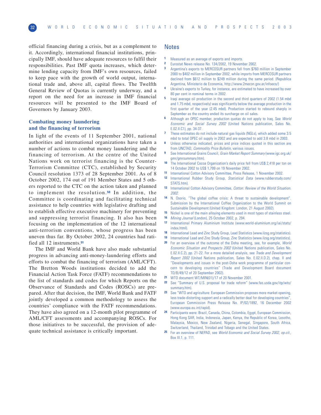official financing during a crisis, but as a complement to it. Accordingly, international financial institutions, principally IMF, should have adequate resources to fulfil their responsibilities. Past IMF quota increases, which determine lending capacity from IMF's own resources, failed to keep pace with the growth of world output, international trade and, above all, capital flows. The Twelfth General Review of Quotas is currently underway, and a report on the need for an increase in IMF financial resources will be presented to the IMF Board of Governors by January 2003.

## **Combating money laundering and the financing of terrorism**

In light of the events of 11 September 2001, national authorities and international organizations have taken a number of actions to combat money laundering and the financing of terrorism. At the centre of the United Nations work on terrorist financing is the Counter-Terrorism Committee (CTC), established by Security Council resolution 1373 of 28 September 2001. As of 8 October 2002, 174 out of 191 Member States and 5 others reported to the CTC on the action taken and planned to implement the resolution. **<sup>50</sup>** In addition, the Committee is coordinating and facilitating technical assistance to help countries with legislative drafting and to establish effective executive machinery for preventing and suppressing terrorist financing. It also has been focusing on the implementation of the 12 international anti-terrorism conventions, whose progress has been uneven thus far. By October 2002, 24 countries had ratified all 12 instruments.**<sup>51</sup>**

The IMF and World Bank have also made substantial progress in advancing anti-money-laundering efforts and efforts to combat the financing of terrorism (AML/CFT). The Bretton Woods institutions decided to add the Financial Action Task Force (FATF) recommendations to the list of standards and codes for which Reports on the Observance of Standards and Codes (ROSCs) are prepared. After that decision, the IMF, World Bank and FATF jointly developed a common methodology to assess the countries' compliance with the FATF recommendations. They have also agreed on a 12-month pilot programme of AML/CFT assessments and accompanying ROSCs. For those initiatives to be successful, the provision of adequate technical assistance is critically important.

## Notes

- **1** Measured as an average of exports and imports.
- **2** Eurostat News release No. 134/2002, 19 November 2002. **3** Argentina's exports to MERCOSUR partners fell from \$760 million in September 2000 to \$402 million in September 2002, while imports from MERCOSUR partners declined from \$612 million to \$249 million during the same period. (Republica
- Argentina, Ministerio de Economia, http://www.2mecon.gov.ar/infoeco/) **4** Ukraine's exports to Turkey, for instance, are estimated to have increased by over 80 per cent in nominal terms in 2002.
- **5** Iraqi average oil production in the second and third quarters of 2002 (1.54 mbd and 1.75 mbd, respectively) was significantly below the average production in the first quarter of the year (2.45 mbd). Production started to rebound sharply in September as the country ended its surcharge on oil sales.
- **6** Although an OPEC member, production quotas do not apply to Iraq. See World Economic and Social Survey 2002 (United Nations publication, Sales No. E.02.II.C1), pp. 34-37.
- **7** These estimates do not include natural gas liquids (NGLs), which added some 3.5 mbd to total OPEC oil supply in 2002 and are expected to add 3.8 mbd in 2003.
- **8** Unless otherwise indicated, prices and price indices quoted in this section are from UNCTAD, Commodity Price Bulletin, various issues.
- **9** See International Grains Council, Grain Market Report Summary (www.igc.org.uk/ gmr/gmrsummary.htm).
- **10** The International Cocoa Organization's daily price fell from US\$ 2,418 per ton on 14 October 2002 to US\$ 1,799 on 19 November 2002.
- **11** International Cotton Advisory Committee, Press Release, 1 November 2002.<br>**12** International Bubber Study Group, Statistical Data Januar upberstudy
- **12** International Rubber Study Group, Statistical Data (www.rubberstudy.com/ STATS.html
- **13** International Cotton Advisory Committee, Cotton: Review of the World Situation. 2002.
- **14** N. Osorio, "The global coffee crisis: A threat to sustainable development". Submission by the International Coffee Organization to the World Summit on Sustainable Development (United Kingdom: London, 21 August 2002).
- **15** Nickel is one of the main alloying elements used in most types of stainless steel.
- **16** Mining Journal (London), 25 October 2002, p. 294.
- **17** International Primary Aluminium Institute (www.world-aluminium.org/iai/stats/ index.html).
- 18 International Lead and Zinc Study Group, Lead Statistics (www.ilzsg.org/statistics).
- **19** International Lead and Zinc Study Group, Zinc Statistics (www.ilzsg.org/statistics).
- **20** For an overview of the outcome of the Doha meeting, see, for example, World Economic Situation and Prospects 2002 (United Nations publication, Sales No. E.02.II.C.2), pp. 21-22. For a more detailed analysis, see Trade and Development Report 2002 (United Nations publication, Sales No. E.02.II.D.2), chap. II and "Developments and issues in the post-Doha work programme of particular concern to developing countries" (Trade and Development Board document TD/B/49/12 of 20 September 2002).
- **21** WTO document WT/MIN(01)/17 of 20 November 2001.
- **22** See "Summary of U.S. proposal for trade reform" (www.fas.usda.gov/itp/wto/ summary.htm).
- **23** See "WTO and agriculture: European Commission proposes more market opening, less trade-distorting support and a radically better deal for developing countries", European Commission Press Release No. IP/02/1892, 16 December 2002 (www.europa.eu.int/rapid).
- **24** Participants were: Brazil, Canada, China, Colombia, Egypt, European Commission, Hong Kong SAR, India, Indonesia, Japan, Kenya, the Republic of Korea, Lesotho, Malaysia, Mexico, New Zealand, Nigeria, Senegal, Singapore, South Africa, Switzerland, Thailand, Trinidad and Tobago and the United States.
- **25** For an overview of NEPAD, see World Economic and Social Survey 2002, op.cit., Box III.1, p. 111.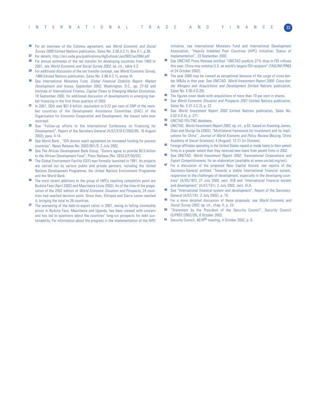- For an overview of the Cotonou agreement, see World Economic and Social Survey 2000 (United Nations publication, Sales No. E.00.II.C.1), Box II.1, p.38.
- **27** For details, http://ers.usda.gov/publications/AgOutlook/Jan2002/ao288d.pdf
- **28** For annual estimates of the net transfer for developing countries from 1993 to 2001, see World Economic and Social Survey 2002, op. cit., table II.2.
- **29** For additional discussion of the net transfer concept, see World Economic Survey, 1986 (United Nations publication, Sales No. E.86.II.C.1), annex III.
- **30** See International Monetary Fund, Global Financial Stability Report: Market Development and Issues, September 2002, Washington, D.C., pp. 27-53 and Institute of International Finance, Capital Flows to Emerging Market Economies, 18 September 2002, for additional discussion of developments in emerging market financing in the first three quarters of 2002.
- **31** In 2001, ODA was \$51.4 billion, equivalent to 0.22 per cent of GNP of the member countries of the Development Assistance Committee (DAC) of the Organisation for Economic Cooperation and Development, the lowest ratio ever recorded.
- **32** See "Follow-up efforts to the International Conference on Financing for Development", Report of the Secretary-General (A/57/319-E/2002/85, 16 August 2002), para. 4-14.
- **33** See World Bank , "IDA donors reach agreement on increased funding for poorest countries", News Release No. 2002/001/S, 2 July 2002.
- **34** See The African Development Bank Group, "Donors agree to provide \$3.5 billion to the African Development Fund", Press Release [No. SEGL3/F/50/02].
- **35** The Global Environment Facility (GEF) was formally launched in 1991. Its projects are carried out by various public and private partners, including the United Nations Development Programme, the United Nations Environment Programme and the World Bank.
- **36** The most recent additions to the group of HIPCs reaching completion point are Burkina Faso (April 2002) and Mauritania (June 2002). As of the time of the preparation of the 2002 edition of World Economic Situation and Prospects, 24 countries had reached decision point. Since then, Ethiopia and Sierra Leone reached it, bringing the total to 26 countries.
- **37** The worsening of the debt-to-export ratios in 2001, owing to falling commodity prices in Burkina Faso, Mauritania and Uganda, has been viewed with concern and has led to questions about the countries' long-run prospects for debt sustainability. For information about the progress in the implementation of the HIPC

initiative, see International Monetary Fund and International Development Association, "Heavily Indebted Poor Countries (HIPC) Initiative: Status of Implementation", 23 September 2002.

- **38** See UNCTAD Press Release entitled "UNCTAD predicts 27% drop in FDI inflows this year; China may outstrip U.S. as world's largest FDI recipient" (TAD/INF/PR63 of 24 October 2002).
- **39** The year 2000 may be viewed as exceptional because of the surge of cross-border M&As in that year. See UNCTAD, World Investment Report 2000: Cross-border Mergers and Acquisitions and Development (United Nations publication, Sales No. E.00.II.D.20).
- **40** The figures cover deals with acquisitions of more than 10 per cent in shares.<br>**41** See World Feaponia Situation and Prespects 2001 Ubited National publication
- See World Economic Situation and Prospects 2001 (United Nations publication, Sales No. E.01.II.C.2), p. 22
- **42** See World Investment Report 2002 (United Nations publication, Sales No. E.02.II.D.4), p. 271.
- **43** UNCTAD FDI/TNC database.
- **44** UNCTAD, World Investment Report 2002, op. cit., p.62, based on Xiaoning James, Zhan and Shungi Ge (2002), "Multilateral framework for investment and its implications for China", Journal of World Economy and Policy Review (Beijing: China Academy of Social Sciences), 4 (August): 12-21 (in Chinese).
- **45** Foreign affiliates operating in the United States repaid or made loans to their parent firms to a greater extent than they received new loans from parent firms in 2002.
- See UNCTAD, World Investment Report 2002: Transnational Corporations and Export Competitiveness, for an elaboration (available at www.unctad.org/wir).
- **47** For a discussion of the proposed New Capital Accord, see reports of the Secretary-General entitled "Towards a stable international financial system, responsive to the challenges of development, especially in the developing countries" (A/55/187), 27 July 2000, sect. IV.B and "International financial system and development" (A/57/151), 2 July 2002, sect. III.A.
- See "International financial system and development", Report of the Secretary-General (A/57/151, 2 July 2002), p. 10.
- **49** For a more detailed discussion of these proposals, see World Economic and Social Survey 2002, op. cit., chap. II, p. 23.
- **50** "Statement by the President of the Security Council", Security Council (S/PRST/2002/26), 8 October 2002.
- **<sup>51</sup>** Security Council, 4618th meeting, 4 October 2002, p. 6.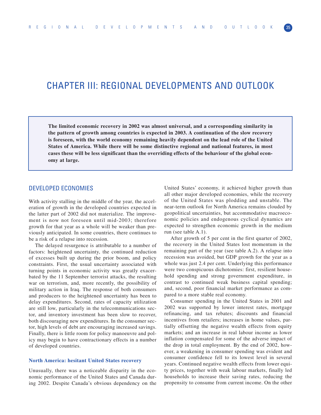# CHAPTER III: REGIONAL DEVELOPMENTS AND OUTLOOK

**The limited economic recovery in 2002 was almost universal, and a corresponding similarity in the pattern of growth among countries is expected in 2003. A continuation of the slow recovery is foreseen, with the world economy remaining heavily dependent on the lead role of the United States of America. While there will be some distinctive regional and national features, in most cases these will be less significant than the overriding effects of the behaviour of the global economy at large.**

# DEVELOPED ECONOMIES

With activity stalling in the middle of the year, the acceleration of growth in the developed countries expected in the latter part of 2002 did not materialize. The improvement is now not foreseen until mid-2003; therefore growth for that year as a whole will be weaker than previously anticipated. In some countries, there continues to be a risk of a relapse into recession.

The delayed resurgence is attributable to a number of factors: heightened uncertainty, the continued reduction of excesses built up during the prior boom, and policy constraints. First, the usual uncertainty associated with turning points in economic activity was greatly exacerbated by the 11 September terrorist attacks, the resulting war on terrorism, and, more recently, the possibility of military action in Iraq. The response of both consumers and producers to the heightened uncertainty has been to delay expenditures. Second, rates of capacity utilization are still low, particularly in the telecommunications sector, and inventory investment has been slow to recover, both discouraging new expenditures. In the consumer sector, high levels of debt are encouraging increased savings. Finally, there is little room for policy manoeuvre and policy may begin to have contractionary effects in a number of developed countries.

#### **North America: hesitant United States recovery**

Unusually, there was a noticeable disparity in the economic performance of the United States and Canada during 2002. Despite Canada's obvious dependency on the

United States' economy, it achieved higher growth than all other major developed economies, while the recovery of the United States was plodding and unstable. The near-term outlook for North America remains clouded by geopolitical uncertainties, but accommodative macroeconomic policies and endogenous cyclical dynamics are expected to strengthen economic growth in the medium run (see table A.1).

After growth of 5 per cent in the first quarter of 2002, the recovery in the United States lost momentum in the remaining part of the year (see table A.2). A relapse into recession was avoided, but GDP growth for the year as a whole was just 2.4 per cent. Underlying this performance were two conspicuous dichotomies: first, resilient household spending and strong government expenditure, in contrast to continued weak business capital spending; and, second, poor financial market performance as compared to a more stable real economy.

Consumer spending in the United States in 2001 and 2002 was supported by lower interest rates, mortgage refinancing, and tax rebates; discounts and financial incentives from retailers; increases in home values, partially offsetting the negative wealth effects from equity markets; and an increase in real labour income as lower inflation compensated for some of the adverse impact of the drop in total employment. By the end of 2002, however, a weakening in consumer spending was evident and consumer confidence fell to its lowest level in several years. Continued negative wealth effects from lower equity prices, together with weak labour markets, finally led households to increase their saving rates, reducing the propensity to consume from current income. On the other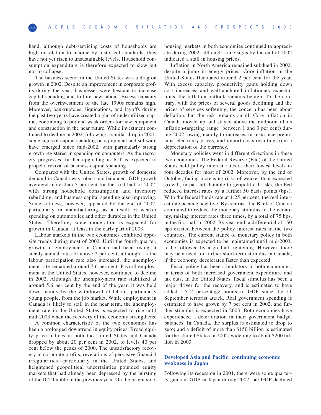hand, although debt-servicing costs of households are high in relation to income by historical standards, they have not yet risen to unsustainable levels. Household consumption expenditure is therefore expected to slow but not to collapse.

The business sector in the United States was a drag on growth in 2002. Despite an improvement in corporate profits during the year, businesses were hesitant to increase capital spending and to hire new labour. Excess capacity from the overinvestment of the late 1990s remains high. Moreover, bankruptcies, liquidations, and layoffs during the past two years have created a glut of underutilized capital, continuing to portend weak orders for new equipment and construction in the near future. While investment continued to decline in 2002, following a similar drop in 2001, some signs of capital spending on equipment and software have emerged since mid-2002, with particularly strong growth registered in spending on computers. As the recovery progresses, further upgrading in ICT is expected to propel a revival of business capital spending.

Compared with the United States, growth of domestic demand in Canada was robust and balanced. GDP growth averaged more than 5 per cent for the first half of 2002, with strong household consumption and inventory rebuilding, and business capital spending also improving. Some softness, however, appeared by the end of 2002, particularly in manufacturing, as a result of weaker spending on automobiles and other durables in the United States. Therefore, some moderation is expected for growth in Canada, at least in the early part of 2003.

Labour markets in the two economies exhibited opposite trends during most of 2002. Until the fourth quarter, growth in employment in Canada had been rising at steady annual rates of above 2 per cent, although, as the labour participation rate also increased, the unemployment rate remained around 7.6 per cent. Payroll employment in the United States, however, continued to decline in 2002. Although the unemployment rate stabilized at around 5.6 per cent by the end of the year, it was held down mainly by the withdrawal of labour, particularly young people, from the job market. While employment in Canada is likely to stall in the near term, the unemployment rate in the United States is expected to rise until mid-2003 when the recovery of the economy strengthens.

A common characteristic of the two economies has been a prolonged downtrend in equity prices. Broad equity price indices in both the United States and Canada dropped by about 20 per cent in 2002, to levels 40 per cent below the peaks of 2000. The unsatisfactory recovery in corporate profits, revelations of pervasive financial irregularities—particularly in the United States, and heightened geopolitical uncertainties pounded equity markets that had already been depressed by the bursting of the ICT bubble in the previous year. On the bright side,

housing markets in both economies continued to appreciate during 2002, although some signs by the end of 2002 indicated a stall in housing prices.

Inflation in North America remained subdued in 2002, despite a jump in energy prices. Core inflation in the United States fluctuated around 2 per cent for the year. With excess capacity, productivity gains holding down cost increases, and well-anchored inflationary expectations, the inflation outlook remains benign. To the contrary, with the prices of several goods declining and the prices of services softening, the concern has been about deflation, but the risk remains small. Core inflation in Canada moved up and stayed above the midpoint of its inflation-targeting range (between 1 and 3 per cent) during 2002, owing mainly to increases in insurance premiums, electricity prices, and import costs resulting from a depreciation of the currency.

Monetary policies went in different directions in these two economies. The Federal Reserve (Fed) of the United States held policy interest rates at their lowest levels in four decades for most of 2002. Moreover, by the end of October, facing increasing risks of weaker-than-expected growth, in part attributable to geopolitical risks, the Fed reduced interest rates by a further 50 basis points (bps). With the federal funds rate at 1.25 per cent, the real interest rate became negative. By contrast, the Bank of Canada continued to reduce the monetary stimulus to the economy, raising interest rates three times, by a total of 75 bps, in the first half of 2002. By year-end, a differential of 150 bps existed between the policy interest rates in the two countries. The current stance of monetary policy in both economies is expected to be maintained until mid-2003, to be followed by a gradual tightening. However, there may be a need for further short-term stimulus in Canada, if the economy decelerates faster than expected.

Fiscal policy has been stimulatory in both economies, in terms of both increased government expenditure and tax cuts. In the United States, fiscal stimulus has been a major driver for the recovery, and is estimated to have added 1.5–2 percentage points to GDP since the 11 September terrorist attack. Real government spending is estimated to have grown by 7 per cent in 2002, and further stimulus is expected in 2003. Both economies have experienced a deterioration in their government budget balances. In Canada, the surplus is estimated to drop to zero; and a deficit of more than \$150 billion is estimated for the United States in 2002, widening to about \$200 billion in 2003.

## **Developed Asia and Pacific: continuing economic weakness in Japan**

Following its recession in 2001, there were some quarterly gains in GDP in Japan during 2002, but GDP declined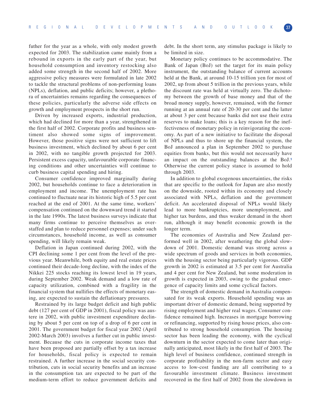futher for the year as a whole, with only modest growth expected for 2003. The stabilization came mainly from a rebound in exports in the early part of the year, but household consumption and inventory restocking also added some strength in the second half of 2002. More aggressive policy measures were formulated in late 2002 to tackle the structural problems of non-performing loans (NPLs), deflation, and public deficits; however, a plethora of uncertainties remains regarding the consequences of these policies, particularly the adverse side effects on growth and employment prospects in the short run.

Driven by increased exports, industrial production, which had declined for more than a year, strengthened in the first half of 2002. Corporate profits and business sentiment also showed some signs of improvement. However, those positive signs were not sufficient to lift business investment, which declined by about 6 per cent in 2002, with no tangible growth projected for 2003. Persistent excess capacity, unfavourable corporate financing conditions and other uncertainties will continue to curb business capital spending and hiring.

Consumer confidence improved marginally during 2002, but households continue to face a deterioration in employment and income. The unemployment rate has continued to fluctuate near its historic high of 5.5 per cent reached at the end of 2001. At the same time, workers' compensation continued on the downward trend it started in the late 1990s. The latest business surveys indicate that many firms continue to perceive themselves as overstaffed and plan to reduce personnel expenses; under such circumstances, household income, as well as consumer spending, will likely remain weak.

Deflation in Japan continued during 2002, with the CPI declining some 1 per cent from the level of the previous year. Meanwhile, both equity and real estate prices continued their decade-long decline, with the index of the Nikkei 225 stocks reaching its lowest level in 19 years, during September 2002. Weak demand and a low rate of capacity utilization, combined with a fragility in the financial system that nullifies the effects of monetary easing, are expected to sustain the deflationary pressures.

Restrained by its large budget deficit and high public debt (127 per cent of GDP in 2001), fiscal policy was austere in 2002, with public investment expenditure declining by about 5 per cent on top of a drop of 6 per cent in 2001. The government budget for fiscal year 2002 (April 2002-March 2003) involves a further cut in public investment. Because the cuts in corporate income taxes that have been proposed are partially offset by a tax increase for households, fiscal policy is expected to remain restrained. A further increase in the social security contribution, cuts in social security benefits and an increase in the consumption tax are expected to be part of the medium-term effort to reduce government deficits and

debt. In the short term, any stimulus package is likely to be limited in size.

Monetary policy continues to be accommodative. The Bank of Japan (BoJ) set the target for its main policy instrument, the outstanding balance of current accounts held at the Bank, at around 10-15 trillion yen for most of 2002, up from about 5 trillion in the previous years, while the discount rate was held at virtually zero. The dichotomy between the growth of base money and that of the broad money supply, however, remained, with the former running at an annual rate of 20-30 per cent and the latter at about 3 per cent because banks did not use their extra reserves to make loans; this is a key reason for the ineffectiveness of monetary policy in reinvigorating the economy. As part of a new initiative to facilitate the disposal of NPLs and thus to shore up the financial system, the BoJ announced a plan in September 2002 to purchase equities from banks, but this would not necessarily have an impact on the outstanding balances at the BoJ.**<sup>1</sup>** Otherwise the current policy stance is assumed to hold through 2003.

In addition to global exogenous uncertainties, the risks that are specific to the outlook for Japan are also mostly on the downside, rooted within its economy and closely associated with NPLs, deflation and the government deficit. An accelerated disposal of NPLs would likely lead to more bankruptcies, more unemployment, and higher tax burdens, and thus weaker demand in the short run, although it may benefit economic growth in the longer term.

The economies of Australia and New Zealand performed well in 2002, after weathering the global slowdown of 2001. Domestic demand was strong across a wide spectrum of goods and services in both economies, with the housing sector being particularly vigorous. GDP growth in 2002 is estimated at 3.5 per cent for Australia and 4 per cent for New Zealand, but some moderation in growth is expected in 2003, owing to the gradual emergence of capacity limits and some cyclical factors.

The strength of domestic demand in Australia compensated for its weak exports. Household spending was an important driver of domestic demand, being supported by rising employment and higher real wages. Consumer confidence remained high. Increases in mortgage borrowing or refinancing, supported by rising house prices, also contributed to strong household consumption. The housing sector has been leading the economy, with the cyclical downturn in the sector expected to come later than originally anticipated, most likely in the first half of 2003. The high level of business confidence, continued strength in corporate profitability in the non-farm sector and easy access to low-cost funding are all contributing to a favourable investment climate. Business investment recovered in the first half of 2002 from the slowdown in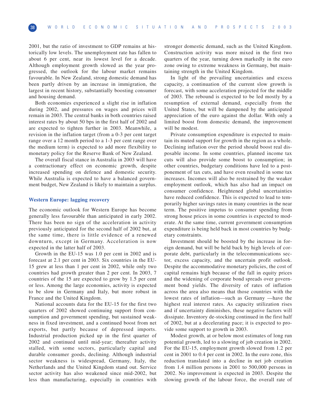2001, but the ratio of investment to GDP remains at historically low levels. The unemployment rate has fallen to about 6 per cent, near its lowest level for a decade. Although employment growth slowed as the year progressed, the outlook for the labour market remains favourable. In New Zealand, strong domestic demand has been partly driven by an increase in immigration, the largest in recent history, substantially boosting consumer and housing demand.

Both economies experienced a slight rise in inflation during 2002, and pressures on wages and prices will remain in 2003. The central banks in both countries raised interest rates by about 50 bps in the first half of 2002 and are expected to tighten further in 2003. Meanwhile, a revision in the inflation target (from a 0-3 per cent target range over a 12 month period to a 1-3 per cent range over the medium term) is expected to add more flexibility to monetary policy for the Reserve Bank of New Zealand.

The overall fiscal stance in Australia in 2003 will have a contractionary effect on economic growth, despite increased spending on defence and domestic security. While Australia is expected to have a balanced government budget, New Zealand is likely to maintain a surplus.

#### **Western Europe: lagging recovery**

The economic outlook for Western Europe has become generally less favourable than anticipated in early 2002. There has been no sign of the acceleration in activity previously anticipated for the second half of 2002 but, at the same time, there is little evidence of a renewed downturn, except in Germany. Acceleration is now expected in the latter half of 2003.

Growth in the EU-15 was 1.0 per cent in 2002 and is forecast at 2.1 per cent in 2003. Six countries in the EU-15 grew at less than 1 per cent in 2002, while only two countries had growth greater than 2 per cent. In 2003, 7 countries of the 15 are expected to grow by 1.5 per cent or less. Among the large economies, activity is expected to be slow in Germany and Italy, but more robust in France and the United Kingdom.

National accounts data for the EU-15 for the first two quarters of 2002 showed continuing support from consumption and government spending, but sustained weakness in fixed investment, and a continued boost from net exports, but partly because of depressed imports. Industrial production picked up in the first quarter of 2002 and continued until mid-year; thereafter activity stalled, with some sectors, particularly capital and durable consumer goods, declining. Although industrial sector weakness is widespread, Germany, Italy, the Netherlands and the United Kingdom stand out. Service sector activity has also weakened since mid-2002, but less than manufacturing, especially in countries with stronger domestic demand, such as the United Kingdom. Construction activity was more mixed in the first two quarters of the year, turning down markedly in the euro zone owing to extreme weakness in Germany, but maintaining strength in the United Kingdom.

In light of the prevailing uncertainties and excess capacity, a continuation of the current slow growth is forecast, with some acceleration projected for the middle of 2003. The rebound is expected to be led mostly by a resumption of external demand, especially from the United States, but will be dampened by the anticipated appreciation of the euro against the dollar. With only a limited boost from domestic demand, the improvement will be modest.

Private consumption expenditure is expected to maintain its muted support for growth in the region as a whole. Declining inflation over the period should boost real disposable income. In some countries, planned income tax cuts will also provide some boost to consumption; in other countries, budgetary conditions have led to a postponement of tax cuts, and have even resulted in some tax increases. Incomes will also be restrained by the weaker employment outlook, which has also had an impact on consumer confidence. Heightened global uncertainties have reduced confidence. This is expected to lead to temporarily higher savings rates in many countries in the near term. The positive impetus to consumer spending from strong house prices in some countries is expected to moderate. At the same time, current government consumption expenditure is being held back in most countries by budgetary constraints.

Investment should be boosted by the increase in foreign demand, but will be held back by high levels of corporate debt, particularly in the telecommunications sector, excess capacity, and the uncertain profit outlook. Despite the accommodative monetary policies, the cost of capital remains high because of the fall in equity prices and the widening of corporate bond spreads over government bond yields. The diversity of rates of inflation across the area also means that those countries with the lowest rates of inflation—such as Germany —have the highest real interest rates. As capacity utilization rises and if uncertainty diminishes, these negative factors will dissipate. Inventory de-stocking continued in the first half of 2002, but at a decelerating pace; it is expected to provide some support to growth in 2003.

Modest growth, at or below most estimates of long run potential growth, led to a slowing of job creation in 2002. For the EU-15, employment growth slowed from 1.2 per cent in 2001 to 0.4 per cent in 2002. In the euro zone, this reduction translated into a decline in net job creation from 1.4 million persons in 2001 to 500,000 persons in 2002. No improvement is expected in 2003. Despite the slowing growth of the labour force, the overall rate of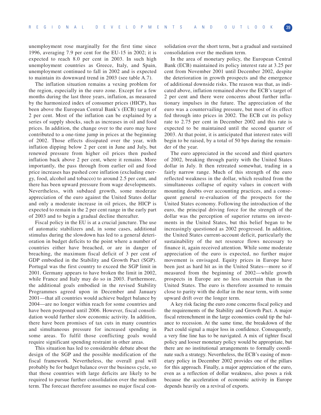unemployment rose marginally for the first time since 1996, averaging 7.9 per cent for the EU-15 in 2002; it is expected to reach 8.0 per cent in 2003. In such high unemployment countries as Greece, Italy, and Spain, unemployment continued to fall in 2002 and is expected to maintain its downward trend in 2003 (see table A.7).

The inflation situation remains a vexing problem for the region, especially in the euro zone. Except for a few months during the last three years, inflation, as measured by the harmonized index of consumer prices (HICP), has been above the European Central Bank's (ECB) target of 2 per cent. Most of the inflation can be explained by a series of supply shocks, such as increases in oil and food prices. In addition, the change over to the euro may have contributed to a one-time jump in prices at the beginning of 2002. Those effects dissipated over the year, with inflation dipping below 2 per cent in June and July, but renewed pressure from higher oil prices then pushed inflation back above 2 per cent, where it remains. More importantly, the pass through from earlier oil and food price increases has pushed core inflation (excluding energy, food, alcohol and tobacco) to around 2.5 per cent, and there has been upward pressure from wage developments. Nevertheless, with subdued growth, some moderate appreciation of the euro against the United States dollar and only a moderate increase in oil prices, the HICP is expected to remain in the 2 per cent range in the early part of 2003 and to begin a gradual decline thereafter.

Fiscal policy in the EU is at a crucial juncture. The use of automatic stabilizers and, in some cases, additional stimulus during the slowdown has led to a general deterioration in budget deficits to the point where a number of countries either have breached, or are in danger of breaching, the maximum fiscal deficit of 3 per cent of GDP embodied in the Stability and Growth Pact (SGP). Portugal was the first country to exceed the SGP limit in 2001. Germany appears to have broken the limit in 2002, while France and Italy may do so in 2003. Furthermore, the additional goals embodied in the revised Stability Programmes agreed upon in December and January 2001—that all countries would achieve budget balance by 2004—are no longer within reach for some countries and have been postponed until 2006. However, fiscal consolidation would further slow economic activity. In addition, there have been promises of tax cuts in many countries and simultaneous pressure for increased spending in some areas. To fulfil those conflicting goals would require significant spending restraint in other areas.

This situation has led to considerable debate about the design of the SGP and the possible modification of the fiscal framework. Nevertheless, the overall goal will probably be for budget balance over the business cycle, so that those countries with large deficits are likely to be required to pursue further consolidation over the medium term. The forecast therefore assumes no major fiscal con-

solidation over the short term, but a gradual and sustained consolidation over the medium term.

In the area of monetary policy, the European Central Bank (ECB) maintained its policy interest rate at 3.25 per cent from November 2001 until December 2002, despite the deterioration in growth prospects and the emergence of additional downside risks. The reason was that, as indicated above, inflation remained above the ECB's target of 2 per cent and there were concerns about further inflationary impulses in the future. The appreciation of the euro was a countervailing pressure, but most of its effect fed through into prices in 2002. The ECB cut its policy rate to 2.75 per cent in December 2002 and this rate is expected to be maintained until the second quarter of 2003. At that point, it is anticipated that interest rates will begin to be raised, by a total of 50 bps during the remainder of the year.

The euro appreciated in the second and third quarters of 2002, breaking through parity with the United States dollar in July. It then retreated somewhat, trading in a fairly narrow range. Much of this strength of the euro reflected weakness in the dollar, which resulted from the simultaneous collapse of equity values in concert with mounting doubts over accounting practices, and a consequent general re-evaluation of the prospects for the United States economy. Following the introduction of the euro, the principal driving force for the strength of the dollar was the perception of superior returns on investments in the United States, but this belief began to be increasingly questioned as 2002 progressed. In addition, the United States current-account deficit, particularly the sustainability of the net resource flows necessary to finance it, again received attention. While some moderate appreciation of the euro is expected, no further major movement is envisaged. Equity prices in Europe have been just as hard hit as in the United States—more so if measured from the beginning of 2002—while growth prospects in Europe are no less uncertain than in the United States. The euro is therefore assumed to remain close to parity with the dollar in the near term, with some upward drift over the longer term.

A key risk facing the euro zone concerns fiscal policy and the requirements of the Stability and Growth Pact. A major fiscal retrenchment in the large economies could tip the balance to recession. At the same time, the breakdown of the Pact could signal a major loss in confidence. Consequently, a very fine line has to be navigated. A mix of tighter fiscal policy and looser monetary policy would be appropriate, but there are no institutional arrangements to formally coordinate such a strategy. Nevertheless, the ECB's easing of monetary policy in December 2002 provides one of the pillars for this approach. Finally, a major appreciation of the euro, even as a reflection of dollar weakness, also poses a risk because the acceleration of economic activity in Europe depends heavily on a revival of exports.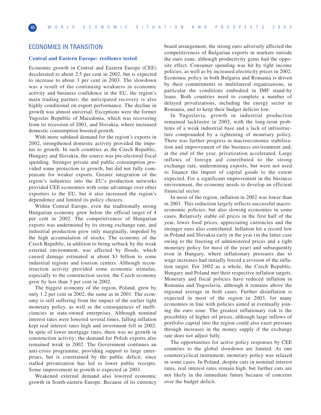# ECONOMIES IN TRANSITION

#### **Central and Eastern Europe: resilience tested**

Economic growth in Central and Eastern Europe (CEE) decelerated to about 2.5 per cent in 2002, but is expected to increase to about 3 per cent in 2003. The slowdown was a result of the continuing weakness in economic activity and business confidence in the EU, the region's main trading partner; the anticipated recovery is also highly conditional on export performance. The decline in growth was almost universal. Exceptions were the former Yugoslav Republic of Macedonia, which was recovering from its recession of 2001, and Slovakia, where increased domestic consumption boosted growth.

With more subdued demand for the region's exports in 2002, strengthened domestic activity provided the impetus to growth. In such countries as the Czech Republic, Hungary and Slovakia, the source was pre-electoral fiscal spending. Stronger private and public consumption provided some protection to growth, but did not fully compensate for weaker exports. Greater integration of the region's industries into the EU's production networks provided CEE economies with some advantage over other exporters to the EU, but it also increased the region's dependence and limited its policy choices.

Within Central Europe, even the traditionally strong Hungarian economy grew below the official target of 4 per cent in 2002. The competitiveness of Hungarian exports was undermined by its strong exchange rate, and industrial production grew only marginally, impeded by the high accumulation of stocks. The economy of the Czech Republic, in addition to being setback by the weak external environment, was affected by floods, which caused damage estimated at about \$3 billion to some industrial regions and tourism centers. Although reconstruction activity provided some economic stimulus, especially to the construction sector, the Czech economy grew by less than 3 per cent in 2002.

The biggest economy of the region, Poland, grew by only 1.2 per cent in 2002, the same as in 2001. The economy is still suffering from the impact of the earlier tight monetary policy, as well as the consequences of inefficiencies in state-owned enterprises. Although nominal interest rates were lowered several times, falling inflation kept real interest rates high and investment fell in 2002. In spite of lower mortgage rates, there was no growth in construction activity; the demand for Polish exports also remained weak in 2002. The Government continues an anti-crisis programme, providing support to large enterprises, but is constrained by the public deficit, since stalled privatization has led to lower public receipts. Some improvement in growth is expected in 2003.

Weakened external demand also lowered economic growth in South-eastern Europe. Because of its currency board arrangement, the strong euro adversely affected the competitiveness of Bulgarian exports in markets outside the euro zone, although productivity gains had the opposite effect. Consumer spending was hit by tight income policies, as well as by increased electricity prices in 2002. Economic policy in both Bulgaria and Romania is driven by their commitments to multilateral organizations, in particular the conditions embodied in IMF stand-by loans. Both countries need to complete a number of delayed privatizations, including the energy sector in Romania, and to keep their budget deficits low.

In Yugoslavia, growth in industrial production remained lacklustre in 2002, with the long-term problems of a weak industrial base and a lack of infrastructure compounded by a tightening of monetary policy. There was further progress in macroeconomic stabilization and improvement of the business environment and, at the end of the year, privatization accelerated. Large inflows of foreign aid contributed to the strong exchange rate, undermining exports, but were not used to finance the import of capital goods to the extent expected. For a significant improvement in the business environment, the economy needs to develop an efficient financial sector.

In most of the region, inflation in 2002 was lower than in 2001. This reduction largely reflects successful macroeconomic policies, but also slowing economies in some cases. Relatively stable oil prices in the first half of the year, lower food prices, appreciating currencies and the stronger euro also contributed. Inflation hit a record low in Poland and Slovakia early in the year (in the latter case owing to the freezing of administered prices and a tight monetary policy for most of the year) and subsequently even in Hungary, where inflationary pressures due to wage increases had initially forced a revision of the inflation target. For 2002 as a whole, the Czech Republic, Hungary and Poland met their respective inflation targets. Monetary and fiscal policies have reduced inflation in Romania and Yugoslavia, although it remains above the regional average in both cases. Further disinflation is expected in most of the region in 2003, for many economies in line with policies aimed at eventually joining the euro zone. The greatest inflationary risk is the possibility of higher oil prices, although large inflows of portfolio capital into the region could also exert pressure through increases in the money supply if the exchange rate does not adjust fully.

The opportunities for active policy responses by CEE countries to the global slowdown are limited. As one countercyclical instrument, monetary policy was relaxed in some cases. In Poland, despite cuts in nominal interest rates, real interest rates remain high, but further cuts are not likely in the immediate future because of concerns over the budget deficit.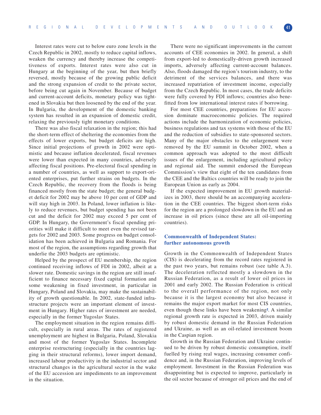Interest rates were cut to below euro zone levels in the Czech Republic in 2002, mostly to reduce capital inflows, weaken the currency and thereby increase the competitiveness of exports. Interest rates were also cut in Hungary at the beginning of the year, but then briefly reversed, mostly because of the growing public deficit and the strong expansion of credit to the private sector, before being cut again in November. Because of budget and current-account deficits, monetary policy was tightened in Slovakia but then loosened by the end of the year. In Bulgaria, the development of the domestic banking system has resulted in an expansion of domestic credit, relaxing the previously tight monetary conditions.

There was also fiscal relaxation in the region; this had the short-term effect of sheltering the economies from the effects of lower exports, but budget deficits are high. Since initial projections of growth in 2002 were optimistic and because inflation decelerated, fiscal revenues were lower than expected in many countries, adversely affecting fiscal positions. Pre-electoral fiscal spending in a number of countries, as well as support to export-oriented enterprises, put further strains on budgets. In the Czech Republic, the recovery from the floods is being financed mostly from the state budget; the general budget deficit for 2002 may be above 10 per cent of GDP and will stay high in 2003. In Poland, lower inflation is likely to reduce revenues, but budget spending has not been cut and the deficit for 2002 may exceed 5 per cent of GDP. In Hungary, the Government's fiscal spending priorities will make it difficult to meet even the revised targets for 2002 and 2003. Some progress on budget consolidation has been achieved in Bulgaria and Romania. For most of the region, the assumptions regarding growth that underlie the 2003 budgets are optimistic.

Helped by the prospect of EU membership, the region continued receiving inflows of FDI in 2002, albeit at a slower rate. Domestic savings in the region are still insufficient to finance necessary fixed capital formation and some weakening in fixed investment, in particular in Hungary, Poland and Slovakia, may make the sustainability of growth questionable. In 2002, state-funded infrastructure projects were an important element of investment in Hungary. Higher rates of investment are needed, especially in the former Yugoslav States.

The employment situation in the region remains difficult, especially in rural areas. The rates of registered unemployment are highest in Bulgaria, Poland, Slovakia and most of the former Yugoslav States. Incomplete enterprise restructuring (especially in the countries lagging in their structural reforms), lower import demand, increased labour productivity in the industrial sector and structural changes in the agricultural sector in the wake of the EU accession are impediments to an improvement in the situation.

There were no significant improvements in the current accounts of CEE economies in 2002. In general, a shift from export-led to domestically-driven growth increased imports, adversely affecting current-account balances. Also, floods damaged the region's tourism industry, to the detriment of the services balances, and there was increased repatriation of investment income, especially from the Czech Republic. In most cases, the trade deficits were fully covered by FDI inflows; countries also benefitted from low international interest rates if borrowing.

For most CEE countries, preparations for EU accession dominate macroeconomic policies. The required actions include the harmonization of economic policies, business regulations and tax systems with those of the EU and the reduction of subsidies to state-sponsored sectors. Many of the major obstacles to the enlargement were removed by the EU summit in October 2002, when a common approach was adopted to the most difficult issues of the enlargement, including agricultural policy and regional aid. The summit endorsed the European Commission's view that eight of the ten candidates from the CEE and the Baltics countries will be ready to join the European Union as early as 2004.

If the expected improvement in EU growth materializes in 2003, there should be an accompanying acceleration in the CEE countries. The biggest short-term risks for the region are a prolonged slowdown in the EU and an increase in oil prices (since these are all oil-importing countries).

#### **Commonwealth of Independent States: further autonomous growth**

Growth in the Commonwealth of Independent States (CIS) is decelerating from the record rates registered in the past two years, but remains robust (see table A.3). The deceleration reflected mostly a slowdown in the Russian Federation, as a result of lower oil prices in 2001 and early 2002. The Russian Federation is critical to the overall performance of the region, not only because it is the largest economy but also because it remains the major export market for most CIS countries, even though these links have been weakening**2**. A similar regional growth rate is expected in 2003, driven mainly by robust domestic demand in the Russian Federation and Ukraine, as well as an oil-related investment boom in the Caspian region.

Growth in the Russian Federation and Ukraine continued to be driven by robust domestic consumption, itself fuelled by rising real wages, increasing consumer confidence and, in the Russian Federation, improving levels of employment. Investment in the Russian Federation was disappointing but is expected to improve, particularly in the oil sector because of stronger oil prices and the end of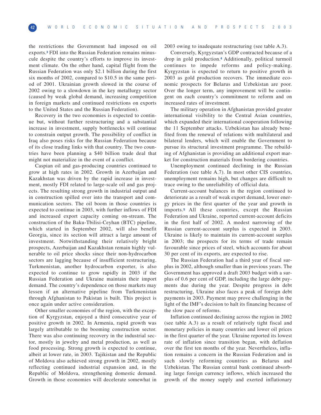the restrictions the Government had imposed on oil exports.**<sup>3</sup>** FDI into the Russian Federation remains minuscule despite the country's efforts to improve its investment climate. On the other hand, capital flight from the Russian Federation was only \$2.1 billion during the first six months of 2002, compared to \$10.5 in the same period of 2001. Ukrainian growth slowed in the course of 2002 owing to a slowdown in the key metallurgy sector (caused by weak global demand, increasing competition in foreign markets and continued restrictions on exports to the United States and the Russian Federation).

Recovery in the two economies is expected to continue but, without further restructuring and a substantial increase in investment, supply bottlenecks will continue to constrain output growth. The possibility of conflict in Iraq also poses risks for the Russian Federation because of its close trading links with that country. The two countries have been planning a \$40 billion trade deal that might not materialize in the event of a conflict.

Caspian oil and gas-producing countries continued to grow at high rates in 2002. Growth in Azerbaijan and Kazakhstan was driven by the rapid increase in investment, mostly FDI related to large-scale oil and gas projects. The resulting strong growth in industrial output and in construction spilled over into the transport and communication sectors. The oil boom in those countries is expected to continue in 2003, with further inflows of FDI and increased export capacity coming on-stream. The construction of the Baku-Tbilisi-Ceyhan (BTC) pipeline, which started in September 2002, will also benefit Georgia, since its section will attract a large amount of investment. Notwithstanding their relatively bright prospects, Azerbaijan and Kazakhstan remain highly vulnerable to oil price shocks since their non-hydrocarbon sectors are lagging because of insufficient restructuring. Turkmenistan, another hydrocarbon exporter, is also expected to continue to grow rapidly in 2003 if the Russian Federation and Ukraine maintain their import demand. The country's dependence on those markets may lessen if an alternative pipeline from Turkmenistan through Afghanistan to Pakistan is built. This project is once again under active consideration.

Other smaller economies of the region, with the exception of Kyrgyzstan, enjoyed a third consecutive year of positive growth in 2002. In Armenia, rapid growth was largely attributable to the booming construction sector. There was also continuing recovery in the industrial sector, mostly in jewelry and metal production, as well as food processing. Strong growth is expected to continue, albeit at lower rate, in 2003. Tajikistan and the Republic of Moldova also achieved strong growth in 2002, mostly reflecting continued industrial expansion and, in the Republic of Moldova, strengthening domestic demand. Growth in those economies will decelerate somewhat in 2003 owing to inadequate restructuring (see table A.3).

Conversely, Kyrgyzstan's GDP contracted because of a drop in gold production.**<sup>4</sup>** Additionally, political turmoil continues to impede reforms and policy-making. Kyrgyzstan is expected to return to positive growth in 2003 as gold production recovers. The immediate economic prospects for Belarus and Uzbekistan are poor. Over the longer term, any improvement will be contingent on each country's commitment to reform and on increased rates of investment.

The military operation in Afghanistan provided greater international visibility to the Central Asian countries, which expanded their international cooperation following the 11 September attacks. Uzbekistan has already benefited from the renewal of relations with multilateral and bilateral lenders, which will enable the Government to pursue its structural investment programme. The rebuilding of Afghanistan is providing an additional export market for construction materials from bordering countries.

Unemployment continued declining in the Russian Federation (see table A.7). In most other CIS countries, unemployment remains high, but changes are difficult to trace owing to the unreliability of official data.

Current-account balances in the region continued to deteriorate as a result of weak export demand, lower energy prices in the first quarter of the year and growth in imports.**<sup>5</sup>** All these countries, except the Russian Federation and Ukraine, reported current-account deficits in the first half of 2002. A modest narrowing of the Russian current-account surplus is expected in 2003. Ukraine is likely to maintain its current-account surplus in 2003; the prospects for its terms of trade remain favourable since prices of steel, which accounts for about 30 per cent of its exports, are expected to rise.

The Russian Federation had a third year of fiscal surplus in 2002, although smaller than in previous years. The Government has approved a draft 2003 budget with a surplus of 0.6 per cent of GDP, including the large debt payments due during the year. Despite progress in debt restructuring, Ukraine also faces a peak of foreign debt payments in 2003. Payment may prove challenging in the light of the IMF's decision to halt its financing because of the slow pace of reforms.

Inflation continued declining across the region in 2002 (see table A.3) as a result of relatively tight fiscal and monetary policies in many countries and lower oil prices in the first quarter of the year. Ukraine reported its lowest rate of inflation since transition began, with deflation over the first ten months of the year. Nevertheless, inflation remains a concern in the Russian Federation and in such slowly reforming countries as Belarus and Uzbekistan. The Russian central bank continued absorbing large foreign currency inflows, which increased the growth of the money supply and exerted inflationary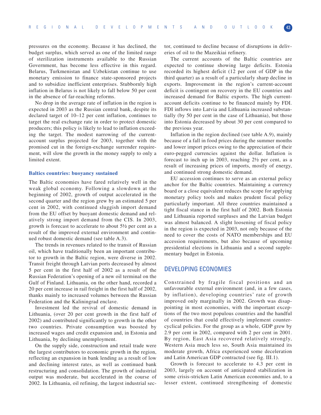pressures on the economy. Because it has declined, the budget surplus, which served as one of the limited range of sterilization instruments available to the Russian Government, has become less effective in this regard. Belarus, Turkmenistan and Uzbekistan continue to use monetary emission to finance state-sponsored projects and to subsidize inefficient enterprises. Stubbornly high inflation in Belarus is not likely to fall below 50 per cent in the absence of far-reaching reforms.

No drop in the average rate of inflation in the region is expected in 2003 as the Russian central bank, despite its declared target of 10–12 per cent inflation, continues to target the real exchange rate in order to protect domestic producers; this policy is likely to lead to inflation exceeding the target. The modest narrowing of the currentaccount surplus projected for 2003, together with the promised cut in the foreign-exchange surrender requirement, will slow the growth in the money supply to only a limited extent.

#### **Baltics countries: buoyancy sustained**

The Baltic economies have fared relatively well in the weak global economy. Following a slowdown at the beginning of 2002, growth of output accelerated in the second quarter and the region grew by an estimated 5 per cent in 2002, with continued sluggish import demand from the EU offset by buoyant domestic demand and relatively strong import demand from the CIS. In 2003, growth is forecast to accelerate to about 5½ per cent as a result of the improved external environment and continued robust domestic demand (see table A.3).

The trends in revenues related to the transit of Russian oil, which have traditionally been an important contributor to growth in the Baltic region, were diverse in 2002. Transit freight through Latvian ports decreased by almost 5 per cent in the first half of 2002 as a result of the Russian Federation's opening of a new oil terminal on the Gulf of Finland. Lithuania, on the other hand, recorded a 20 per cent increase in rail freight in the first half of 2002, thanks mainly to increased volumes between the Russian Federation and the Kaliningrad enclave.

Investment led the revival of domestic demand in Lithuania, (over 20 per cent growth in the first half of 2002) and contributed significantly to growth in the other two countries. Private consumption was boosted by increased wages and credit expansion and, in Estonia and Lithuania, by declining unemployment.

On the supply side, construction and retail trade were the largest contributors to economic growth in the region, reflecting an expansion in bank lending as a result of low and declining interest rates, as well as continued bank restructuring and consolidation. The growth of industrial output was moderate, but accelerated in the course of 2002. In Lithuania, oil refining, the largest industrial sector, continued to decline because of disruptions in deliveries of oil to the Mazeikiai refinery.

The current accounts of the Baltic countries are expected to continue showing large deficits. Estonia recorded its highest deficit (12 per cent of GDP in the third quarter) as a result of a particularly sharp decline in exports. Improvement in the region's current-account deficit is contingent on recovery in the EU countries and increased demand for Baltic exports. The high currentaccount deficits continue to be financed mainly by FDI. FDI inflows into Latvia and Lithuania increased substantially (by 50 per cent in the case of Lithuania), but those into Estonia decreased by about 30 per cent compared to the previous year.

Inflation in the region declined (see table A.9), mainly because of a fall in food prices during the summer months and lower import prices owing to the appreciation of their euro-pegged currencies against the dollar. Inflation is forecast to inch up in 2003, reaching 2½ per cent, as a result of increasing prices of imports, mostly of energy, and continued strong domestic demand.

EU accession continues to serve as an external policy anchor for the Baltic countries. Maintaining a currency board or a close equivalent reduces the scope for applying monetary policy tools and makes prudent fiscal policy particularly important. All three countries maintained a tight fiscal stance in the first half of 2002. Both Estonia and Lithuania reported surpluses and the Latvian budget was almost balanced. A slight loosening of fiscal policy in the region is expected in 2003, not only because of the need to cover the costs of NATO memberships and EU accession requirements, but also because of upcoming presidential elections in Lithuania and a second supplementary budget in Estonia.

# DEVELOPING ECONOMIES

Constrained by fragile fiscal positions and an unfavourable external environment (and, in a few cases, by inflation), developing countries' rate of growth improved only marginally in 2002. Growth was disappointing in most economies, with the important exceptions of the two most populous countries and the handful of countries that could effectively implement countercyclical policies. For the group as a whole, GDP grew by 2.9 per cent in 2002, compared with 2 per cent in 2001. By region, East Asia recovered relatively strongly, Western Asia much less so, South Asia maintained its moderate growth, Africa experienced some deceleration and Latin American GDP contracted (see fig. III.1).

Growth is forecast to accelerate to 4.3 per cent in 2003, largely on account of anticipated stabilization in some crisis-stricken Latin American economies and, to a lesser extent, continued strengthening of domestic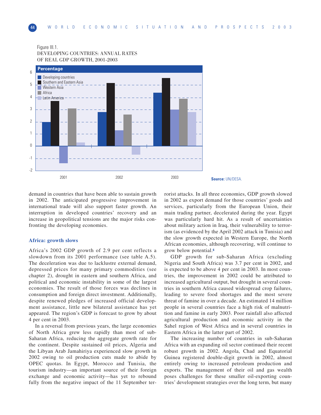#### Figure III.1. DEVELOPING COUNTRIES: ANNUAL RATES OF REAL GDP GROWTH, 2001-2003



demand in countries that have been able to sustain growth in 2002. The anticipated progressive improvement in international trade will also support faster growth. An interruption in developed countries' recovery and an increase in geopolitical tensions are the major risks confronting the developing economies.

#### **Africa: growth slows**

Africa's 2002 GDP growth of 2.9 per cent reflects a slowdown from its 2001 performance (see table A.5). The deceleration was due to lacklustre external demand, depressed prices for many primary commodities (see chapter 2), drought in eastern and southern Africa, and political and economic instability in some of the largest economies. The result of those forces was declines in consumption and foreign direct investment. Additionally, despite renewed pledges of increased official development assistance, little new bilateral assistance has yet appeared. The region's GDP is forecast to grow by about 4 per cent in 2003.

In a reversal from previous years, the large economies of North Africa grew less rapidly than most of sub-Saharan Africa, reducing the aggregate growth rate for the continent. Despite sustained oil prices, Algeria and the Libyan Arab Jamahiriya experienced slow growth in 2002 owing to oil production cuts made to abide by OPEC quotas. In Egypt, Morocco and Tunisia, the tourism industry—an important source of their foreign exchange and economic activity—has yet to rebound fully from the negative impact of the 11 September terrorist attacks. In all three economies, GDP growth slowed in 2002 as export demand for those countries' goods and services, particularly from the European Union, their main trading partner, decelerated during the year. Egypt was particularly hard hit. As a result of uncertainties about military action in Iraq, their vulnerability to terrorism (as evidenced by the April 2002 attack in Tunisia) and the slow growth expected in Western Europe, the North African economies, although recovering, will continue to grow below potential.**<sup>6</sup>**

GDP growth for sub-Saharan Africa (excluding Nigeria and South Africa) was 3.7 per cent in 2002, and is expected to be above 4 per cent in 2003. In most countries, the improvement in 2002 could be attributed to increased agricultural output, but drought in several countries in southern Africa caused widespread crop failures, leading to severe food shortages and the most severe threat of famine in over a decade. An estimated 14 million people in several countries face a high risk of malnutrition and famine in early 2003. Poor rainfall also affected agricultural production and economic activity in the Sahel region of West Africa and in several countries in Eastern Africa in the latter part of 2002.

The increasing number of countries in sub-Saharan Africa with an expanding oil sector continued their recent robust growth in 2002. Angola, Chad and Equatorial Guinea registered double-digit growth in 2002, almost entirely owing to increased petroleum production and exports. The management of their oil and gas wealth poses challenges for these smaller oil-exporting countries' development strategies over the long term, but many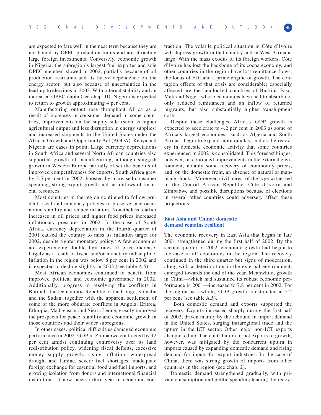are expected to fare well in the near term because they are not bound by OPEC production limits and are attracting large foreign investments. Conversely, economic growth in Nigeria, the subregion's largest fuel exporter and sole OPEC member, slowed in 2002, partially because of oil production restraints and its heavy dependence on the energy sector, but also because of uncertainties in the lead-up to elections in 2003. With internal stability and an increased OPEC quota (see chap. II), Nigeria is expected to return to growth approximating 4 per cent.

Manufacturing output rose throughout Africa as a result of increases in consumer demand in some countries, improvements on the supply side (such as higher agricultural output and less disruption in energy supplies) and increased shipments to the United States under the African Growth and Opportunity Act (AGOA). Kenya and Nigeria are cases in point. Large currency depreciations in South Africa and several North African countries also supported growth of manufacturing, although sluggish growth in Western Europe partially offset the benefits of improved competitiveness for exports. South Africa grew by 3.5 per cent in 2002, boosted by increased consumer spending, strong export growth and net inflows of financial resources.

Most countries in the region continued to follow prudent fiscal and monetary policies to preserve macroeconomic stability and reduce inflation. Nonetheless, earlier increases in oil prices and higher food prices increased inflationary pressures in 2002. In the case of South Africa, currency depreciation in the fourth quarter of 2001 caused the country to miss its inflation target for 2002, despite tighter monetary policy.**<sup>7</sup>** A few economies are experiencing double-digit rates of price increase, largely as a result of fiscal and/or monetary indiscipline. Inflation in the region was below 8 per cent in 2002 and is expected to decline slightly in 2003 (see table A.5).

Most African economies continued to benefit from improved political and economic governance in 2002. Additionally, progress in resolving the conflicts in Burundi, the Democratic Republic of the Congo, Somalia and the Sudan, together with the apparent settlement of some of the more obdurate conflicts in Angola, Eritrea, Ethiopia, Madagascar and Sierra Leone, greatly improved the prospects for peace, stability and economic growth in those countries and their wider subregions.

In other cases, political difficulties damaged economic performance in 2002. GDP in Zimbabwe contracted by 12 per cent amidst continuing controversy over its land redistribution policy, widening fiscal deficits, excessive money supply growth, rising inflation, widespread drought and famine, severe fuel shortages, inadequate foreign exchange for essential food and fuel imports, and growing isolation from donors and international financial institutions. It now faces a third year of economic contraction. The volatile political situation in Côte d'Ivoire will depress growth in that country and in West Africa at large. With the mass exodus of its foreign workers, Côte d'Ivoire has lost the backbone of its cocoa economy, and other countries in the region have lost remittance flows, the locus of FDI and a prime engine of growth. The contagion effects of that crisis are considerable; especially affected are the landlocked countries of Burkina Faso, Mali and Niger, whose economies have had to absorb not only reduced remittances and an inflow of returned migrants, but also substantially higher transhipment costs.**<sup>8</sup>**

Despite these challenges, Africa's GDP growth is expected to accelerate to 4.2 per cent in 2003 as some of Africa's largest economies—such as Algeria and South Africa—begin to expand more quickly, and as the recovery in domestic economic activity that some countries experienced in 2002 is consolidated. This forecast hinges, however, on continued improvements in the external environment, notably some recovery of commodity prices, and, on the domestic front, an absence of natural or manmade shocks. Moreover, civil unrest of the type witnessed in the Central African Republic, Côte d'Ivoire and Zimbabwe and possible disruptions because of elections in several other countries could adversely affect these projections.

## **East Asia and China: domestic demand remains resilient**

The economic recovery in East Asia that began in late 2001 strengthened during the first half of 2002. By the second quarter of 2002, economic growth had begun to increase in all economies in the region. The recovery continued in the third quarter but signs of moderation, along with a deterioration in the external environment, emerged towards the end of the year. Meanwhile, growth in China—which had sustained its robust economic performance in 2001—increased to 7.8 per cent in 2002. For the region as a whole, GDP growth is estimated at 5.2 per cent (see table A.5).

Both domestic demand and exports supported the recovery. Exports increased sharply during the first half of 2002, driven mainly by the rebound in import demand in the United States, surging intraregional trade and the upturn in the ICT sector. Other major non-ICT exports also picked up. The contribution of net exports to growth, however, was mitigated by the concurrent upturn in imports caused by expanding domestic demand and rising demand for inputs for export industries. In the case of China, there was strong growth of imports from other countries in the region (see chap. 2).

Domestic demand strengthened gradually, with private consumption and public spending leading the recov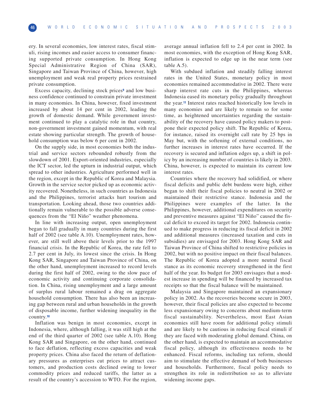ery. In several economies, low interest rates, fiscal stimuli, rising incomes and easier access to consumer financing supported private consumption. In Hong Kong Special Administrative Region of China (SAR), Singapore and Taiwan Province of China, however, high unemployment and weak real property prices restrained private consumption.

Excess capacity, declining stock prices**<sup>9</sup>** and low business confidence continued to constrain private investment in many economies. In China, however, fixed investment increased by about 14 per cent in 2002, leading the growth of domestic demand. While government investment continued to play a catalytic role in that country, non-government investment gained momentum, with real estate showing particular strength. The growth of household consumption was below 6 per cent in 2002.

On the supply side, in most economies both the industrial and service sectors rebounded robustly from the slowdown of 2001. Export-oriented industries, especially the ICT sector, led the upturn in industrial output, which spread to other industries. Agriculture performed well in the region, except in the Republic of Korea and Malaysia. Growth in the service sector picked up as economic activity recovered. Nonetheless, in such countries as Indonesia and the Philippines, terrorist attacks hurt tourism and transportation. Looking ahead, those two countries additionally remain vulnerable to the possible adverse consequences from the "El Niño" weather phenomena.

In line with increasing output, open unemployment began to fall gradually in many countries during the first half of 2002 (see table A.10). Unemployment rates, however, are still well above their levels prior to the 1997 financial crisis. In the Republic of Korea, the rate fell to 2.7 per cent in July, its lowest since the crisis. In Hong Kong SAR, Singapore and Taiwan Province of China, on the other hand, unemployment increased to record levels during the first half of 2002, owing to the slow pace of economic activity and continuing corporate consolidation. In China, rising unemployment and a large amount of surplus rural labour remained a drag on aggregate household consumption. There has also been an increasing gap between rural and urban households in the growth of disposable income, further widening inequality in the country.**<sup>10</sup>**

Inflation was benign in most economies, except in Indonesia, where, although falling, it was still high at the end of the third quarter of 2002 (see table A.10). Hong Kong SAR and Singapore, on the other hand, continued to face deflation, reflecting excess capacities and weak property prices. China also faced the return of deflationary pressures as enterprises cut prices to attract customers, and production costs declined owing to lower commodity prices and reduced tariffs, the latter as a result of the country's accession to WTO. For the region,

average annual inflation fell to 2.4 per cent in 2002. In most economies, with the exception of Hong Kong SAR, inflation is expected to edge up in the near term (see table A.5).

With subdued inflation and steadily falling interest rates in the United States, monetary policy in most economies remained accommodative in 2002. There were sharp interest rate cuts in the Philippines, whereas Indonesia eased its monetary policy gradually throughout the year.**<sup>11</sup>** Interest rates reached historically low levels in many economies and are likely to remain so for some time, as heightened uncertainties regarding the sustainability of the recovery have caused policy makers to postpone their expected policy shift. The Republic of Korea, for instance, raised its overnight call rate by 25 bps in May but, with the softening of external conditions, no further increases in interest rates have occurred. If the recovery is secured and inflation edges up, a shift in policy by an increasing number of countries is likely in 2003. China, however, is expected to maintain its current low interest rates.

Countries where the recovery had solidified, or where fiscal deficits and public debt burdens were high, either began to shift their fiscal policies to neutral in 2002 or maintained their restrictive stance. Indonesia and the Philippines were examples of the latter. In the Philippines, however, additional expenditures on security and preventive measures against "El Niño" caused the fiscal deficit to exceed its target for 2002. Indonesia continued to make progress in reducing its fiscal deficit in 2002 and additional measures (increased taxation and cuts in subsidies) are envisaged for 2003. Hong Kong SAR and Taiwan Province of China shifted to restrictive policies in 2002, but with no positive impact on their fiscal balances. The Republic of Korea adopted a more neutral fiscal stance as its economic recovery strengthened in the first half of the year. Its budget for 2003 envisages that a modest increase in spending will be financed by increased tax receipts so that the fiscal balance will be maintained.

Malaysia and Singapore maintained an expansionary policy in 2002. As the recoveries become secure in 2003, however, their fiscal policies are also expected to become less expansionary owing to concerns about medium-term fiscal sustainability. Nevertheless, most East Asian economies still have room for additional policy stimuli and are likely to be cautious in reducing fiscal stimuli if they are faced with moderating global demand. China, on the other hand, is expected to maintain an accommodative fiscal policy, although its effectiveness needs to be enhanced. Fiscal reforms, including tax reform, should aim to stimulate the effective demand of both businesses and households. Furthermore, fiscal policy needs to strengthen its role in redistribution so as to alleviate widening income gaps.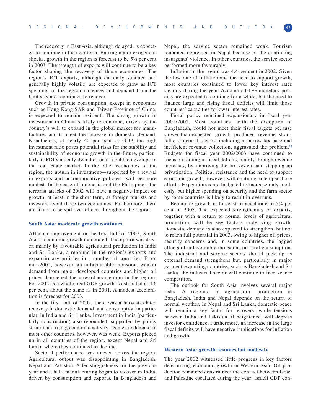The recovery in East Asia, although delayed, is expected to continue in the near term. Barring major exogenous shocks, growth in the region is forecast to be 5½ per cent in 2003. The strength of exports will continue to be a key factor shaping the recovery of those economies. The region's ICT exports, although currently subdued and generally highly volatile, are expected to grow as ICT spending in the region increases and demand from the United States continues to recover.

Growth in private consumption, except in economies such as Hong Kong SAR and Taiwan Province of China, is expected to remain resilient. The strong growth in investment in China is likely to continue, driven by the country's will to expand in the global market for manufactures and to meet the increase in domestic demand. Nonetheless, at nearly 40 per cent of GDP, the high investment ratio poses potential risks for the stability and sustainability of economic growth in the future, particularly if FDI suddenly dwindles or if a bubble develops in the real estate market. In the other economies of the region, the upturn in investment—supported by a revival in exports and accommodative policies—will be more modest. In the case of Indonesia and the Philippines, the terrorist attacks of 2002 will have a negative impact on growth, at least in the short term, as foreign tourists and investors avoid those two economies. Furthermore, there are likely to be spillover effects throughout the region.

#### **South Asia: moderate growth continues**

After an improvement in the first half of 2002, South Asia's economic growth moderated. The upturn was driven mainly by favourable agricultural production in India and Sri Lanka, a rebound in the region's exports and expansionary policies in a number of countries. From mid-2002, however, an unfavourable monsoon, weaker demand from major developed countries and higher oil prices dampened the upward momentum in the region. For 2002 as a whole, real GDP growth is estimated at 4.6 per cent, about the same as in 2001. A modest acceleration is forecast for 2003.

In the first half of 2002, there was a harvest-related recovery in domestic demand, and consumption in particular, in India and Sri Lanka. Investment in India (particularly construction) also rebounded, supported by policy stimuli and rising economic activity. Domestic demand in most other countries, however, was weak. Exports picked up in all countries of the region, except Nepal and Sri Lanka where they continued to decline.

Sectoral performance was uneven across the region. Agricultural output was disappointing in Bangladesh, Nepal and Pakistan. After sluggishness for the previous year and a half, manufacturing began to recover in India, driven by consumption and exports. In Bangladesh and

Nepal, the service sector remained weak. Tourism remained depressed in Nepal because of the continuing insurgents' violence. In other countries, the service sector performed more favourably.

Inflation in the region was 4.4 per cent in 2002. Given the low rate of inflation and the need to support growth, most countries continued to lower key interest rates steadily during the year. Accommodative monetary policies are expected to continue for a while, but the need to finance large and rising fiscal deficits will limit those countries' capacities to lower interest rates.

Fiscal policy remained expansionary in fiscal year 2001/2002. Most countries, with the exception of Bangladesh, could not meet their fiscal targets because slower-than-expected growth produced revenue shortfalls; structural factors, including a narrow tax base and inefficient revenue collection, aggravated the problem.**<sup>12</sup>** Budgets for fiscal year 2002/2003 have continued to focus on reining in fiscal deficits, mainly through revenue increases, by improving the tax system and stepping up privatization. Political resistance and the need to support economic growth, however, will continue to temper those efforts. Expenditures are budgeted to increase only modestly, but higher spending on security and the farm sector by some countries is likely to result in overruns.

Economic growth is forecast to accelerate to 5¾ per cent in 2003. The expected strengthening of exports, together with a return to normal levels of agricultural production, will be key factors underlying growth. Domestic demand is also expected to strengthen, but not to reach full potential in 2003, owing to higher oil prices, security concerns and, in some countries, the lagged effects of unfavourable monsoons on rural consumption. The industrial and service sectors should pick up as external demand strengthens but, particularly in major garment-exporting countries, such as Bangladesh and Sri Lanka, the industrial sector will continue to face keener competition.

The outlook for South Asia involves several major risks. A rebound in agricultural production in Bangladesh, India and Nepal depends on the return of normal weather. In Nepal and Sri Lanka, domestic peace will remain a key factor for recovery, while tensions between India and Pakistan, if heightened, will depress investor confidence. Furthermore, an increase in the large fiscal deficits will have negative implications for inflation and growth.

#### **Western Asia: growth resumes but modestly**

The year 2002 witnessed little progress in key factors determining economic growth in Western Asia. Oil production remained constrained; the conflict between Israel and Palestine escalated during the year; Israeli GDP con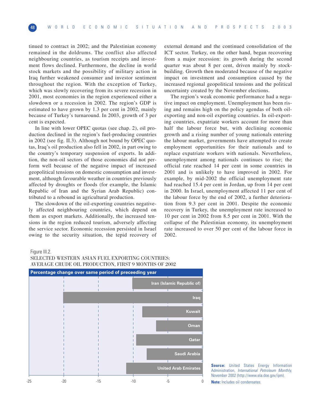tinued to contract in 2002; and the Palestinian economy remained in the doldrums. The conflict also affected neighbouring countries, as tourism receipts and investment flows declined. Furthermore, the decline in world stock markets and the possibility of military action in Iraq further weakened consumer and investor sentiment throughout the region. With the exception of Turkey, which was slowly recovering from its severe recession in 2001, most economies in the region experienced either a slowdown or a recession in 2002. The region's GDP is estimated to have grown by 1.3 per cent in 2002, mainly because of Turkey's turnaround. In 2003, growth of 3 per cent is expected.

In line with lower OPEC quotas (see chap. 2), oil production declined in the region's fuel-producing countries in 2002 (see fig. II.3). Although not bound by OPEC quotas, Iraq's oil production also fell in 2002, in part owing to the country's temporary suspension of exports. In addition, the non-oil sectors of those economies did not perform well because of the negative impact of increased geopolitical tensions on domestic consumption and investment, although favourable weather in countries previously affected by droughts or floods (for example, the Islamic Republic of Iran and the Syrian Arab Republic) contributed to a rebound in agricultural production.

The slowdown of the oil-exporting countries negatively affected neighbouring countries, which depend on them as export markets. Additionally, the increased tensions in the region reduced tourism, adversely affecting the service sector. Economic recession persisted in Israel owing to the security situation, the tepid recovery of external demand and the continued consolidation of the ICT sector. Turkey, on the other hand, began recovering from a major recession: its growth during the second quarter was about 8 per cent, driven mainly by stockbuilding. Growth then moderated because of the negative impact on investment and consumption caused by the increased regional geopolitical tensions and the political uncertainty created by the November elections.

The region's weak economic performance had a negative impact on employment. Unemployment has been rising and remains high on the policy agendas of both oilexporting and non-oil exporting countries. In oil-exporting countries, expatriate workers account for more than half the labour force but, with declining economic growth and a rising number of young nationals entering the labour market, governments have attempted to create employment opportunities for their nationals and to replace expatriate workers with nationals. Nevertheless, unemployment among nationals continues to rise; the official rate reached 14 per cent in some countries in 2001 and is unlikely to have improved in 2002. For example, by mid-2002 the official unemployment rate had reached 15.4 per cent in Jordan, up from 14 per cent in 2000. In Israel, unemployment affected 11 per cent of the labour force by the end of 2002, a further deterioration from 9.3 per cent in 2001. Despite the economic recovery in Turkey, the unemployment rate increased to 10 per cent in 2002 from 8.5 per cent in 2001. With the collapse of the Palestinian economy, its unemployment rate increased to over 50 per cent of the labour force in 2002.

Figure III.2.

# SELECTED WESTERN ASIAN FUEL EXPORTING COUNTRIES: AVERAGE CRUDE OIL PRODUCTION, FIRST 9 MONTHS OF 2002



**Source:** United States Energy Information Administration, International Petroleum Monthly, November 2002 (http://www.ela.doe.gov/ipm). **Note:** Includes oil condensates.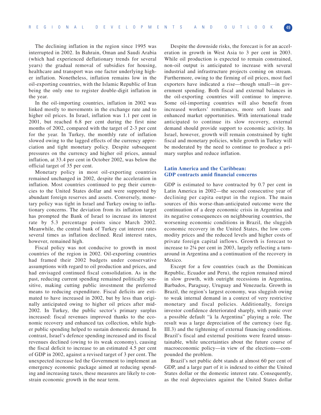The declining inflation in the region since 1995 was interrupted in 2002. In Bahrain, Oman and Saudi Arabia (which had experienced deflationary trends for several years) the gradual removal of subsidies for housing, healthcare and transport was one factor underlying higher inflation. Nonetheless, inflation remains low in the oil-exporting countries, with the Islamic Republic of Iran being the only one to register double-digit inflation in the year.

In the oil-importing countries, inflation in 2002 was linked mostly to movements in the exchange rate and to higher oil prices. In Israel, inflation was 1.1 per cent in 2001, but reached 6.8 per cent during the first nine months of 2002, compared with the target of 2-3 per cent for the year. In Turkey, the monthly rate of inflation slowed owing to the lagged effects of the currency appreciation and tight monetary policy. Despite subsequent pressures on the currency and higher oil prices, annual inflation, at 33.4 per cent in October 2002, was below the official target of 35 per cent.

Monetary policy in most oil-exporting countries remained unchanged in 2002, despite the acceleration in inflation. Most countries continued to peg their currencies to the United States dollar and were supported by abundant foreign reserves and assets. Conversely, monetary policy was tight in Israel and Turkey owing to inflationary concerns. The deviation from its inflation target has prompted the Bank of Israel to increase its interest rate by 5.3 percentage points since March 2002. Meanwhile, the central bank of Turkey cut interest rates several times as inflation declined. Real interest rates, however, remained high.

Fiscal policy was not conducive to growth in most countries of the region in 2002. Oil-exporting countries had framed their 2002 budgets under conservative assumptions with regard to oil production and prices, and had envisaged continued fiscal consolidation. As in the past, reducing current spending remained politically sensitive, making cutting public investment the preferred means to reducing expenditure. Fiscal deficits are estimated to have increased in 2002, but by less than originally anticipated owing to higher oil prices after mid-2002. In Turkey, the public sector's primary surplus increased: fiscal revenues improved thanks to the economic recovery and enhanced tax collection, while higher public spending helped to sustain domestic demand. In contrast, Israel's defence spending increased and its fiscal revenues declined (owing to its weak economy), causing the fiscal deficit to increase to an estimated 4.5 per cent of GDP in 2002, against a revised target of 3 per cent. The unexpected increase led the Government to implement an emergency economic package aimed at reducing spending and increasing taxes, these measures are likely to constrain economic growth in the near term.

Despite the downside risks, the forecast is for an acceleration in growth in West Asia to 3 per cent in 2003. While oil production is expected to remain constrained, non-oil output is anticipated to increase with several industrial and infrastructure projects coming on stream. Furthermore, owing to the firming of oil prices, most fuel exporters have indicated a rise—though small—in government spending. Both fiscal and external balances in the oil-exporting countries will continue to improve. Some oil-importing countries will also benefit from increased workers' remittances, more soft loans and enhanced market opportunities. With international trade anticipated to continue its slow recovery, external demand should provide support to economic activity. In Israel, however, growth will remain constrained by tight fiscal and monetary policies, while growth in Turkey will be moderated by the need to continue to produce a primary surplus and reduce inflation.

## **Latin America and the Caribbean: GDP contracts amid financial concerns**

GDP is estimated to have contracted by 0.7 per cent in Latin America in 2002—the second consecutive year of declining per capita output in the region. The main sources of this worse-than-anticipated outcome were the continuation of a deep economic crisis in Argentina and its negative consequences on neighbouring countries, the worsening economic conditions in Brazil, the sluggish economic recovery in the United States, the low commodity prices and the reduced levels and higher costs of private foreign capital inflows. Growth is forecast to increase to 2¼ per cent in 2003, largely reflecting a turnaround in Argentina and a continuation of the recovery in Mexico.

Except for a few countries (such as the Dominican Republic, Ecuador and Peru), the region remained mired in slow growth, with outright recessions in Argentina, Barbados, Paraguay, Uruguay and Venezuela. Growth in Brazil, the region's largest economy, was sluggish owing to weak internal demand in a context of very restrictive monetary and fiscal policies. Additionally, foreign investor confidence deteriorated sharply, with panic over a possible default "à la Argentina" playing a role. The result was a large depreciation of the currency (see fig. III.3) and the tightening of external financing conditions. Brazil's fiscal and external positions were feared unsustainable, while uncertainties about the future course of macroeconomic policy—in view of the elections—compounded the problem.

Brazil's net public debt stands at almost 60 per cent of GDP, and a large part of it is indexed to either the United States dollar or the domestic interest rate. Consequently, as the real depreciates against the United States dollar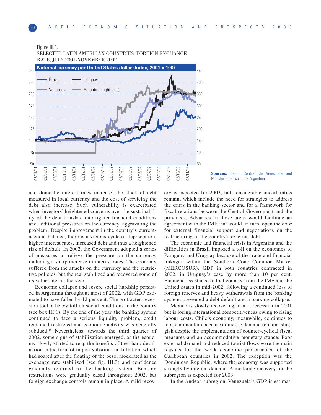#### Figure III.3.



SELECTED LATIN AMERICAN COUNTRIES: FOREIGN EXCHANGE RATE, JULY 2001-NOVEMBER 2002

**Sources:** Banco Central de Venezuela and Ministerio de Economia Argentina.

and domestic interest rates increase, the stock of debt measured in local currency and the cost of servicing the debt also increase. Such vulnerability is exacerbated when investors' heightened concerns over the sustainability of the debt translate into tighter financial conditions and additional pressures on the currency, aggravating the problem. Despite improvement in the country's currentaccount balance, there is a vicious cycle of depreciation, higher interest rates, increased debt and thus a heightened risk of default. In 2002, the Government adopted a series of measures to relieve the pressure on the currency, including a sharp increase in interest rates. The economy suffered from the attacks on the currency and the restrictive policies, but the real stabilized and recovered some of its value later in the year.

Economic collapse and severe social hardship persisted in Argentina throughout most of 2002, with GDP estimated to have fallen by 12 per cent. The protracted recession took a heavy toll on social conditions in the country (see box III.1). By the end of the year, the banking system continued to face a serious liquidity problem, credit remained restricted and economic activity was generally subdued.**<sup>13</sup>** Nevertheless, towards the third quarter of 2002, some signs of stabilization emerged, as the economy slowly started to reap the benefits of the sharp devaluation in the form of import substitution. Inflation, which had soared after the floating of the peso, moderated as the exchange rate stabilized (see fig. III.3) and confidence gradually returned to the banking system. Banking restrictions were gradually eased throughout 2002, but foreign exchange controls remain in place. A mild recovery is expected for 2003, but considerable uncertainties remain, which include the need for strategies to address the crisis in the banking sector and for a framework for fiscal relations between the Central Government and the provinces. Advances in those areas would facilitate an agreement with the IMF that would, in turn, open the door for external financial support and negotiations on the restructuring of the country's external debt.

The economic and financial crisis in Argentina and the difficulties in Brazil imposed a toll on the economies of Paraguay and Uruguay because of the trade and financial linkages within the Southern Cone Common Market (MERCOSUR). GDP in both countries contracted in 2002, in Uruguay's case by more than 10 per cent. Financial assistance to that country from the IMF and the United States in mid-2002, following a continued loss of foreign reserves and heavy withdrawals from the banking system, prevented a debt default and a banking collapse.

Mexico is slowly recovering from a recession in 2001 but is losing international competitiveness owing to rising labour costs. Chile's economy, meanwhile, continues to loose momentum because domestic demand remains sluggish despite the implementation of counter-cyclical fiscal measures and an accommodative monetary stance. Poor external demand and reduced tourist flows were the main reasons for the weak economic performance of the Caribbean countries in 2002. The exception was the Dominican Republic, where the economy was supported strongly by internal demand. A moderate recovery for the subregion is expected for 2003.

In the Andean subregion, Venezuela's GDP is estimat-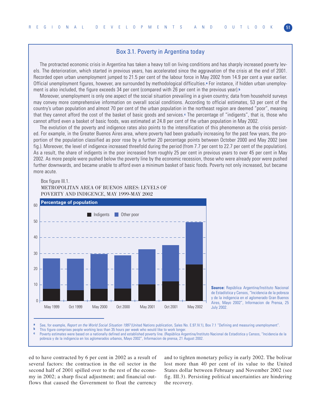# Box 3.1. Poverty in Argentina today

The protracted economic crisis in Argentina has taken a heavy toll on living conditions and has sharply increased poverty levels. The deterioration, which started in previous years, has accelerated since the aggravation of the crisis at the end of 2001. Recorded open urban unemployment jumped to 21.5 per cent of the labour force in May 2002 from 14.9 per cent a year earlier. Official unemployment figures, however, are surrounded by methodological difficulties.**<sup>a</sup>** For instance, if hidden urban unemployment is also included, the figure exceeds 34 per cent (compared with 26 per cent in the previous year).**<sup>b</sup>**

Moreover, unemployment is only one aspect of the social situation prevailing in a given country; data from household surveys may convey more comprehensive information on overall social conditions. According to official estimates, 53 per cent of the country's urban population and almost 70 per cent of the urban population in the northeast region are deemed "poor", meaning that they cannot afford the cost of the basket of basic goods and services.**<sup>c</sup>** The percentage of "indigents", that is, those who cannot afford even a basket of basic foods, was estimated at 24.8 per cent of the urban population in May 2002.

The evolution of the poverty and indigence rates also points to the intensification of this phenomenon as the crisis persisted. For example, in the Greater Buenos Aires area, where poverty had been gradually increasing for the past few years, the proportion of the population classified as poor rose by a further 20 percentage points between October 2000 and May 2002 (see fig.). Moreover, the level of indigence increased threefold during the period (from 7.7 per cent to 22.7 per cent of the population). As a result, the share of indigents in the poor increased from roughly 25 per cent in previous years to over 45 per cent in May 2002. As more people were pushed below the poverty line by the economic recession, those who were already poor were pushed further downwards, and became unable to afford even a minimum basket of basic foods. Poverty not only increased, but became more acute.

#### Box figure III.1.

#### METROPOLITAN AREA OF BUENOS AIRES: LEVELS OF POVERTY AND INDIGENCE, MAY 1999-MAY 2002



**Source:** República Argentina/Instituto Nacional de Estadística y Censos, "Incidencia de la pobreza y de la indigencia en el aglomerado Gran Buenos Aires, Mayo 2002", Informacion de Prensa, 25 July 2002.

**a** See, for example, *Report on the World Social Situation 1997* (United Nations publication, Sales No. E.97.IV.1), Box 7.1 "Defining and measuring unemployment".<br>**b** This figure comprises needle working less than 35 hour

**b** This figure comprises people working less than 35 hours per week who would like to work longer.<br>**C** Powerty estimates were based on a pationally defined and established powerty line. (República Arm Poverty estimates were based on a nationally defined and established poverty line. (República Argentina/Instituto Nacional de Estadística y Censos, "Incidencia de la

pobreza y de la indigencia en los aglomerados urbanos, Mayo 2002", Informacion de prensa, 21 August 2002.

ed to have contracted by 6 per cent in 2002 as a result of several factors: the contraction in the oil sector in the second half of 2001 spilled over to the rest of the economy in 2002; a sharp fiscal adjustment; and financial outflows that caused the Government to float the currency

and to tighten monetary policy in early 2002. The bolivar lost more than 40 per cent of its value to the United States dollar between February and November 2002 (see fig. III.3). Persisting political uncertainties are hindering the recovery.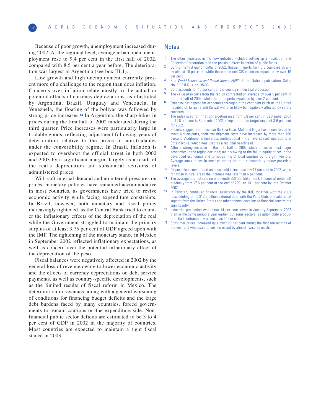Because of poor growth, unemployment increased during 2002. At the regional level, average urban open unemployment rose to 9.4 per cent in the first half of 2002, compared with 8.5 per cent a year before. The deterioration was largest in Argentina (see box III.1).

Low growth and high unemployment currently present more of a challenge to the region than does inflation. Concerns over inflation relate mostly to the actual or potential effects of currency depreciations, as illustrated by Argentina, Brazil, Uruguay and Venezuela. In Venezuela, the floating of the bolivar was followed by strong price increases.**<sup>14</sup>** In Argentina, the sharp hikes in prices during the first half of 2002 moderated during the third quarter. Price increases were particularly large in tradable goods, reflecting adjustment following years of deterioration relative to the prices of non-tradables under the convertibility regime. In Brazil, inflation is expected to overshoot the official target in both 2002 and 2003 by a significant margin, largely as a result of the real's depreciation and substantial revisions of administered prices.

With soft internal demand and no internal pressures on prices, monetary policies have remained accommodative in most countries, as governments have tried to revive economic activity while facing expenditure constraints. In Brazil, however, both monetary and fiscal policy increasingly tightened, as the Central Bank tried to counter the inflationary effects of the depreciation of the real while the Government struggled to maintain the primary surplus of at least 3.75 per cent of GDP agreed upon with the IMF. The tightening of the monetary stance in Mexico in September 2002 reflected inflationary expectations, as well as concern over the potential inflationary effect of the depreciation of the peso.

Fiscal balances were negatively affected in 2002 by the general loss of revenue owing to lower economic activity and the effects of currency depreciations on debt service payments, as well as country-specific developments, such as the limited results of fiscal reform in Mexico. The deterioration in revenues, along with a general worsening of conditions for financing budget deficits and the large debt burdens faced by many countries, forced governments to remain cautious on the expenditure side. Nonfinancial public sector deficits are estimated to be 3 to 4 per cent of GDP in 2002 in the majority of countries. Most countries are expected to maintain a tight fiscal stance in 2003.

#### Notes

- **1** The other measures in the new initiative included setting up a Resolution and Collection Corporation, and the possible direct injection of public funds.
- **2** During the first eight months of 2002, Russian imports from CIS countries shrank by almost 18 per cent, while those from non-CIS countries expanded by over 19 per cent.
- **3** See World Economic and Social Survey 2002 (United Nations publication, Sales No. E.02.II.C.1), pp. 35-36.
- **4** Gold accounts for 40 per cent of the country's industrial production.
- **5** The value of exports from the region contracted on average by over 5 per cent in the first half of 2002, while that of imports expanded by over 2 per cent.
- **6** Other tourist-dependent economies throughout the continent (such as the United Republic of Tanzania and Kenya) will also likely be negatively affected by safety concerns.
- **7** The index used for inflation-targeting rose from 5.8 per cent in September 2001 to 11.8 per cent in September 2002, compared to the target range of 3-6 per cent for 2002.
- **8** Reports suggest that, because Burkina Faso, Mali and Niger have been forced to avoid Ivorian ports, their transhipment costs have increased by more than 160 percent. Additionally, numerous multinational firms have ceased operations in Côte d'Ivoire, which was used as a regional beachhead.
- **9** After a strong increase in the first half of 2002, stock prices in most major economies in the region declined; mainly owing to the fall in equity prices in the developed economies and to net selling of local equities by foreign investors. Average stock prices in most countries are still substantially below pre-crisis levels.
- **10** Disposable income for urban household is increased by 17 per cent in 2002, while for those in rural areas the increase was less than 6 per cent.
- **11** The average interest rate on one-month SBI (Sertifikat Bank Indonesia) notes fell gradually from 17.6 per cent at the end of 2001 to 13.1 per cent by late October 2002.
- **12** In Pakistan, continued financial assistance by the IMF, together with the 2001 rescheduling of its \$12.5 billion external debt with the Paris Club, and additional support from the United States and other donors, have eased financial constraints significantly.
- **13** Industrial production was about 14 per cent lower in January-September 2002 than in the same period a year earlier, but some sectors, as automobile production, had contracted by as much as 40 per cent.
- **14** Consumer prices increased by almost 28 per cent during the first ten months of the year and wholesale prices increased by almost twice as much.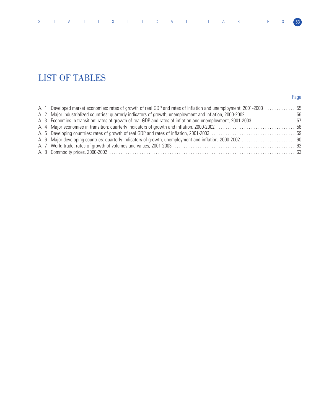# LIST OF TABLES

# Page

|  | A. 1 Developed market economies: rates of growth of real GDP and rates of inflation and unemployment, 2001-2003 55 |  |
|--|--------------------------------------------------------------------------------------------------------------------|--|
|  | A. 2 Major industrialized countries: quarterly indicators of growth, unemployment and inflation, 2000-2002 56      |  |
|  | A. 3 Economies in transition: rates of growth of real GDP and rates of inflation and unemployment, 2001-2003 57    |  |
|  |                                                                                                                    |  |
|  |                                                                                                                    |  |
|  |                                                                                                                    |  |
|  |                                                                                                                    |  |
|  |                                                                                                                    |  |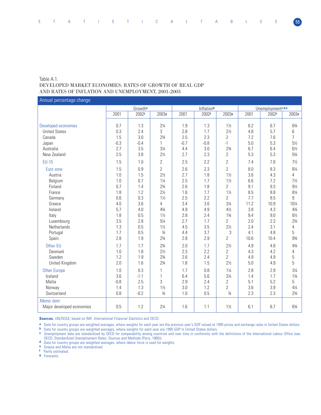# Table A.1. DEVELOPED MARKET ECONOMIES: RATES OF GROWTH OF REAL GDP AND RATES OF INFLATION AND UNEMPLOYMENT, 2001-2003

Annual percentage change

|                                         | Growth <sup>a</sup> |        |                |        | Inflationb |                | Unemployment <sup>c, d,e</sup> |       |                |  |
|-----------------------------------------|---------------------|--------|----------------|--------|------------|----------------|--------------------------------|-------|----------------|--|
|                                         | 2001                | 2002f  | 2003g          | 2001   | 2002f      | 2003g          | 2001                           | 2002f | 2003g          |  |
| Developed economies                     | 0.7                 | 1.3    | $2\frac{1}{4}$ | 1.9    | 1.3        | $1\frac{1}{2}$ | 6.2                            | 6.7   | 63⁄4           |  |
| <b>United States</b>                    | 0.3                 | 2.4    | 3              | 2.8    | 1.7        | $2\frac{1}{2}$ | 4.8                            | 5.7   | 6              |  |
| Canada                                  | 1.5                 | 3.0    | $2\frac{3}{4}$ | 2.5    | 2.3        | 2              | 7.2                            | 7.6   | $\overline{7}$ |  |
| Japan                                   | $-0.3$              | $-0.4$ | 1              | $-0.7$ | $-0.8$     | $-1$           | 5.0                            | 5.3   | $5\frac{1}{2}$ |  |
| Australia                               | 2.7                 | 3.5    | $3\frac{1}{4}$ | 4.4    | 3.0        | $2\frac{3}{4}$ | 6.7                            | 6.4   | $6\frac{1}{2}$ |  |
| New Zealand                             | 2.5                 | 3.8    | $2\frac{1}{2}$ | 2.7    | 2.3        | $\overline{2}$ | 5.3                            | 5.3   | 53/4           |  |
| <b>EU-15</b>                            | 1.5                 | 1.0    | $\overline{2}$ | 2.5    | 2.2        | 2              | 7.4                            | 7.6   | $7\frac{1}{2}$ |  |
| Euro zone                               | 1.5                 | 0.9    | $\overline{2}$ | 2.6    | 2.3        | 2              | 8.0                            | 8.3   | 81⁄4           |  |
| Austria                                 | 1.0                 | 1.5    | $2\frac{1}{2}$ | 2.7    | 1.8        | $1\frac{1}{2}$ | 3.6                            | 4.3   | 4              |  |
| Belgium                                 | 1.0                 | 0.7    | $1\frac{1}{4}$ | 2.5    | 1.7        | $1\frac{1}{2}$ | 6.6                            | 7.2   | $7\frac{1}{2}$ |  |
| Finland                                 | 0.7                 | 1.4    | $2\frac{3}{4}$ | 2.6    | 1.8        | $\overline{2}$ | 9.1                            | 9.3   | $9\frac{1}{2}$ |  |
| France                                  | 1.8                 | 1.2    | $2\frac{1}{2}$ | 1.6    | 1.7        | $1\frac{1}{2}$ | 8.5                            | 8.8   | 81/4           |  |
| Germany                                 | 0.6                 | 0.3    | $1\frac{1}{2}$ | 2.5    | 2.2        | $\overline{2}$ | 7.7                            | 8.5   | 9              |  |
| Greece                                  | 4.0                 | 3.6    | 4              | 3.4    | 3.6        | $3\frac{1}{4}$ | 11.2                           | 10.9  | 101/4          |  |
| Ireland                                 | 5.7                 | 4.0    | 43/4           | 4.9    | 4.9        | $4\frac{1}{2}$ | 3.8                            | 4.3   | 43/4           |  |
| Italy                                   | 1.8                 | 0.5    | $1\frac{1}{2}$ | 2.8    | 2.4        | $1\frac{3}{4}$ | 9.4                            | 9.0   | $8\frac{1}{2}$ |  |
| Luxembourg                              | 3.5                 | 2.8    | $5\frac{1}{4}$ | 2.7    | 1.7        | $\overline{2}$ | 2.0                            | 2.3   | $2\frac{3}{4}$ |  |
| Netherlands                             | 1.3                 | 0.5    | $1\frac{1}{2}$ | 4.5    | 3.5        | $2\frac{1}{2}$ | 2.4                            | 3.1   | 4              |  |
| Portugal                                | 1.7                 | 0.5    | $\frac{3}{4}$  | 4.4    | 3.7        | 3              | 4.1                            | 4.8   | 5              |  |
| Spain                                   | 2.8                 | 1.9    | $2\frac{3}{4}$ | 2.8    | 2.9        | 2              | 10.6                           | 10.4  | 93/4           |  |
| Other EU                                | 1.7                 | 1.7    | $2\frac{3}{4}$ | 2.0    | 1.7        | $2\frac{1}{2}$ | 4.9                            | 4.8   | 43/4           |  |
| Denmark                                 | 1.0                 | 1.8    | $2\frac{1}{2}$ | 2.3    | 2.2        | $\overline{2}$ | 4.3                            | 4.2   | 4              |  |
| Sweden                                  | 1.2                 | 1.9    | $2\frac{3}{4}$ | 2.6    | 2.4        | $\overline{2}$ | 4.9                            | 4.9   | $5\,$          |  |
| United Kingdom                          | 2.0                 | 1.6    | $2\frac{3}{4}$ | 1.8    | 1.5        | $2\frac{1}{2}$ | 5.0                            | 4.9   | 5              |  |
| <b>Other Europe</b>                     | 1.0                 | 0.3    | 3              | 1.7    | 0.8        | $1\frac{1}{4}$ | 2.8                            | 2.9   | $3\frac{1}{4}$ |  |
| Iceland                                 | 3.6                 | $-1.1$ |                | 6.4    | 5.6        | $3\frac{1}{4}$ | 1.4                            | 1.7   | $1\frac{3}{4}$ |  |
| Malta                                   | $-0.8$              | 2.5    |                | 2.9    | 2.4        | $\overline{2}$ | 5.1                            | 5.2   | 5              |  |
| Norway                                  | 1.4                 | 1.3    | $1\frac{1}{2}$ | 3.0    | 1.2        | $\overline{2}$ | 3.6                            | 3.9   | $4\frac{1}{4}$ |  |
| Switzerland                             | 0.8                 | $-0.2$ | $\frac{3}{4}$  | 1.0    | 0.5        | $\frac{3}{4}$  | 2.3                            | 2.3   | $2\frac{3}{4}$ |  |
| Memo item:<br>Major developed economies | 0.5                 | 1.2    | $2\frac{1}{4}$ | 1.6    | 1.1        | $1\frac{1}{2}$ | 6.1                            | 6.7   | 63/4           |  |

**Sources**: UN/DESA, based on IMF, International Financial Statistics and OECD.

**a** Data for country groups are weighted averages, where weights for each year are the previous year's GDP valued at 1995 prices and exchange rates in United States dollars.

**b** Data for country groups are weighted averages, where weights for each year are 1995 GDP in United States dollars.

**c** Unemployment data are standardized by OECD for comparability among countries and over time in conformity with the definitions of the International Labour Office (see OECD, Standardized Unemployment Rates: Sources and Methods (Paris, 1985)).

**d** Data for country groups are weighted averages, where labour force is used for weights.

**e** Greece and Malta are not standardized.

**f** Partly estimated.

**g** Forecasts.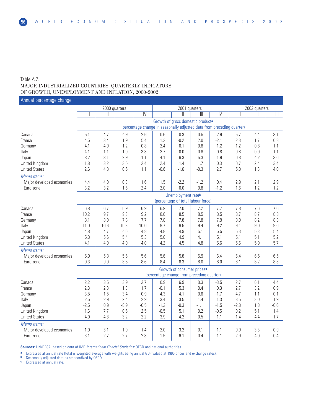# Table A.2. MAJOR INDUSTRIALIZED COUNTRIES: QUARTERLY INDICATORS OF GROWTH, UNEMPLOYMENT AND INFLATION, 2000-2002

# 2000 quarters 2001 quarters 2002 quarters I II III IV I II III IV I II III Growth of gross domestic product**<sup>a</sup>** (percentage change in seasonally adjusted data from preceding quarter) Canada 5.1 4.7 4.9 2.6 0.6 0.3 -0.5 2.9 5.7 4.4 3.1 France 4.5 3.4 1.9 5.4 1.2 -0.2 2.0 -2.1 2.3 1.7 0.8 Germany 4.1 4.9 1.2 0.8 2.4 -0.1 -0.8 -1.2 1.2 0.8 1.1 Italy 4.1 1.1 1.9 3.3 2.7 0.0 0.8 -0.8 0.8 0.9 1.1 Japan 8.2 3.1 -2.9 1.1 4.1 -6.3 -5.3 -1.9 0.8 4.2 3.0 United Kingdom 1.8 3.2 3.5 2.4 2.4 1.4 1.7 0.3 0.7 2.4 3.4 United States 2.6 4.8 0.6 1.1 -0.6 -1.6 -0.3 2.7 5.0 1.3 4.0 Memo items: Major developed economies | 4.4 | 4.0 | 0.3 | 1.6 | 1.5 | -2.2 | -1.2 | 0.4 | 2.9 | 2.1 | 2.9 Euro zone 3.2 3.2 1.6 2.4 2.0 0.0 0.8 -1.2 1.6 1.2 1.2 Unemployment rate**<sup>b</sup>** (percentage of total labour force) Canada 6.8 6.7 6.9 6.9 6.9 7.0 7.2 7.7 7.8 7.6 7.6 France 10.2 9.7 9.3 9.2 8.6 8.5 8.5 8.5 8.7 8.7 8.8 Germany | 8.1 | 8.0 | 7.8 | 7.7 | 7.8 | 7.8 | 7.8 | 7.9 | 8.0 | 8.2 | 8.3 11.0 | 11.0 | 10.6 | 10.3 | 10.0 | 9.7 | 9.5 | 9.4 | 9.2 | 9.1 | 9.0 | 9.0 Japan 4.8 4.7 4.6 4.8 4.8 4.9 5.1 5.5 5.3 5.3 5.4 United Kingdom 5.8 5.6 5.4 5.3 5.0 4.9 4.1 5.1 5.1 5.1 5.2 United States 4.1 4.0 4.0 4.0 4.2 4.5 4.8 5.6 5.6 5.9 5.7 Memo items: Major developed economies | 5.9 | 5.8 | 5.6 | 5.6 | 5.6 | 5.8 | 5.9 | 6.4 | 6.4 | 6.5 | 6.5 Euro zone 9.3 9.0 8.8 8.6 8.4 8.3 8.0 8.0 8.1 8.2 8.3 Growth of consumer prices**<sup>c</sup>** (percentage change from preceding quarter) Canada 2.2 3.5 3.9 2.7 0.9 6.9 0.3 -3.5 2.7 6.1 4.4 France 2.3 2.3 1.3 1.7 -0.1 5.3 0.4 0.3 2.7 3.2 0.9 Germany 3.5 1.5 3.4 0.9 4.3 4.1 0.6 -1.7 4.7 1.1 0.1 Italy 2.5 2.9 2.4 2.9 3.4 3.5 1.4 1.3 3.5 3.0 1.9 Japan -2.5 0.9 -0.9 -0.5 -1.2 -0.3 -1.1 -1.5 -2.8 1.8 -0.6 United Kingdom 1.6 7.7 0.6 2.5 -0.5 5.1 0.2 -0.5 0.2 5.1 1.4 United States | 4.0 | 4.3 | 3.2 | 2.2 | 3.9 | 4.2 | 0.5 | -1.1 | 1.4 | 4.4 | 1.7 Memo items: Major developed economies | 1.9 | 3.1 | 1.9 | 1.4 | 2.0 | 3.2 | 0.1 | -1.1 | 0.9 | 3.3 | 0.9 Euro zone 3.1 2.7 2.7 2.3 1.5 6.1 0.4 1.1 2.9 4.0 0.4 Annual percentage change

**Sources**: UN/DESA, based on data of IMF, *International Finacial Statistics*; OECD and national authorities.

**a** Expressed at annual rate (total is weighted average with weights being annual GDP valued at 1995 prices and exchange rates).<br>**b** Seasonally adjusted data as standardized by OECD

**b** Seasonally adjusted data as standardized by OECD.

**Expressed at annual rate**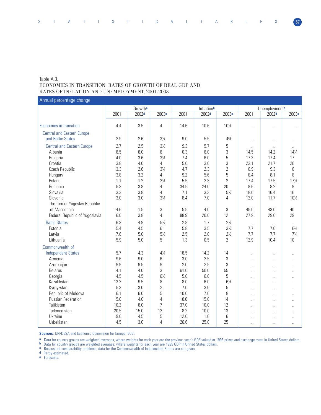# Table A.3. ECONOMIES IN TRANSITION: RATES OF GROWTH OF REAL GDP AND RATES OF INFLATION AND UNEMPLOYMENT, 2001-2003

Annual percentage change

|                                   |        | Growth <sup>a</sup> |                   |      | Inflationb        |                   | Unemployment <sup>c</sup> |                      |                      |  |
|-----------------------------------|--------|---------------------|-------------------|------|-------------------|-------------------|---------------------------|----------------------|----------------------|--|
|                                   | 2001   | 2002 <sub>d</sub>   | 2003 <sup>e</sup> | 2001 | 2002 <sup>d</sup> | 2003 <sup>e</sup> | 2001                      | 2002 <sup>d</sup>    | 2003 <sup>e</sup>    |  |
|                                   |        |                     |                   |      |                   |                   |                           |                      |                      |  |
| Economies in transition           | 4.4    | 3.5                 | 4                 | 14.6 | 10.6              | 101/4             | $\ddot{\phantom{a}}$      | $\ddot{\phantom{a}}$ | $\ddot{\phantom{a}}$ |  |
| <b>Central and Eastern Europe</b> |        |                     |                   |      |                   |                   |                           |                      |                      |  |
| and Baltic States                 | 2.9    | 2.6                 | $3\frac{1}{2}$    | 9.0  | 5.5               | 43/4              | $\ldots$                  | $\ddot{\phantom{a}}$ | Ω.                   |  |
| <b>Central and Eastern Europe</b> | 2.7    | 2.5                 | $3\frac{1}{2}$    | 9.3  | 5.7               | 5                 | $\ddotsc$                 | $\ddot{\phantom{a}}$ | $\ddot{\phantom{1}}$ |  |
| Albania                           | 6.5    | 6.0                 | 6                 | 0.3  | 6.0               | 3                 | 14.5                      | 14.2                 | 141/4                |  |
| <b>Bulgaria</b>                   | 4.0    | 3.6                 | $3\frac{3}{4}$    | 7.4  | 6.0               | 5                 | 17.3                      | 17.4                 | 17                   |  |
| Croatia                           | 3.8    | 4.0                 | 4                 | 5.0  | 3.0               | 3                 | 23.1                      | 21.7                 | 20                   |  |
| Czech Republic                    | 3.3    | 2.6                 | 33/4              | 4.7  | 2.3               | $\overline{2}$    | 8.9                       | 9.3                  | 8                    |  |
| Hungary                           | 3.8    | 3.2                 | 4                 | 9.2  | 5.6               | 5                 | 8.4                       | 8.1                  | 8                    |  |
| Poland                            | 1.1    | 1.2                 | $2\frac{3}{4}$    | 5.5  | 2.3               | $\overline{2}$    | 17.4                      | 17.5                 | $17\frac{1}{2}$      |  |
| Romania                           | 5.3    | 3.8                 | $\overline{4}$    | 34.5 | 24.0              | 20                | 8.6                       | 8.2                  | 9                    |  |
| Slovakia                          | 3.3    | 3.8                 | 4                 | 7.1  | 3.3               | $5\frac{1}{2}$    | 18.6                      | 16.4                 | 16                   |  |
| Slovenia                          | 3.0    | 3.0                 | 33⁄4              | 8.4  | 7.0               | 4                 | 12.0                      | 11.7                 | 10½                  |  |
| The former Yugoslav Republic      |        |                     |                   |      |                   |                   |                           |                      |                      |  |
| of Macedonia                      | $-4.6$ | 1.5                 | 3                 | 5.5  | 4.0               | 3                 | 45.0                      | 43.0                 | 40                   |  |
| Federal Republic of Yugoslavia    | 6.0    | 3.8                 | $\overline{4}$    | 88.9 | 20.0              | 12                | 27.9                      | 29.0                 | 29                   |  |
| <b>Baltic States</b>              | 6.3    | 4.9                 | $5\frac{1}{2}$    | 2.8  | 1.7               | $2\frac{1}{2}$    | $\ddotsc$                 | $\ldots$             | $\ddotsc$            |  |
| Estonia                           | 5.4    | 4.5                 | 6                 | 5.8  | 3.5               | $3\frac{1}{2}$    | 7.7                       | 7.0                  | 63/4                 |  |
| Latvia                            | 7.6    | 5.0                 | $5\frac{1}{2}$    | 2.5  | 2.0               | $2\frac{1}{2}$    | 7.7                       | 7.7                  | $7\frac{3}{4}$       |  |
| Lithuania                         | 5.9    | 5.0                 | 5                 | 1.3  | 0.5               | $\overline{2}$    | 12.9                      | 10.4                 | 10                   |  |
| Commonwealth of                   |        |                     |                   |      |                   |                   |                           |                      |                      |  |
| <b>Independent States</b>         | 5.7    | 4.3                 | $4\frac{1}{4}$    | 18.5 | 14.2              | 14                | $\ddot{\phantom{a}}$      | $\ddot{\phantom{a}}$ | Ω.                   |  |
| Armenia                           | 9.6    | 9.0                 | 6                 | 3.0  | 2.5               | 3                 | $\ddotsc$                 | $\ddotsc$            | $\ddotsc$            |  |
| Azerbaijan                        | 9.9    | 9.5                 | 9                 | 2.0  | 2.5               | 3                 | $\ddot{\phantom{a}}$      | $\ddot{\phantom{1}}$ |                      |  |
| <b>Belarus</b>                    | 4.1    | 4.0                 | 3                 | 61.0 | 50.0              | 55                | $\ddot{\phantom{a}}$      | $\ddot{\phantom{a}}$ | $\ddotsc$            |  |
| Georgia                           | 4.5    | 4.5                 | $6\frac{1}{2}$    | 5.0  | 6.0               | 5                 | $\ddot{\phantom{a}}$      | $\ddotsc$            | $\ddotsc$            |  |
| Kazakhstan                        | 13.2   | 9.5                 | 8                 | 8.0  | 6.0               | $6\frac{1}{2}$    | $\ddotsc$                 | Ω.                   |                      |  |
| Kyrgyzstan                        | 5.3    | $-3.0$              | 2                 | 7.0  | 3.0               | 5                 | $\ddotsc$                 | $\ddotsc$            | $\ddotsc$            |  |
| Republic of Moldova               | 6.1    | 6.0                 | 5                 | 10.0 | 7.0               | 8                 | $\ddot{\phantom{a}}$      | $\ddot{\phantom{a}}$ | $\ddot{\phantom{a}}$ |  |
| <b>Russian Federation</b>         | 5.0    | 4.0                 | 4                 | 18.6 | 15.0              | 14                | $\ddotsc$                 | $\ddotsc$            | $\ddotsc$            |  |
| Tajikistan                        | 10.2   | 8.0                 | 7                 | 37.0 | 10.0              | 12                | $\ddot{\phantom{a}}$      | $\sim$               | $\ddot{\phantom{1}}$ |  |
| Turkmenistan                      | 20.5   | 15.0                | 12                | 8.2  | 10.0              | 13                | $\ddot{\phantom{a}}$      | $\ddot{\phantom{a}}$ | $\ddot{\phantom{a}}$ |  |
| Ukraine                           | 9.0    | 4.5                 | 5                 | 12.0 | 1.0               | 6                 | $\ddotsc$                 | $\ddotsc$            | $\ddotsc$            |  |
| Uzbekistan                        | 4.5    | 3.0                 | $\overline{4}$    | 26.6 | 25.0              | 25                |                           | $\ddot{\phantom{a}}$ | $\ddot{\phantom{a}}$ |  |

**Sources**: UN/DESA and Economic Commision for Europe (ECE).

**a** Data for country groups are weighted averages, where weights for each year are the previous year's GDP valued at 1995 prices and exchange rates in United States dollars.

**b** Data for country groups are weighted averages, where weights for each year are 1995 GDP in United States dollars.

**c** Because of comparability problems, data for the Commonwealth of Independent States are not given.

**d** Partly estimated.

**e** Forecasts.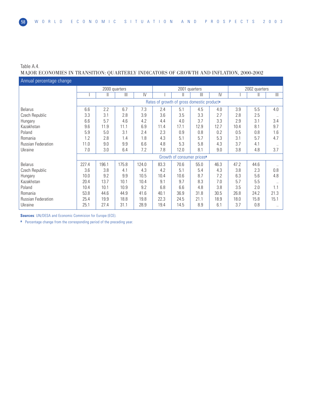Table A.4.

# MAJOR ECONOMIES IN TRANSITION: QUARTERLY INDICATORS OF GROWTH AND INFLATION, 2000-2002

| Annual percentage change  |       |               |       |       |                                                        |                                        |              |               |      |               |                |
|---------------------------|-------|---------------|-------|-------|--------------------------------------------------------|----------------------------------------|--------------|---------------|------|---------------|----------------|
|                           |       | 2000 quarters |       |       |                                                        | 2001 quarters                          |              |               |      | 2002 quarters |                |
|                           |       | Ш             | Ш     | IV    |                                                        | Ш                                      | $\mathbb{H}$ | $\mathsf{IV}$ |      |               | $\mathbf{III}$ |
|                           |       |               |       |       | Rates of growth of gross domestic product <sup>a</sup> |                                        |              |               |      |               |                |
| <b>Belarus</b>            | 6.6   | 2.2           | 6.7   | 7.3   | 2.4                                                    | 5.1                                    | 4.5          | 4.0           | 3.9  | 5.5           | 4.0            |
| Czech Republic            | 3.3   | 3.1           | 2.8   | 3.9   | 3.6                                                    | 3.5                                    | 3.3          | 2.7           | 2.8  | 2.5           | $\ddotsc$      |
| Hungary                   | 6.6   | 5.7           | 4.6   | 4.2   | 4.4                                                    | 4.0                                    | 3.7          | 3.3           | 2.9  | 3.1           | 3.4            |
| Kazakhstan                | 9.6   | 11.9          | 11.1  | 6.9   | 11.4                                                   | 17.1                                   | 12.9         | 12.7          | 10.4 | 8.1           | 9.7            |
| Poland                    | 5.9   | 5.0           | 3.1   | 2.4   | 2.3                                                    | 0.9                                    | 0.8          | 0.2           | 0.5  | 0.8           | 1.6            |
| Romania                   | 1.2   | 2.8           | 1.4   | 1.8   | 4.3                                                    | 5.1                                    | 5.7          | 5.3           | 3.1  | 5.7           | 4.7            |
| <b>Russian Federation</b> | 11.0  | 9.0           | 9.9   | 6.6   | 4.8                                                    | 5.3                                    | 5.8          | 4.3           | 3.7  | 4.1           |                |
| Ukraine                   | 7.0   | 3.0           | 6.4   | 7.2   | 7.8                                                    | 12.0                                   | 8.1          | 9.0           | 3.8  | 4.8           | 3.7            |
|                           |       |               |       |       |                                                        | Growth of consumer prices <sup>a</sup> |              |               |      |               |                |
| <b>Belarus</b>            | 227.4 | 196.1         | 175.8 | 124.0 | 83.3                                                   | 70.6                                   | 55.0         | 46.3          | 47.2 | 44.6          |                |
| Czech Republic            | 3.6   | 3.8           | 4.1   | 4.3   | 4.2                                                    | 5.1                                    | 5.4          | 4.3           | 3.8  | 2.3           | 0.8            |
| Hungary                   | 10.0  | 9.2           | 9.9   | 10.5  | 10.4                                                   | 10.6                                   | 8.7          | 7.2           | 6.3  | 5.6           | 4.8            |
| Kazakhstan                | 20.4  | 13.7          | 10.1  | 10.4  | 9.1                                                    | 9.7                                    | 8.3          | 7.0           | 5.7  | 5.5           |                |
| Poland                    | 10.4  | 10.1          | 10.9  | 9.2   | 6.8                                                    | 6.6                                    | 4.8          | 3.8           | 3.5  | 2.0           | 1.1            |
| Romania                   | 53.8  | 44.6          | 44.9  | 41.6  | 40.1                                                   | 36.9                                   | 31.8         | 30.5          | 26.8 | 24.2          | 21.3           |
| <b>Russian Federation</b> | 25.4  | 19.9          | 18.8  | 19.8  | 22.3                                                   | 24.5                                   | 21.1         | 18.9          | 18.0 | 15.8          | 15.1           |
| Ukraine                   | 25.1  | 27.4          | 31.1  | 28.9  | 19.4                                                   | 14.5                                   | 8.9          | 6.1           | 3.7  | 0.8           | $\ldots$       |

**Sources**: UN/DESA and Economic Commision for Europe (ECE).

**a** Percentage change from the corresponding period of the preceding year.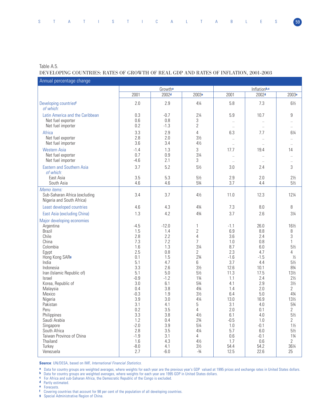# Table A.5.

#### DEVELOPING COUNTRIES: RATES OF GROWTH OF REAL GDP AND RATES OF INFLATION, 2001-2003

| Growtha<br>Inflationb,c<br>2002 <sub>d</sub><br>2001<br>2003 <sup>e</sup><br>2001<br>2002 <sup>d</sup><br>2.9<br>2.0<br>5.8<br>7.3<br>$4\frac{1}{4}$<br>Developing countries <sup>f</sup><br>of which:<br>Latin America and the Caribbean<br>5.9<br>10.7<br>0.3<br>$-0.7$<br>$2\frac{1}{4}$<br>9<br>0.6<br>0.8<br>3<br>Net fuel exporter<br>$\ddotsc$<br>$\ddotsc$<br>$\overline{2}$<br>0.2<br>Net fuel importer<br>$-1.3$<br>$\ldots$<br>$\sim$<br>$\ddotsc$<br>$\overline{4}$<br>Africa<br>3.3<br>2.9<br>7.7<br>6.3 | 2003 <sup>e</sup><br>$6\frac{1}{2}$ |
|-----------------------------------------------------------------------------------------------------------------------------------------------------------------------------------------------------------------------------------------------------------------------------------------------------------------------------------------------------------------------------------------------------------------------------------------------------------------------------------------------------------------------|-------------------------------------|
|                                                                                                                                                                                                                                                                                                                                                                                                                                                                                                                       |                                     |
|                                                                                                                                                                                                                                                                                                                                                                                                                                                                                                                       |                                     |
|                                                                                                                                                                                                                                                                                                                                                                                                                                                                                                                       |                                     |
|                                                                                                                                                                                                                                                                                                                                                                                                                                                                                                                       |                                     |
|                                                                                                                                                                                                                                                                                                                                                                                                                                                                                                                       |                                     |
|                                                                                                                                                                                                                                                                                                                                                                                                                                                                                                                       | 61⁄4                                |
| 2.8<br>$3\frac{1}{2}$<br>Net fuel exporter<br>2.0<br>$\ddotsc$<br>$\ddot{\phantom{0}}$<br>3.6<br>3.4<br>$4\frac{1}{2}$<br>Net fuel importer<br>$\ddotsc$<br>$\ddotsc$<br>$\ddotsc$                                                                                                                                                                                                                                                                                                                                    |                                     |
| 3<br><b>Western Asia</b><br>17.7<br>$-1.4$<br>1.3<br>19.4<br>14                                                                                                                                                                                                                                                                                                                                                                                                                                                       |                                     |
| $3\frac{1}{4}$<br>0.7<br>0.9<br>Net fuel exporter<br>$\ddotsc$<br>$-4.6$<br>2.1<br>3<br>Net fuel importer<br>$\ddotsc$<br>$\ddotsc$<br>$\ddotsc$                                                                                                                                                                                                                                                                                                                                                                      |                                     |
| 3.7<br>5.2<br>3<br><b>Eastern and Southern Asia</b><br>$5\frac{1}{2}$<br>2.4<br>3.0<br>of which:                                                                                                                                                                                                                                                                                                                                                                                                                      |                                     |
| 3.5<br>5.3<br>$5\frac{1}{2}$<br>2.0<br>East Asia<br>2.9<br>4.6<br>53/4<br>3.7<br>4.4<br>South Asia<br>4.6                                                                                                                                                                                                                                                                                                                                                                                                             | $2\frac{1}{2}$<br>$5\frac{1}{2}$    |
| Memo items:<br>Sub-Saharan Africa (excluding<br>3.4<br>3.7<br>$4\frac{1}{2}$<br>11.0<br>12.3<br>Nigeria and South Africa)                                                                                                                                                                                                                                                                                                                                                                                             | 121/4                               |
| 8<br>Least developed countries<br>4.3<br>43/4<br>7.3<br>8.0<br>4.6                                                                                                                                                                                                                                                                                                                                                                                                                                                    |                                     |
| East Asia (excluding China)<br>1.3<br>4.2<br>43/4<br>3.7<br>2.6                                                                                                                                                                                                                                                                                                                                                                                                                                                       | $3\frac{1}{4}$                      |
| Major developing economies                                                                                                                                                                                                                                                                                                                                                                                                                                                                                            |                                     |
| $-12.0$<br>26.0<br>$-4.5$<br>1<br>$-1.1$<br>Argentina                                                                                                                                                                                                                                                                                                                                                                                                                                                                 | 161/2                               |
| $\overline{2}$<br><b>Brazil</b><br>1.5<br>6.9<br>8.8<br>8<br>1.4<br>3<br>$\overline{4}$<br>Chile<br>2.8<br>2.2<br>3.6<br>2.4                                                                                                                                                                                                                                                                                                                                                                                          |                                     |
| 7.3<br>7<br>China<br>7.2<br>0.8<br>$\mathbf{1}$<br>1.0                                                                                                                                                                                                                                                                                                                                                                                                                                                                |                                     |
| $3\frac{1}{4}$<br>1.6<br>1.3<br>8.7<br>6.0<br>Colombia                                                                                                                                                                                                                                                                                                                                                                                                                                                                | $5\frac{1}{2}$                      |
| 2.5<br>0.8<br>$\overline{2}$<br>2.3<br>4.7<br>Egypt                                                                                                                                                                                                                                                                                                                                                                                                                                                                   | 4                                   |
| Hong Kong SAR <sup>g</sup><br>0.1<br>1.5<br>$2\frac{3}{4}$<br>$-1.6$<br>$-1.5$                                                                                                                                                                                                                                                                                                                                                                                                                                        | $\frac{1}{2}$                       |
| India<br>5.1<br>4.7<br>6<br>3.7<br>4.4                                                                                                                                                                                                                                                                                                                                                                                                                                                                                | $5\frac{1}{2}$                      |
| $3\frac{1}{2}$<br>Indonesia<br>3.3<br>2.6<br>12.6<br>10.1                                                                                                                                                                                                                                                                                                                                                                                                                                                             | $8\frac{3}{4}$                      |
| 5.1<br>5.0<br>$5\frac{1}{2}$<br>17.5<br>Iran (Islamic Republic of)<br>11.3                                                                                                                                                                                                                                                                                                                                                                                                                                            | 131/2                               |
| $-0.9$<br>$-1.2$<br>$1\frac{3}{4}$<br>2.4<br>Israel<br>1.1                                                                                                                                                                                                                                                                                                                                                                                                                                                            | $2\frac{1}{2}$                      |
| Korea, Republic of<br>3.0<br>53/4<br>4.1<br>2.9<br>6.1                                                                                                                                                                                                                                                                                                                                                                                                                                                                | $3\frac{1}{2}$                      |
| 3.8<br>43/4<br>2.0<br>2<br>0.4<br>1.4<br>Malaysia                                                                                                                                                                                                                                                                                                                                                                                                                                                                     |                                     |
| $-0.3$<br>$3\frac{1}{2}$<br>6.4<br>5.0<br>Mexico<br>1.9                                                                                                                                                                                                                                                                                                                                                                                                                                                               | $4\frac{3}{4}$                      |
| 3.9<br>3.0<br>$4\frac{1}{4}$<br>13.0<br>16.9<br>Nigeria                                                                                                                                                                                                                                                                                                                                                                                                                                                               | 13½                                 |
| 5<br>3.1<br>3.1<br>Pakistan<br>4.1<br>4.0                                                                                                                                                                                                                                                                                                                                                                                                                                                                             | $5\frac{3}{4}$                      |
| 0.2<br>3.5<br>$\overline{4}$<br>2.0<br>0.1<br>2<br>Peru                                                                                                                                                                                                                                                                                                                                                                                                                                                               | $5\frac{1}{2}$                      |
| Philippines<br>3.3<br>3.8<br>$4\frac{1}{2}$<br>$4.0\,$<br>6.1<br>1.2<br>$2\frac{3}{4}$<br>Saudi Arabia<br>0.4<br>$-0.5$<br>1.0                                                                                                                                                                                                                                                                                                                                                                                        | $\overline{2}$                      |
| $-2.0$<br>3.9<br>$5\frac{1}{4}$<br>1.0<br>$-0.1$<br>Singapore                                                                                                                                                                                                                                                                                                                                                                                                                                                         | $1\frac{1}{2}$                      |
| 2.8<br>South Africa<br>3.5<br>$4\frac{1}{4}$<br>5.7<br>$6.0\,$                                                                                                                                                                                                                                                                                                                                                                                                                                                        | $5\frac{1}{2}$                      |
| Taiwan Province of China<br>$-1.9$<br>3.1<br>$\overline{4}$<br>0.6<br>$-0.1$                                                                                                                                                                                                                                                                                                                                                                                                                                          | $1\frac{3}{4}$                      |
| Thailand<br>1.6<br>4.3<br>$4\frac{1}{2}$<br>1.7<br>0.6                                                                                                                                                                                                                                                                                                                                                                                                                                                                | $\mathbf{2}$                        |
| $-8.0$<br>$3\frac{1}{2}$<br>54.4<br>Turkey<br>4.1<br>54.2                                                                                                                                                                                                                                                                                                                                                                                                                                                             | 361⁄4                               |
| 2.7<br>22.6<br>25<br>Venezuela<br>$-6.0$<br>$-3/4$<br>12.5                                                                                                                                                                                                                                                                                                                                                                                                                                                            |                                     |

**Source**: UN/DESA, based on IMF, International Financial Statistics.

**a** Data for country groups are weighted averages, where weights for each year are the previous year's GDP valued at 1995 prices and exchange rates in United States dollars.

**b** Data for country groups are weighted averages, where weights for each year are 1995 GDP in United States dollars.

**c** For Africa and sub-Saharan Africa, the Democratic Republic of the Congo is excluded.

- **d** Partly estimated.
- **e** Forecasts.

**f** Covering countries that account for 98 per cent of the population of all developing countries.

**g** Special Administrative Region of China.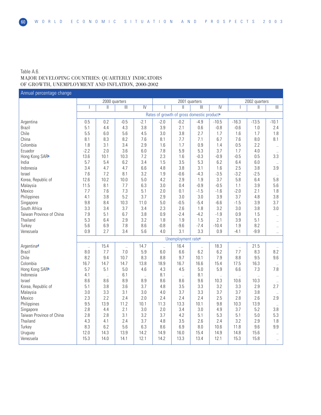## Table A.6. MAJOR DEVELOPING COUNTRIES: QUARTERLY INDICATORS OF GROWTH, UNEMPLOYMENT AND INFLATION, 2000-2002

2000 quarters 2001 quarters 2002 quarters I II III IV I II III IV I II III Rates of growth of gross domestic product**<sup>a</sup>** Argentina 0.5 0.2 -0.5 -2.1 -2.0 -0.2 -4.9 -10.5 -16.3 -13.5 -10.1 Brazil 5.1 4.4 4.3 3.8 3.9 2.1 0.6 -0.8 -0.6 1.0 2.4 Chile 5.5 6.0 5.6 4.5 3.0 3.8 2.7 1.7 1.6 1.7 1.8 China 8.1 8.3 8.2 7.6 8.1 7.7 7.1 6.7 7.6 8.0 8.1 Colombia 1.8 3.1 3.4 2.9 1.6 1.7 0.9 1.4 0.5 2.2 .. Ecuador -2.2 2.0 3.6 6.0 7.8 5.9 5.3 3.7 1.7 4.0 .. Hong Kong SAR**<sup>b</sup>** 13.6 10.1 10.3 7.2 2.3 1.6 -0.3 -0.9 -0.5 0.5 3.3 India 5.7 5.4 6.2 3.4 1.5 3.5 5.3 6.2 6.4 6.0 .. Indonesia 3.4 4.7 4.7 6.6 4.8 3.8 3.1 1.6 2.5 3.8 3.9 Israel 7.6 7.2 8.1 3.2 1.9 -0.6 -4.3 -3.5 -3.2 -2.5 .. Korea, Republic of 12.6 10.2 10.0 5.0 4.2 2.9 1.9 3.7 5.8 6.4 5.8<br>Malaysia 11.5 8.1 7.7 6.3 3.0 0.4 -0.9 -0.5 1.1 3.9 5.6 Malaysia 11.5 8.1 7.7 6.3 3.0 0.4 -0.9 -0.5 1.1 3.9 5.6 Mexico 7.7 7.6 7.3 5.1 2.0 0.1 -1.5 -1.6 -2.0 2.1 1.8 Philippines 4.1 3.8 5.2 3.7 2.9 3.0 3.0 3.9 3.7 4.8 3.8 Singapore 9.8 8.4 10.3 11.0 5.0 -0.5 -5.4 -6.6 -1.5 3.9 3.7 South Africa 3.3 3.4 3.7 3.4 2.3 2.6 1.8 3.2 3.0 3.8 3.0 Taiwan Province of China | 7.9 | 5.1 | 6.7 | 3.8 | 0.9 | -2.4 | -4.2 | -1.9 | 0.9 | 1.5 | ... Thailand 5.3 6.4 2.9 3.2 1.8 1.9 1.5 2.1 3.9 5.1 .. Turkey | 5.6 | 6.9 | 7.8 | 8.6 | -0.8 | -9.6 | -7.4 | -10.4 | 1.9 | 8.2 | .. Venezuela 0.9 2.7 3.4 5.6 4.0 3.1 3.3 0.9 -4.1 -9.9 .. Unemployment rate**<sup>c</sup>** Argentina<sup>d</sup> ... | 15.4 | ... | 14.7 | ... | 16.4 | ... | 18.3 | ... | 21.5 | .. Brazil 8.0 7.7 7.0 5.9 6.0 6.6 6.2 6.2 7.7 8.3 8.2 Chile 8.2 9.4 10.7 8.3 8.8 9.7 10.1 7.9 8.8 9.5 9.6 Colombia 16.7 14.7 14.7 13.8 18.9 16.7 16.6 15.4 17.5 16.3 .. Hong Kong SAR<sup>b</sup> | 5.7 | 5.1 | 5.0 | 4.6 | 4.3 | 4.5 | 5.0 | 5.9 | 6.6 | 7.3 | 7.8 ... | الساب الساب الـ B.1 ... | 8.1 ... | 8.1 ... | 1.2 ... | 1.2 ... | 1.2 ... | 1.2 ... | 1.2 ... | 1.2 ... | 1.2 . Israel 8.6 8.6 8.9 8.9 8.6 8.6 9.6 10.3 10.6 10.3 .. Korea, Republic of 6 1 5.1 3.8 3.6 3.7 4.8 3.5 3.3 3.2 3.3 2.9 2.7 3.3 3.4 3.7 3.4 3.7 3.8 Malaysia 3.0 3.3 3.1 3.0 4.0 3.7 3.3 3.7 3.7 3.8 .. Mexico 2.3 2.2 2.4 2.0 2.4 2.4 2.4 2.5 2.8 2.6 2.9 Philippines 9.5 13.9 11.2 10.1 11.3 13.3 10.1 9.8 10.3 13.9 .. Singapore 2.8 4.4 2.1 3.0 2.0 3.4 3.0 4.9 3.7 5.2 3.8 Taiwan Province of China | 2.8 | 2.8 | 3.1 | 3.2 | 3.7 | 4.2 | 5.1 | 5.3 | 5.1 | 5.0 | 5.3 Thailand 4.3 4.1 2.4 3.7 4.8 3.5 2.6 2.4 3.2 2.9 1.8 Turkey | 8.3 | 6.2 | 5.6 | 6.3 | 8.6 | 6.9 | 8.0 | 10.6 | 11.8 | 9.6 | 9.9 Uruguay 12.0 14.3 13.9 14.2 14.9 16.0 15.4 14.9 14.8 15.6 .. Venezuela 15.3 14.0 14.1 12.1 14.2 13.3 13.4 12.1 15.3 15.8 .. Annual percentage change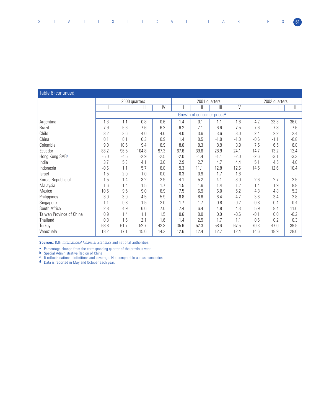# Table 6 (continued)

|                          |        | 2000 quarters |        |                |        | 2001 quarters                          |        |                | 2002 quarters |              |                         |
|--------------------------|--------|---------------|--------|----------------|--------|----------------------------------------|--------|----------------|---------------|--------------|-------------------------|
|                          |        | Ш             | Ш      | $\overline{N}$ |        | $\mathsf{I}$                           | Ш      | $\overline{N}$ |               | $\mathsf{I}$ | $\overline{\mathbb{H}}$ |
|                          |        |               |        |                |        | Growth of consumer prices <sup>a</sup> |        |                |               |              |                         |
| Argentina                | $-1.3$ | $-1.1$        | $-0.8$ | $-0.6$         | $-1.4$ | $-0.1$                                 | $-1.1$ | $-1.6$         | 4.2           | 23.3         | 36.0                    |
| <b>Brazil</b>            | 7.9    | 6.6           | 7.6    | 6.2            | 6.2    | 7.1                                    | 6.6    | 7.5            | 7.6           | 7.8          | 7.6                     |
| Chile                    | 3.2    | 3.6           | 4.0    | 4.6            | 4.0    | 3.6                                    | 3.6    | 3.0            | 2.4           | 2.2          | 2.4                     |
| China                    | 0.1    | 0.1           | 0.3    | 0.9            | 1.4    | 0.5                                    | $-1.0$ | $-1.0$         | $-0.6$        | $-1.1$       | $-0.8$                  |
| Colombia                 | 9.0    | 10.6          | 9.4    | 8.9            | 8.6    | 8.3                                    | 8.9    | 8.9            | 7.5           | 6.5          | 6.8                     |
| Ecuador                  | 83.2   | 96.5          | 104.8  | 97.3           | 67.6   | 39.6                                   | 28.9   | 24.1           | 14.7          | 13.2         | 12.4                    |
| Hong Kong SARb           | $-5.0$ | $-4.5$        | $-2.9$ | $-2.5$         | $-2.0$ | $-1.4$                                 | $-1.1$ | $-2.0$         | $-2.6$        | $-3.1$       | $-3.3$                  |
| India                    | 3.7    | 5.3           | 4.1    | 3.0            | 2.9    | 2.7                                    | 4.7    | 4.4            | 5.1           | 4.5          | 4.0                     |
| Indonesia                | $-0.6$ | 1.1           | 5.7    | 8.8            | 9.3    | 11.1                                   | 12.8   | 12.6           | 14.5          | 12.6         | 10.4                    |
| Israel                   | 1.5    | 2.0           | 1.0    | 0.0            | 0.3    | 0.9                                    | 1.7    | 1.6            | $\ddotsc$     | $\ddotsc$    | $\ldots$                |
| Korea, Republic of       | 1.5    | 1.4           | 3.2    | 2.9            | 4.1    | 5.2                                    | 4.1    | 3.0            | 2.6           | 2.7          | 2.5                     |
| Malaysia                 | 1.6    | 1.4           | 1.5    | 1.7            | 1.5    | 1.6                                    | 1.4    | 1.2            | 1.4           | 1.9          | 8.8                     |
| Mexico                   | 10.5   | 9.5           | 9.0    | 8.9            | 7.5    | 6.9                                    | 6.0    | 5.2            | 4.8           | 4.8          | 5.2                     |
| Philippines              | 3.0    | 3.9           | 4.5    | 5.9            | 6.8    | 6.6                                    | 6.4    | 4.7            | 3.6           | 3.4          | 2.8                     |
| Singapore                | 1.1    | 0.8           | 1.5    | 2.0            | 1.7    | 1.7                                    | 0.8    | $-0.2$         | $-0.8$        | $-0.4$       | $-0.4$                  |
| South Africa             | 2.8    | 4.9           | 6.6    | 7.0            | 7.4    | 6.4                                    | 4.8    | 4.3            | 5.9           | 8.4          | 11.6                    |
| Taiwan Province of China | 0.9    | 1.4           | 1.1    | 1.5            | 0.6    | 0.0                                    | 0.0    | $-0.6$         | $-0.1$        | 0.0          | $-0.2$                  |
| Thailand                 | 0.8    | 1.6           | 2.1    | 1.6            | 1.4    | 2.5                                    | 1.7    | 1.1            | 0.6           | 0.2          | 0.3                     |
| Turkey                   | 68.8   | 61.7          | 52.7   | 42.3           | 35.6   | 52.3                                   | 58.6   | 67.5           | 70.3          | 47.0         | 39.5                    |
| Venezuela                | 18.2   | 17.1          | 15.6   | 14.2           | 12.6   | 12.4                                   | 12.7   | 12.4           | 14.6          | 18.9         | 28.0                    |

**Sources**: IMF, *International Financial Statistics* and national authorities.

**a** Percentage change from the corresponding quarter of the previous year.

**b** Special Administrative Region of China.

**c** It reflects national definitions and coverage. Not comparable across economies.

**d** Data is reported in May and October each year.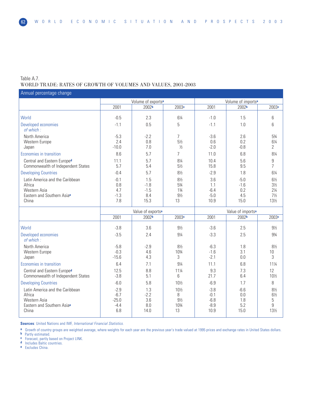#### Table A.7. WORLD TRADE: RATES OF GROWTH OF VOLUMES AND VALUES, 2001-2003

Volume of exports<sup>a</sup><br>
2002<sup>b</sup> 2003<sup>c</sup> 2001 2002<sup>b</sup> 2001 2002**<sup>b</sup>** 2003**<sup>c</sup>** 2001 2002**<sup>b</sup>** 2003**<sup>c</sup>** World -1.5 | -0.5 | -0.5 | -0.3 | -0.4 | -1.0 | -1.5 | -6 Developed economies -1.1 | 0.5 | 5 | -1.1 | 1.0 | 6 of which : North America -5.3 -2.2 7 -3.6 2.6 5¾ Western Europe 2.4 0.8 5½ 0.6 0.2 6¼ Japan -10.0 | -10.0 | 7.0 | ½ | -2.0 | -0.8 | 2 Economies in transition 8.6 5.7 7 11.0 6.8 8¼ Central and Eastern Europe<sup>d</sup> 11.1 5.7 8<sup>4</sup> 10.4 5.6 9<br>Commonwealth of Independent States 5.7 5.4 5<sup>1</sup> 5.7 5.8 15.8 9.5 7 Commonwealth of Independent States Developing Countries **1.1.8** -0.4 -0.4 -0.4 -2.9 -2.9 -2.9 -1.8 -6<sup>1/4</sup> Latin America and the Caribbean -0.1 1.5 8<sup>1/2</sup> 81/2 3.6 -5.0 6<sup>1/2</sup> 8<sup>1</sup>/2 4frica Africa 0.8 -1.8 5¾ 1.1 -1.6 3½ Western Asia 4.7 -1.5 1¾ -6.4 0.2 2¼ Eastern and Southern Asia<sup>e</sup> -1.3 | 8.4 | 9<sup>1</sup>/<sub>2</sub> | -5.0 | -5.5 | 7<sup>1</sup>/<sub>2</sub> China<br>
China 13 | 7.8 | 15.3 | 13 | 13.9 | 15.0 | 13<sup>1</sup>/<sub>2</sub> China 7.8 15.3 13 10.9 15.0 13½ Value of exports<sup>a</sup><br>2002<sup>b</sup> 2003<sup>c</sup> 2001 2002<sup>b</sup> 200<sup>2b</sup> 2001 2002**<sup>b</sup>** 2003**<sup>c</sup>** 2001 2002**<sup>b</sup>** 2003**<sup>c</sup>** World -3.8 3.6 9½ -3.6 2.5 9½ Developed economies -3.5 2.4 9¼ -3.3 2.5 9¾ -3.3 2.5 9¾ of which : North America -5.8 -2.9 8½ -6.3 1.8 8½ Western Europe -0.3 4.6 10¾ -1.6 3.1 10 Japan -15.6 | 4.3 | 3 | -2.1 | 0.0 | 3 | -2.1 | 0.0 | 3 | -2.1 | 0.0 | 3 | -2.1 | 0.0 | -2.1 | -2.1 | 0.0 | -2 Economies in transition 11<sup>1</sup> **6.4 6.4 11.1 9**<sup>4</sup> **11.1 11.1 6.8** 11<sup>1</sup> Central and Eastern Europe<sup>d</sup> 12.5 8.8 11<sup>/4</sup> 9.3 7.3 12<br>Commonwealth of Independent States 3.8 5.1 6 21.7 6.4 10<sup>/</sup>2 Commonwealth of Independent States Developing Countries **1.1.2 1.2.4 1.2.4 10½** -6.9 1.7 8 Latin America and the Caribbean -2.9  $-2.9$   $-2.2$  1.3  $-10\frac{1}{2}$   $-3.8$   $-3.8$   $-6.6$   $-8\frac{1}{2}$   $-6.6$  8<sup>1</sup>/<sub>2</sub> Africa -6.7 -2.2 8 -0.1 0.0 6½ Western Asia -25.0 3.6 9½ -6.8 1.8 5 Eastern and Southern Asia<sup>e</sup> 1.4.4  $\begin{vmatrix} 4.4 & 8.0 & 10\end{vmatrix}$  10<sup>34</sup> -8.9 5.2 9<br>China 13 -8.9 14.0 13 10.9 15.0 13<sup>1</sup>/<sub>2</sub> China 6.8 14.0 13 10.9 15.0 13½ Annual percentage change

**Sources**: United Nations and IMF, International Financial Statistics.

**a** Growth of country groups are weighted average, where weights for each year are the previous year's trade valued at 1995 prices and exchange rates in United States dollars.

**b** Partly estimated.

**c** Forecast, partly based on Project LINK.

**Includes Baltic countries.** 

**e** Excludes China.